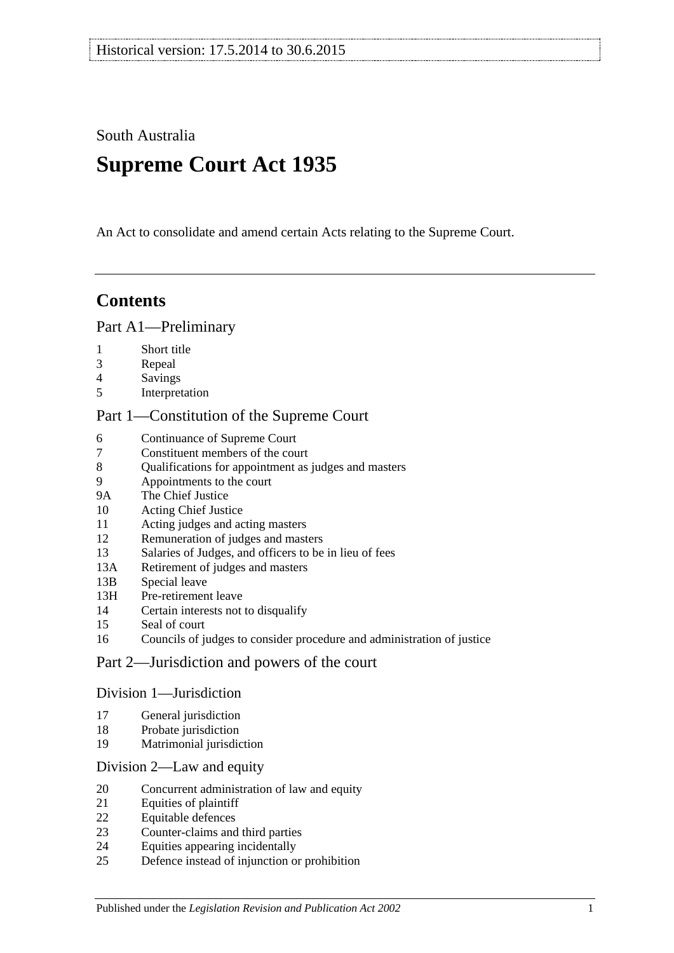South Australia

# **Supreme Court Act 1935**

An Act to consolidate and amend certain Acts relating to the Supreme Court.

# **Contents**

### [Part A1—Preliminary](#page-3-0)

- [Short title](#page-3-1)
- [Repeal](#page-3-2)
- [Savings](#page-3-3)
- [Interpretation](#page-3-4)

### [Part 1—Constitution of the Supreme Court](#page-5-0)

- [Continuance of](#page-5-1) Supreme Court<br>7 Constituent members of the cou
- [Constituent members of the court](#page-5-2)
- [Qualifications for appointment as judges and masters](#page-5-3)
- [Appointments to the court](#page-6-0)
- 9A [The Chief Justice](#page-6-1)
- [Acting Chief Justice](#page-6-2)
- [Acting judges and acting masters](#page-6-3)
- [Remuneration of judges and masters](#page-7-0)
- [Salaries of Judges, and officers to be in lieu of fees](#page-7-1)
- 13A [Retirement of judges and masters](#page-7-2)
- 13B [Special leave](#page-7-3)
- 13H [Pre-retirement leave](#page-8-0)
- [Certain interests not to disqualify](#page-9-0)
- [Seal of court](#page-9-1)
- [Councils of judges to consider procedure and administration of justice](#page-9-2)

### [Part 2—Jurisdiction and powers of the court](#page-9-3)

### [Division 1—Jurisdiction](#page-9-4)

- [General jurisdiction](#page-9-5)
- [Probate jurisdiction](#page-10-0)
- [Matrimonial jurisdiction](#page-10-1)

### [Division 2—Law and equity](#page-10-2)

- [Concurrent administration of law and equity](#page-10-3)
- [Equities of plaintiff](#page-11-0)
- [Equitable defences](#page-11-1)
- [Counter-claims and third parties](#page-11-2)
- [Equities appearing incidentally](#page-11-3)
- [Defence instead of injunction or prohibition](#page-12-0)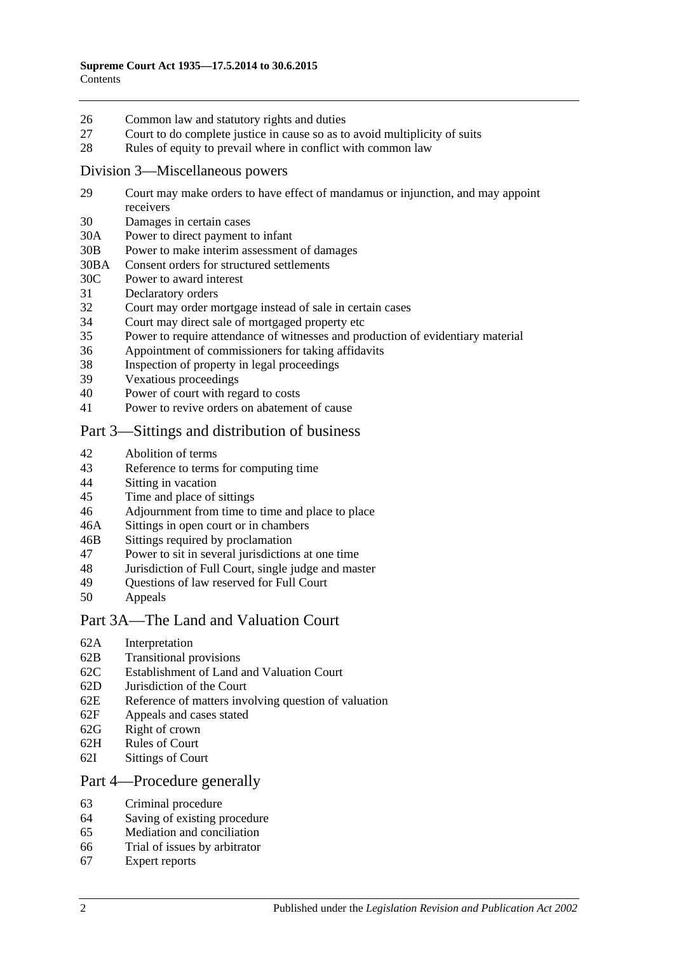- 26 [Common law and statutory rights and duties](#page-12-1)
- 27 [Court to do complete justice in cause so as to avoid multiplicity of suits](#page-12-2)
- 28 [Rules of equity to prevail where in conflict with common law](#page-12-3)

### [Division 3—Miscellaneous powers](#page-13-0)

- 29 [Court may make orders to have effect of mandamus or injunction, and may appoint](#page-13-1)  [receivers](#page-13-1)
- 30 [Damages in certain cases](#page-13-2)
- 30A [Power to direct payment to infant](#page-13-3)
- 30B [Power to make interim assessment of damages](#page-13-4)
- 30BA [Consent orders for structured settlements](#page-16-0)
- 30C [Power to award interest](#page-16-1)
- 31 [Declaratory orders](#page-17-0)
- 32 [Court may order mortgage instead of sale in certain cases](#page-17-1)
- 34 [Court may direct sale of mortgaged property etc](#page-17-2)
- 35 [Power to require attendance of witnesses and production of evidentiary material](#page-17-3)
- 36 [Appointment of commissioners for taking affidavits](#page-18-0)
- 38 [Inspection of property in legal proceedings](#page-18-1)
- 39 [Vexatious proceedings](#page-18-2)
- 40 [Power of court with regard to costs](#page-19-0)
- 41 [Power to revive orders on abatement of cause](#page-19-1)

### [Part 3—Sittings and distribution of business](#page-19-2)

- 42 [Abolition of terms](#page-19-3)
- 43 [Reference to terms for computing time](#page-19-4)
- 44 Sitting [in vacation](#page-19-5)
- 45 [Time and place of sittings](#page-20-0)
- 46 [Adjournment from time to time and place to place](#page-20-1)
- 46A [Sittings in open court or in chambers](#page-20-2)
- 46B [Sittings required by proclamation](#page-20-3)
- 47 [Power to sit in several jurisdictions at one time](#page-20-4)
- 48 [Jurisdiction of Full Court, single judge and master](#page-20-5)
- 49 [Questions of law reserved for Full Court](#page-21-0)<br>50 Anneals
- **[Appeals](#page-21-1)**

### [Part 3A—The Land and Valuation Court](#page-22-0)

- 62A [Interpretation](#page-22-1)
- 62B [Transitional provisions](#page-23-0)
- 62C [Establishment of Land and Valuation Court](#page-23-1)
- 62D [Jurisdiction of the Court](#page-23-2)
- 62E [Reference of matters involving question of valuation](#page-24-0)
- 62F [Appeals and cases stated](#page-25-0)
- 62G [Right of crown](#page-25-1)
- 62H [Rules of Court](#page-25-2)
- 62I [Sittings of Court](#page-25-3)

### [Part 4—Procedure generally](#page-25-4)

- 63 [Criminal procedure](#page-25-5)
- 64 [Saving of existing procedure](#page-26-0)
- 65 [Mediation and conciliation](#page-26-1)
- 66 [Trial of issues by arbitrator](#page-26-2)
- 67 [Expert reports](#page-27-0)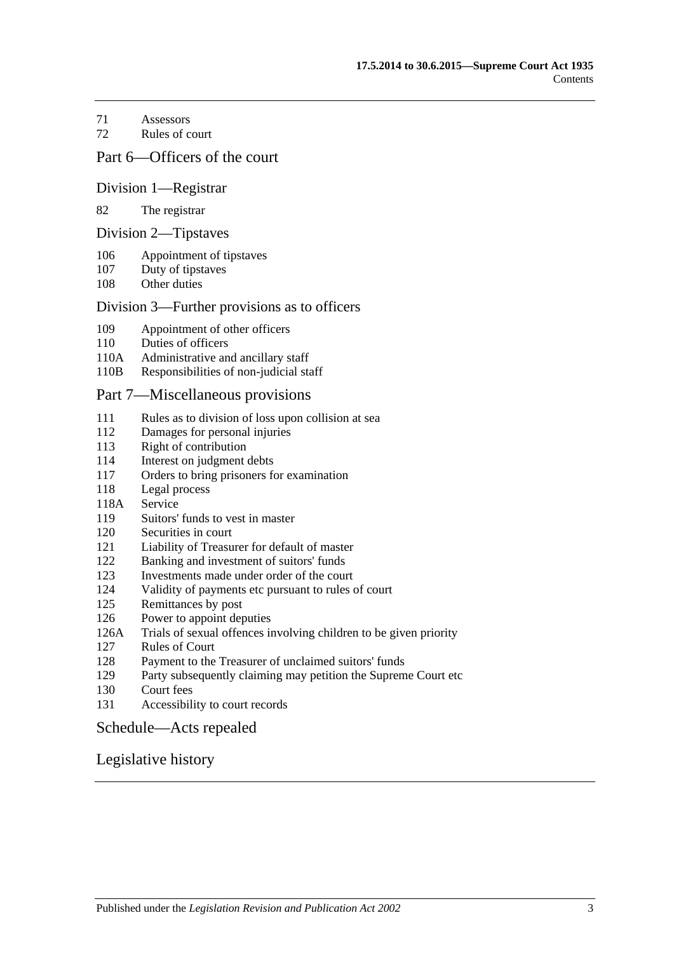[Assessors](#page-27-1)

[Rules of court](#page-27-2)

### [Part 6—Officers of the court](#page-29-0)

### [Division 1—Registrar](#page-29-1)

#### [The registrar](#page-29-2)

### [Division 2—Tipstaves](#page-29-3)

- [Appointment of tipstaves](#page-29-4)
- [Duty of tipstaves](#page-29-5)
- [Other duties](#page-29-6)

### [Division 3—Further provisions as to officers](#page-29-7)

- [Appointment of other officers](#page-29-8)
- [Duties of officers](#page-30-0)
- 110A [Administrative and ancillary staff](#page-30-1)
- 110B [Responsibilities of non-judicial staff](#page-30-2)

### [Part 7—Miscellaneous provisions](#page-30-3)

- [Rules as to division of loss upon collision at sea](#page-30-4)
- [Damages for personal injuries](#page-31-0)<br>113 Right of contribution
- [Right of contribution](#page-31-1)
- [Interest on judgment debts](#page-31-2)
- [Orders to bring prisoners for examination](#page-31-3)
- [Legal process](#page-32-0)
- 118A [Service](#page-32-1)
- [Suitors' funds to vest in master](#page-32-2)
- [Securities in court](#page-32-3)
- [Liability of Treasurer for default of master](#page-32-4)
- [Banking and investment of suitors' funds](#page-32-5)
- [Investments made under order of the court](#page-33-0)
- [Validity of payments etc pursuant to rules of court](#page-33-1)
- [Remittances by post](#page-33-2)
- [Power to appoint deputies](#page-33-3)
- 126A [Trials of sexual offences involving children to be given priority](#page-33-4)
- [Rules of Court](#page-34-0)
- [Payment to the Treasurer of unclaimed suitors' funds](#page-34-1)
- [Party subsequently claiming may petition the Supreme Court etc](#page-34-2)
- [Court fees](#page-34-3)
- [Accessibility to court records](#page-35-0)

### [Schedule—Acts repealed](#page-36-0)

### [Legislative history](#page-39-0)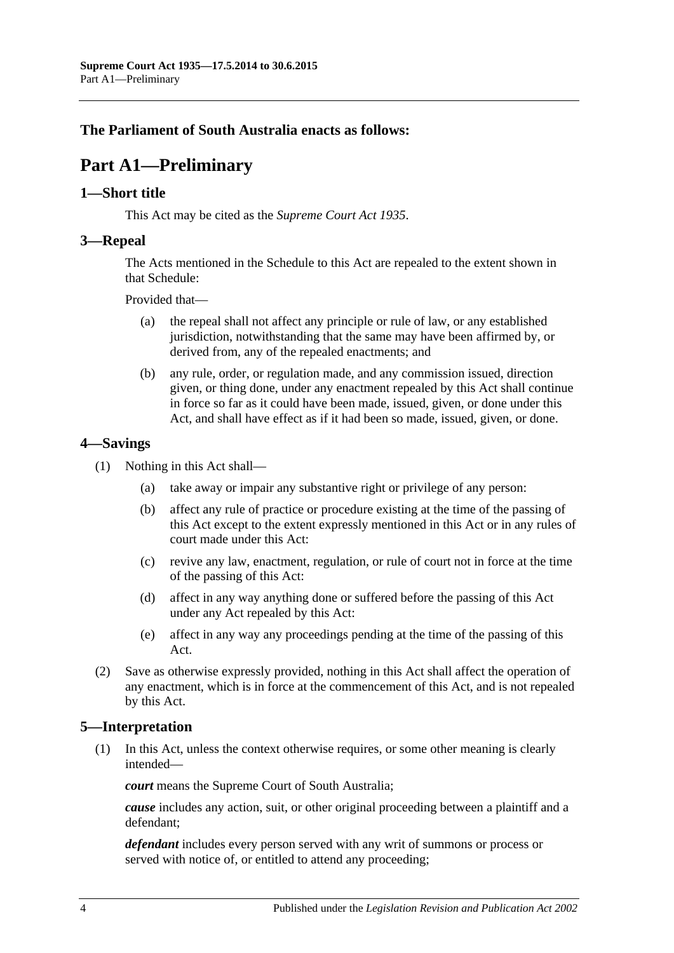## <span id="page-3-0"></span>**The Parliament of South Australia enacts as follows:**

# **Part A1—Preliminary**

### <span id="page-3-1"></span>**1—Short title**

This Act may be cited as the *Supreme Court Act 1935*.

### <span id="page-3-2"></span>**3—Repeal**

The Acts mentioned in the [Schedule](#page-36-0) to this Act are repealed to the extent shown in that [Schedule:](#page-36-0)

Provided that—

- (a) the repeal shall not affect any principle or rule of law, or any established jurisdiction, notwithstanding that the same may have been affirmed by, or derived from, any of the repealed enactments; and
- (b) any rule, order, or regulation made, and any commission issued, direction given, or thing done, under any enactment repealed by this Act shall continue in force so far as it could have been made, issued, given, or done under this Act, and shall have effect as if it had been so made, issued, given, or done.

### <span id="page-3-3"></span>**4—Savings**

- (1) Nothing in this Act shall—
	- (a) take away or impair any substantive right or privilege of any person:
	- (b) affect any rule of practice or procedure existing at the time of the passing of this Act except to the extent expressly mentioned in this Act or in any rules of court made under this Act:
	- (c) revive any law, enactment, regulation, or rule of court not in force at the time of the passing of this Act:
	- (d) affect in any way anything done or suffered before the passing of this Act under any Act repealed by this Act:
	- (e) affect in any way any proceedings pending at the time of the passing of this Act.
- (2) Save as otherwise expressly provided, nothing in this Act shall affect the operation of any enactment, which is in force at the commencement of this Act, and is not repealed by this Act.

### <span id="page-3-4"></span>**5—Interpretation**

(1) In this Act, unless the context otherwise requires, or some other meaning is clearly intended—

*court* means the Supreme Court of South Australia;

*cause* includes any action, suit, or other original proceeding between a plaintiff and a defendant;

*defendant* includes every person served with any writ of summons or process or served with notice of, or entitled to attend any proceeding;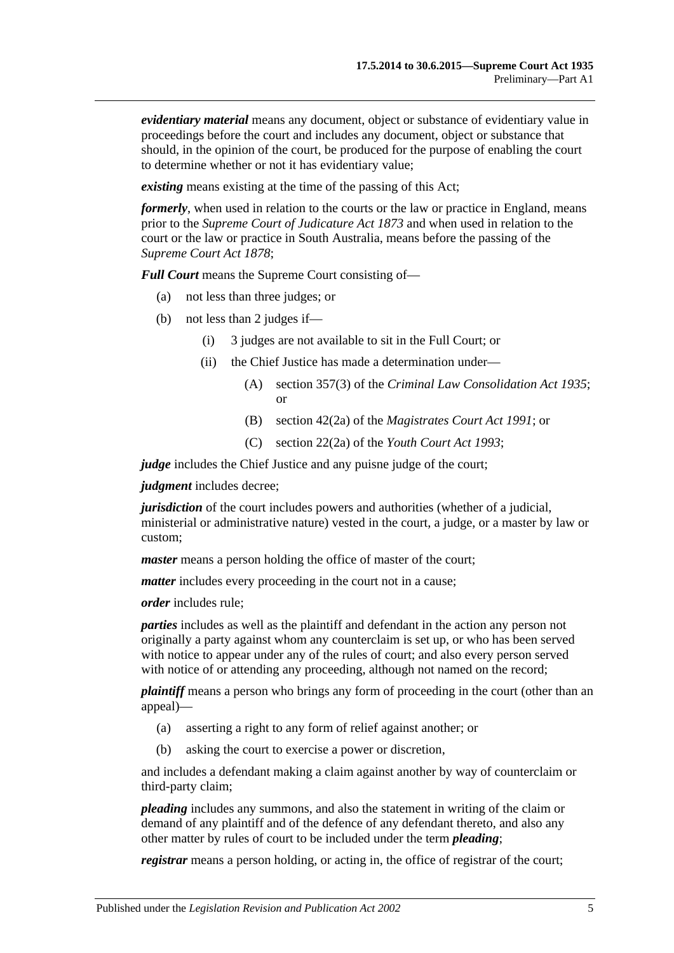*evidentiary material* means any document, object or substance of evidentiary value in proceedings before the court and includes any document, object or substance that should, in the opinion of the court, be produced for the purpose of enabling the court to determine whether or not it has evidentiary value;

*existing* means existing at the time of the passing of this Act;

*formerly*, when used in relation to the courts or the law or practice in England, means prior to the *[Supreme Court of Judicature Act](http://www.legislation.sa.gov.au/index.aspx?action=legref&type=act&legtitle=Supreme%20Court%20of%20Judicature%20Act%201873) 1873* and when used in relation to the court or the law or practice in South Australia, means before the passing of the *[Supreme Court Act](http://www.legislation.sa.gov.au/index.aspx?action=legref&type=act&legtitle=Supreme%20Court%20Act%201878) 1878*;

*Full Court* means the Supreme Court consisting of—

- (a) not less than three judges; or
- (b) not less than 2 judges if—
	- (i) 3 judges are not available to sit in the Full Court; or
	- (ii) the Chief Justice has made a determination under—
		- (A) section 357(3) of the *[Criminal Law Consolidation Act](http://www.legislation.sa.gov.au/index.aspx?action=legref&type=act&legtitle=Criminal%20Law%20Consolidation%20Act%201935) 1935*; or
		- (B) section 42(2a) of the *[Magistrates Court Act](http://www.legislation.sa.gov.au/index.aspx?action=legref&type=act&legtitle=Magistrates%20Court%20Act%201991) 1991*; or
		- (C) section 22(2a) of the *[Youth Court Act](http://www.legislation.sa.gov.au/index.aspx?action=legref&type=act&legtitle=Youth%20Court%20Act%201993) 1993*;

*judge* includes the Chief Justice and any puisne judge of the court;

*judgment* includes decree;

*jurisdiction* of the court includes powers and authorities (whether of a judicial, ministerial or administrative nature) vested in the court, a judge, or a master by law or custom;

*master* means a person holding the office of master of the court;

*matter* includes every proceeding in the court not in a cause;

*order* includes rule;

*parties* includes as well as the plaintiff and defendant in the action any person not originally a party against whom any counterclaim is set up, or who has been served with notice to appear under any of the rules of court; and also every person served with notice of or attending any proceeding, although not named on the record;

*plaintiff* means a person who brings any form of proceeding in the court (other than an appeal)—

- (a) asserting a right to any form of relief against another; or
- (b) asking the court to exercise a power or discretion,

and includes a defendant making a claim against another by way of counterclaim or third-party claim;

*pleading* includes any summons, and also the statement in writing of the claim or demand of any plaintiff and of the defence of any defendant thereto, and also any other matter by rules of court to be included under the term *pleading*;

*registrar* means a person holding, or acting in, the office of registrar of the court;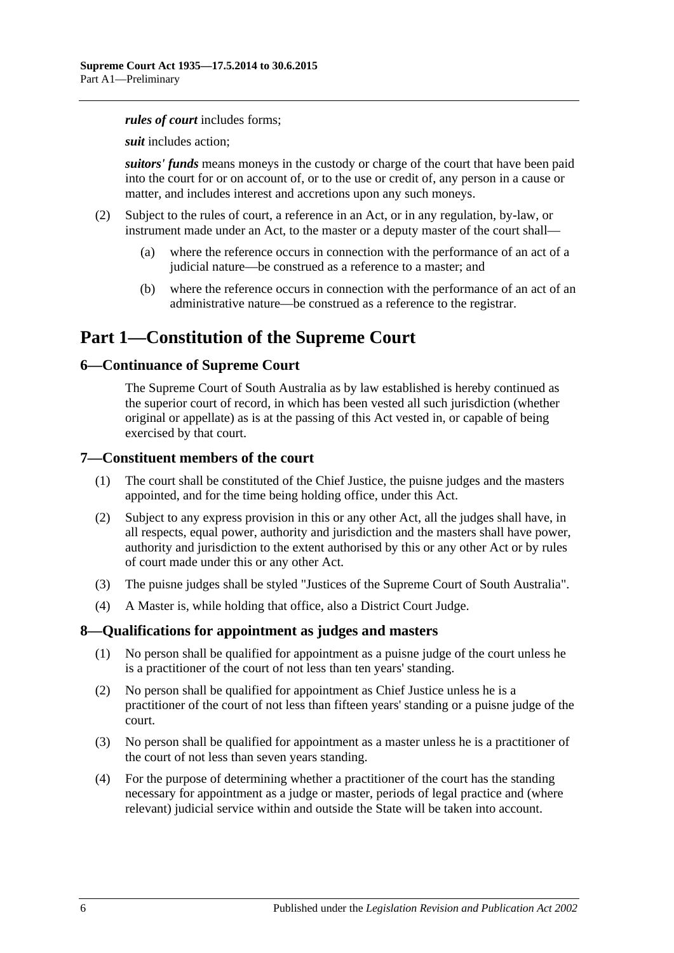#### *rules of court* includes forms;

*suit* includes action;

*suitors' funds* means moneys in the custody or charge of the court that have been paid into the court for or on account of, or to the use or credit of, any person in a cause or matter, and includes interest and accretions upon any such moneys.

- (2) Subject to the rules of court, a reference in an Act, or in any regulation, by-law, or instrument made under an Act, to the master or a deputy master of the court shall—
	- (a) where the reference occurs in connection with the performance of an act of a judicial nature—be construed as a reference to a master; and
	- (b) where the reference occurs in connection with the performance of an act of an administrative nature—be construed as a reference to the registrar.

# <span id="page-5-0"></span>**Part 1—Constitution of the Supreme Court**

### <span id="page-5-1"></span>**6—Continuance of Supreme Court**

The Supreme Court of South Australia as by law established is hereby continued as the superior court of record, in which has been vested all such jurisdiction (whether original or appellate) as is at the passing of this Act vested in, or capable of being exercised by that court.

### <span id="page-5-2"></span>**7—Constituent members of the court**

- (1) The court shall be constituted of the Chief Justice, the puisne judges and the masters appointed, and for the time being holding office, under this Act.
- (2) Subject to any express provision in this or any other Act, all the judges shall have, in all respects, equal power, authority and jurisdiction and the masters shall have power, authority and jurisdiction to the extent authorised by this or any other Act or by rules of court made under this or any other Act.
- (3) The puisne judges shall be styled "Justices of the Supreme Court of South Australia".
- (4) A Master is, while holding that office, also a District Court Judge.

### <span id="page-5-3"></span>**8—Qualifications for appointment as judges and masters**

- (1) No person shall be qualified for appointment as a puisne judge of the court unless he is a practitioner of the court of not less than ten years' standing.
- (2) No person shall be qualified for appointment as Chief Justice unless he is a practitioner of the court of not less than fifteen years' standing or a puisne judge of the court.
- (3) No person shall be qualified for appointment as a master unless he is a practitioner of the court of not less than seven years standing.
- (4) For the purpose of determining whether a practitioner of the court has the standing necessary for appointment as a judge or master, periods of legal practice and (where relevant) judicial service within and outside the State will be taken into account.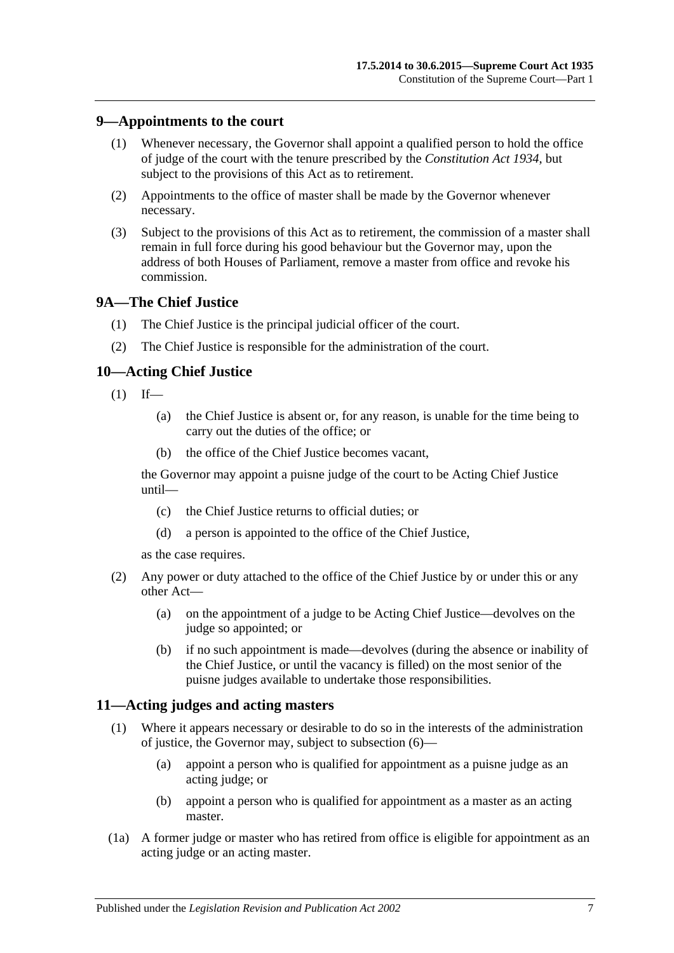### <span id="page-6-0"></span>**9—Appointments to the court**

- (1) Whenever necessary, the Governor shall appoint a qualified person to hold the office of judge of the court with the tenure prescribed by the *[Constitution Act](http://www.legislation.sa.gov.au/index.aspx?action=legref&type=act&legtitle=Constitution%20Act%201934) 1934*, but subject to the provisions of this Act as to retirement.
- (2) Appointments to the office of master shall be made by the Governor whenever necessary.
- (3) Subject to the provisions of this Act as to retirement, the commission of a master shall remain in full force during his good behaviour but the Governor may, upon the address of both Houses of Parliament, remove a master from office and revoke his commission.

### <span id="page-6-1"></span>**9A—The Chief Justice**

- (1) The Chief Justice is the principal judicial officer of the court.
- (2) The Chief Justice is responsible for the administration of the court.

### <span id="page-6-2"></span>**10—Acting Chief Justice**

- $(1)$  If—
	- (a) the Chief Justice is absent or, for any reason, is unable for the time being to carry out the duties of the office; or
	- (b) the office of the Chief Justice becomes vacant,

the Governor may appoint a puisne judge of the court to be Acting Chief Justice until—

- (c) the Chief Justice returns to official duties; or
- (d) a person is appointed to the office of the Chief Justice,

as the case requires.

- (2) Any power or duty attached to the office of the Chief Justice by or under this or any other Act—
	- (a) on the appointment of a judge to be Acting Chief Justice—devolves on the judge so appointed; or
	- (b) if no such appointment is made—devolves (during the absence or inability of the Chief Justice, or until the vacancy is filled) on the most senior of the puisne judges available to undertake those responsibilities.

### <span id="page-6-4"></span><span id="page-6-3"></span>**11—Acting judges and acting masters**

- (1) Where it appears necessary or desirable to do so in the interests of the administration of justice, the Governor may, subject to [subsection](#page-7-4) (6)—
	- (a) appoint a person who is qualified for appointment as a puisne judge as an acting judge; or
	- (b) appoint a person who is qualified for appointment as a master as an acting master.
- (1a) A former judge or master who has retired from office is eligible for appointment as an acting judge or an acting master.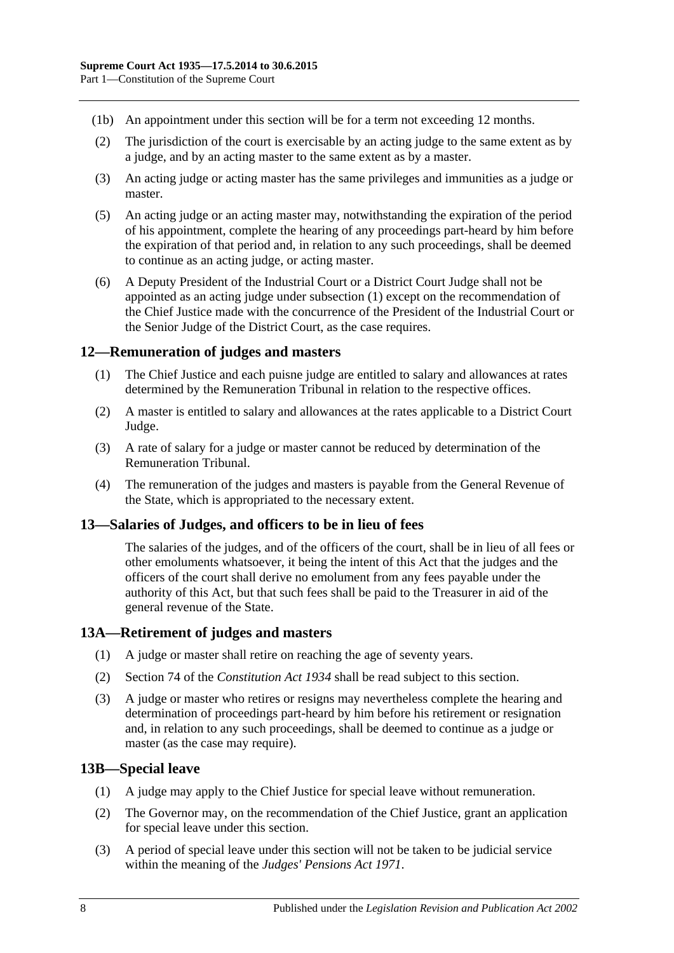- (1b) An appointment under this section will be for a term not exceeding 12 months.
- (2) The jurisdiction of the court is exercisable by an acting judge to the same extent as by a judge, and by an acting master to the same extent as by a master.
- (3) An acting judge or acting master has the same privileges and immunities as a judge or master.
- (5) An acting judge or an acting master may, notwithstanding the expiration of the period of his appointment, complete the hearing of any proceedings part-heard by him before the expiration of that period and, in relation to any such proceedings, shall be deemed to continue as an acting judge, or acting master.
- <span id="page-7-4"></span>(6) A Deputy President of the Industrial Court or a District Court Judge shall not be appointed as an acting judge under [subsection](#page-6-4) (1) except on the recommendation of the Chief Justice made with the concurrence of the President of the Industrial Court or the Senior Judge of the District Court, as the case requires.

### <span id="page-7-0"></span>**12—Remuneration of judges and masters**

- (1) The Chief Justice and each puisne judge are entitled to salary and allowances at rates determined by the Remuneration Tribunal in relation to the respective offices.
- (2) A master is entitled to salary and allowances at the rates applicable to a District Court Judge.
- (3) A rate of salary for a judge or master cannot be reduced by determination of the Remuneration Tribunal.
- (4) The remuneration of the judges and masters is payable from the General Revenue of the State, which is appropriated to the necessary extent.

### <span id="page-7-1"></span>**13—Salaries of Judges, and officers to be in lieu of fees**

The salaries of the judges, and of the officers of the court, shall be in lieu of all fees or other emoluments whatsoever, it being the intent of this Act that the judges and the officers of the court shall derive no emolument from any fees payable under the authority of this Act, but that such fees shall be paid to the Treasurer in aid of the general revenue of the State.

### <span id="page-7-2"></span>**13A—Retirement of judges and masters**

- (1) A judge or master shall retire on reaching the age of seventy years.
- (2) Section 74 of the *[Constitution Act](http://www.legislation.sa.gov.au/index.aspx?action=legref&type=act&legtitle=Constitution%20Act%201934) 1934* shall be read subject to this section.
- (3) A judge or master who retires or resigns may nevertheless complete the hearing and determination of proceedings part-heard by him before his retirement or resignation and, in relation to any such proceedings, shall be deemed to continue as a judge or master (as the case may require).

### <span id="page-7-3"></span>**13B—Special leave**

- (1) A judge may apply to the Chief Justice for special leave without remuneration.
- (2) The Governor may, on the recommendation of the Chief Justice, grant an application for special leave under this section.
- (3) A period of special leave under this section will not be taken to be judicial service within the meaning of the *[Judges' Pensions Act](http://www.legislation.sa.gov.au/index.aspx?action=legref&type=act&legtitle=Judges%20Pensions%20Act%201971) 1971*.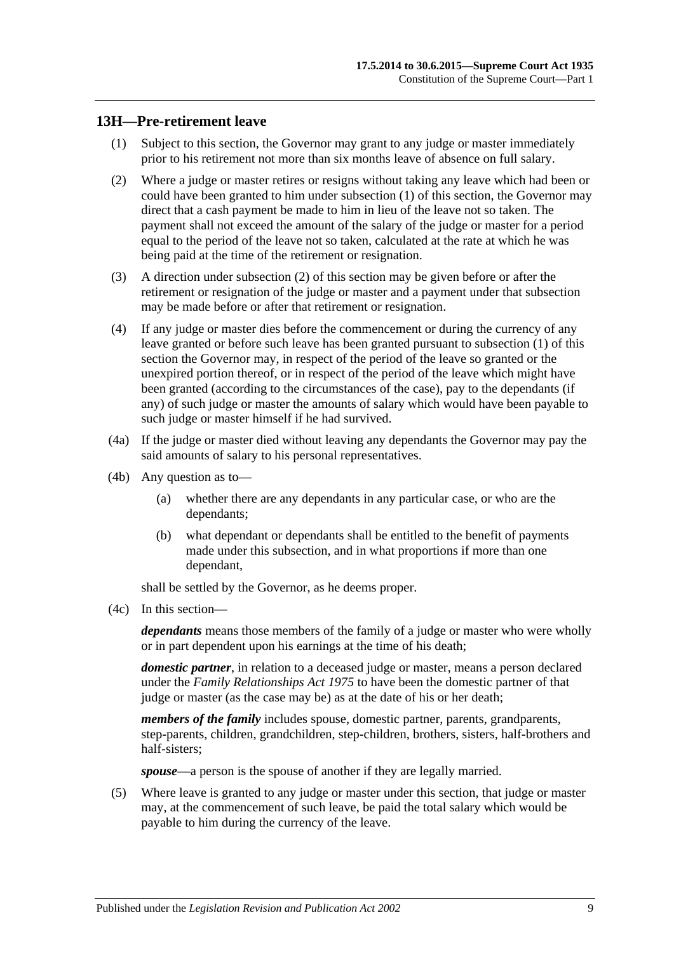### <span id="page-8-1"></span><span id="page-8-0"></span>**13H—Pre-retirement leave**

- (1) Subject to this section, the Governor may grant to any judge or master immediately prior to his retirement not more than six months leave of absence on full salary.
- <span id="page-8-2"></span>(2) Where a judge or master retires or resigns without taking any leave which had been or could have been granted to him under [subsection](#page-8-1) (1) of this section, the Governor may direct that a cash payment be made to him in lieu of the leave not so taken. The payment shall not exceed the amount of the salary of the judge or master for a period equal to the period of the leave not so taken, calculated at the rate at which he was being paid at the time of the retirement or resignation.
- (3) A direction under [subsection](#page-8-2) (2) of this section may be given before or after the retirement or resignation of the judge or master and a payment under that subsection may be made before or after that retirement or resignation.
- (4) If any judge or master dies before the commencement or during the currency of any leave granted or before such leave has been granted pursuant to [subsection](#page-8-1) (1) of this section the Governor may, in respect of the period of the leave so granted or the unexpired portion thereof, or in respect of the period of the leave which might have been granted (according to the circumstances of the case), pay to the dependants (if any) of such judge or master the amounts of salary which would have been payable to such judge or master himself if he had survived.
- (4a) If the judge or master died without leaving any dependants the Governor may pay the said amounts of salary to his personal representatives.
- (4b) Any question as to—
	- (a) whether there are any dependants in any particular case, or who are the dependants;
	- (b) what dependant or dependants shall be entitled to the benefit of payments made under this subsection, and in what proportions if more than one dependant,

shall be settled by the Governor, as he deems proper.

(4c) In this section—

*dependants* means those members of the family of a judge or master who were wholly or in part dependent upon his earnings at the time of his death;

*domestic partner*, in relation to a deceased judge or master, means a person declared under the *[Family Relationships Act](http://www.legislation.sa.gov.au/index.aspx?action=legref&type=act&legtitle=Family%20Relationships%20Act%201975) 1975* to have been the domestic partner of that judge or master (as the case may be) as at the date of his or her death;

*members of the family* includes spouse, domestic partner, parents, grandparents, step-parents, children, grandchildren, step-children, brothers, sisters, half-brothers and half-sisters;

*spouse*—a person is the spouse of another if they are legally married.

(5) Where leave is granted to any judge or master under this section, that judge or master may, at the commencement of such leave, be paid the total salary which would be payable to him during the currency of the leave.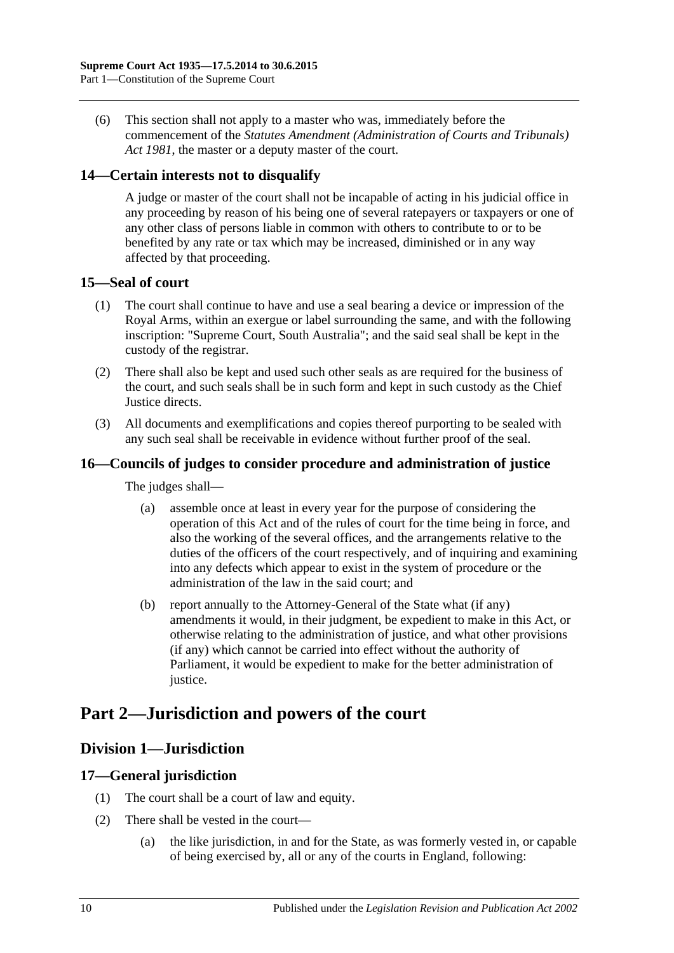(6) This section shall not apply to a master who was, immediately before the commencement of the *[Statutes Amendment \(Administration of Courts and Tribunals\)](http://www.legislation.sa.gov.au/index.aspx?action=legref&type=act&legtitle=Statutes%20Amendment%20(Administration%20of%20Courts%20and%20Tribunals)%20Act%201981)  Act [1981](http://www.legislation.sa.gov.au/index.aspx?action=legref&type=act&legtitle=Statutes%20Amendment%20(Administration%20of%20Courts%20and%20Tribunals)%20Act%201981)*, the master or a deputy master of the court.

## <span id="page-9-0"></span>**14—Certain interests not to disqualify**

A judge or master of the court shall not be incapable of acting in his judicial office in any proceeding by reason of his being one of several ratepayers or taxpayers or one of any other class of persons liable in common with others to contribute to or to be benefited by any rate or tax which may be increased, diminished or in any way affected by that proceeding.

### <span id="page-9-1"></span>**15—Seal of court**

- (1) The court shall continue to have and use a seal bearing a device or impression of the Royal Arms, within an exergue or label surrounding the same, and with the following inscription: "Supreme Court, South Australia"; and the said seal shall be kept in the custody of the registrar.
- (2) There shall also be kept and used such other seals as are required for the business of the court, and such seals shall be in such form and kept in such custody as the Chief Justice directs.
- (3) All documents and exemplifications and copies thereof purporting to be sealed with any such seal shall be receivable in evidence without further proof of the seal.

## <span id="page-9-2"></span>**16—Councils of judges to consider procedure and administration of justice**

The judges shall—

- (a) assemble once at least in every year for the purpose of considering the operation of this Act and of the rules of court for the time being in force, and also the working of the several offices, and the arrangements relative to the duties of the officers of the court respectively, and of inquiring and examining into any defects which appear to exist in the system of procedure or the administration of the law in the said court; and
- (b) report annually to the Attorney-General of the State what (if any) amendments it would, in their judgment, be expedient to make in this Act, or otherwise relating to the administration of justice, and what other provisions (if any) which cannot be carried into effect without the authority of Parliament, it would be expedient to make for the better administration of justice.

# <span id="page-9-4"></span><span id="page-9-3"></span>**Part 2—Jurisdiction and powers of the court**

# **Division 1—Jurisdiction**

### <span id="page-9-5"></span>**17—General jurisdiction**

- (1) The court shall be a court of law and equity.
- (2) There shall be vested in the court—
	- (a) the like jurisdiction, in and for the State, as was formerly vested in, or capable of being exercised by, all or any of the courts in England, following: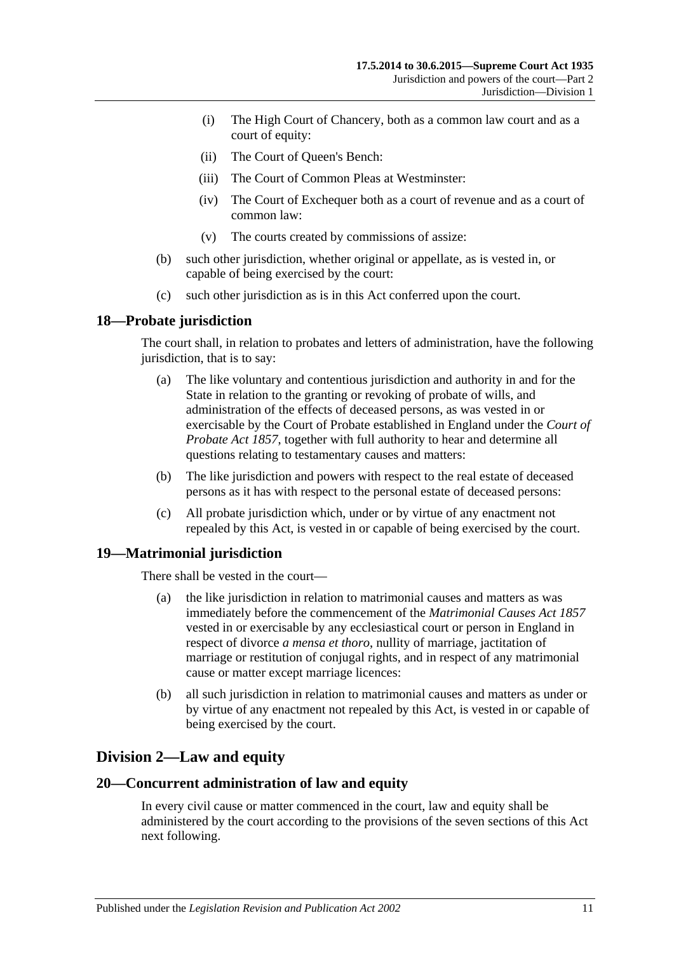- (i) The High Court of Chancery, both as a common law court and as a court of equity:
- (ii) The Court of Queen's Bench:
- (iii) The Court of Common Pleas at Westminster:
- (iv) The Court of Exchequer both as a court of revenue and as a court of common law:
- (v) The courts created by commissions of assize:
- (b) such other jurisdiction, whether original or appellate, as is vested in, or capable of being exercised by the court:
- (c) such other jurisdiction as is in this Act conferred upon the court.

### <span id="page-10-0"></span>**18—Probate jurisdiction**

The court shall, in relation to probates and letters of administration, have the following jurisdiction, that is to say:

- (a) The like voluntary and contentious jurisdiction and authority in and for the State in relation to the granting or revoking of probate of wills, and administration of the effects of deceased persons, as was vested in or exercisable by the Court of Probate established in England under the *[Court of](http://www.legislation.sa.gov.au/index.aspx?action=legref&type=act&legtitle=Court%20of%20Probate%20Act%201857)  [Probate Act](http://www.legislation.sa.gov.au/index.aspx?action=legref&type=act&legtitle=Court%20of%20Probate%20Act%201857) 1857*, together with full authority to hear and determine all questions relating to testamentary causes and matters:
- (b) The like jurisdiction and powers with respect to the real estate of deceased persons as it has with respect to the personal estate of deceased persons:
- (c) All probate jurisdiction which, under or by virtue of any enactment not repealed by this Act, is vested in or capable of being exercised by the court.

### <span id="page-10-1"></span>**19—Matrimonial jurisdiction**

There shall be vested in the court—

- (a) the like jurisdiction in relation to matrimonial causes and matters as was immediately before the commencement of the *[Matrimonial Causes Act](http://www.legislation.sa.gov.au/index.aspx?action=legref&type=act&legtitle=Matrimonial%20Causes%20Act%201857) 1857* vested in or exercisable by any ecclesiastical court or person in England in respect of divorce *a mensa et thoro*, nullity of marriage, jactitation of marriage or restitution of conjugal rights, and in respect of any matrimonial cause or matter except marriage licences:
- (b) all such jurisdiction in relation to matrimonial causes and matters as under or by virtue of any enactment not repealed by this Act, is vested in or capable of being exercised by the court.

# <span id="page-10-2"></span>**Division 2—Law and equity**

### <span id="page-10-3"></span>**20—Concurrent administration of law and equity**

In every civil cause or matter commenced in the court, law and equity shall be administered by the court according to the provisions of the seven sections of this Act next following.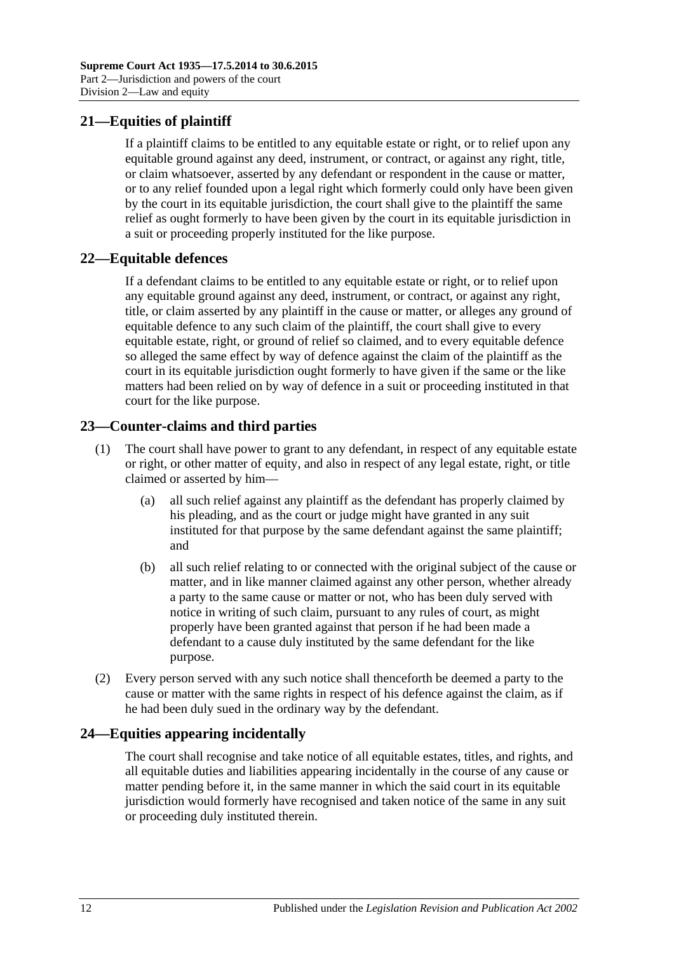# <span id="page-11-0"></span>**21—Equities of plaintiff**

If a plaintiff claims to be entitled to any equitable estate or right, or to relief upon any equitable ground against any deed, instrument, or contract, or against any right, title, or claim whatsoever, asserted by any defendant or respondent in the cause or matter, or to any relief founded upon a legal right which formerly could only have been given by the court in its equitable jurisdiction, the court shall give to the plaintiff the same relief as ought formerly to have been given by the court in its equitable jurisdiction in a suit or proceeding properly instituted for the like purpose.

### <span id="page-11-1"></span>**22—Equitable defences**

If a defendant claims to be entitled to any equitable estate or right, or to relief upon any equitable ground against any deed, instrument, or contract, or against any right, title, or claim asserted by any plaintiff in the cause or matter, or alleges any ground of equitable defence to any such claim of the plaintiff, the court shall give to every equitable estate, right, or ground of relief so claimed, and to every equitable defence so alleged the same effect by way of defence against the claim of the plaintiff as the court in its equitable jurisdiction ought formerly to have given if the same or the like matters had been relied on by way of defence in a suit or proceeding instituted in that court for the like purpose.

# <span id="page-11-2"></span>**23—Counter-claims and third parties**

- (1) The court shall have power to grant to any defendant, in respect of any equitable estate or right, or other matter of equity, and also in respect of any legal estate, right, or title claimed or asserted by him—
	- (a) all such relief against any plaintiff as the defendant has properly claimed by his pleading, and as the court or judge might have granted in any suit instituted for that purpose by the same defendant against the same plaintiff; and
	- (b) all such relief relating to or connected with the original subject of the cause or matter, and in like manner claimed against any other person, whether already a party to the same cause or matter or not, who has been duly served with notice in writing of such claim, pursuant to any rules of court, as might properly have been granted against that person if he had been made a defendant to a cause duly instituted by the same defendant for the like purpose.
- (2) Every person served with any such notice shall thenceforth be deemed a party to the cause or matter with the same rights in respect of his defence against the claim, as if he had been duly sued in the ordinary way by the defendant.

# <span id="page-11-3"></span>**24—Equities appearing incidentally**

The court shall recognise and take notice of all equitable estates, titles, and rights, and all equitable duties and liabilities appearing incidentally in the course of any cause or matter pending before it, in the same manner in which the said court in its equitable jurisdiction would formerly have recognised and taken notice of the same in any suit or proceeding duly instituted therein.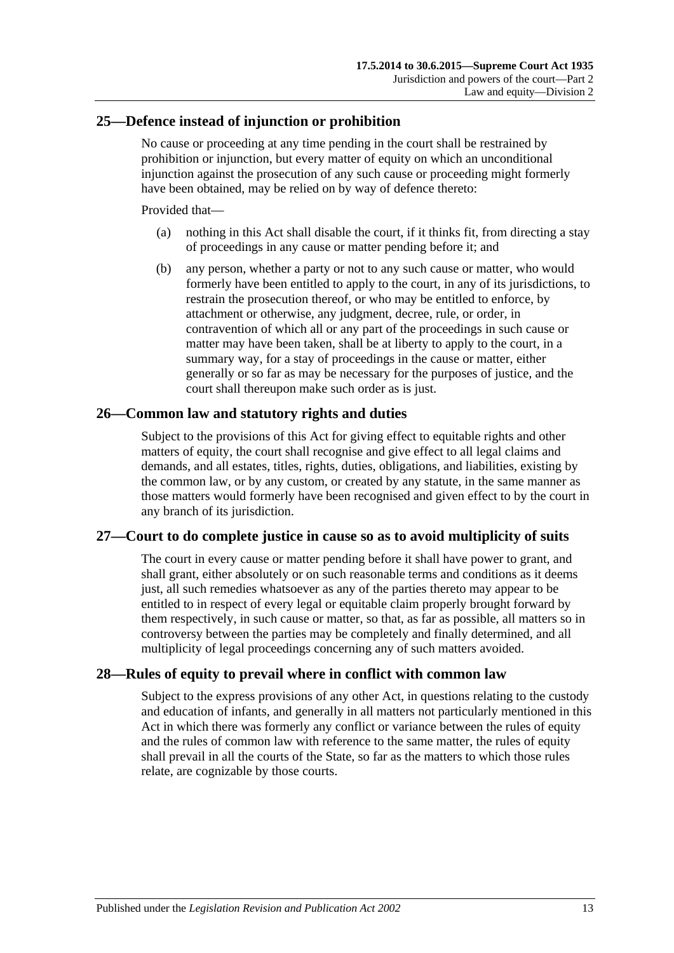### <span id="page-12-0"></span>**25—Defence instead of injunction or prohibition**

No cause or proceeding at any time pending in the court shall be restrained by prohibition or injunction, but every matter of equity on which an unconditional injunction against the prosecution of any such cause or proceeding might formerly have been obtained, may be relied on by way of defence thereto:

Provided that—

- (a) nothing in this Act shall disable the court, if it thinks fit, from directing a stay of proceedings in any cause or matter pending before it; and
- (b) any person, whether a party or not to any such cause or matter, who would formerly have been entitled to apply to the court, in any of its jurisdictions, to restrain the prosecution thereof, or who may be entitled to enforce, by attachment or otherwise, any judgment, decree, rule, or order, in contravention of which all or any part of the proceedings in such cause or matter may have been taken, shall be at liberty to apply to the court, in a summary way, for a stay of proceedings in the cause or matter, either generally or so far as may be necessary for the purposes of justice, and the court shall thereupon make such order as is just.

### <span id="page-12-1"></span>**26—Common law and statutory rights and duties**

Subject to the provisions of this Act for giving effect to equitable rights and other matters of equity, the court shall recognise and give effect to all legal claims and demands, and all estates, titles, rights, duties, obligations, and liabilities, existing by the common law, or by any custom, or created by any statute, in the same manner as those matters would formerly have been recognised and given effect to by the court in any branch of its jurisdiction.

### <span id="page-12-2"></span>**27—Court to do complete justice in cause so as to avoid multiplicity of suits**

The court in every cause or matter pending before it shall have power to grant, and shall grant, either absolutely or on such reasonable terms and conditions as it deems just, all such remedies whatsoever as any of the parties thereto may appear to be entitled to in respect of every legal or equitable claim properly brought forward by them respectively, in such cause or matter, so that, as far as possible, all matters so in controversy between the parties may be completely and finally determined, and all multiplicity of legal proceedings concerning any of such matters avoided.

### <span id="page-12-3"></span>**28—Rules of equity to prevail where in conflict with common law**

Subject to the express provisions of any other Act, in questions relating to the custody and education of infants, and generally in all matters not particularly mentioned in this Act in which there was formerly any conflict or variance between the rules of equity and the rules of common law with reference to the same matter, the rules of equity shall prevail in all the courts of the State, so far as the matters to which those rules relate, are cognizable by those courts.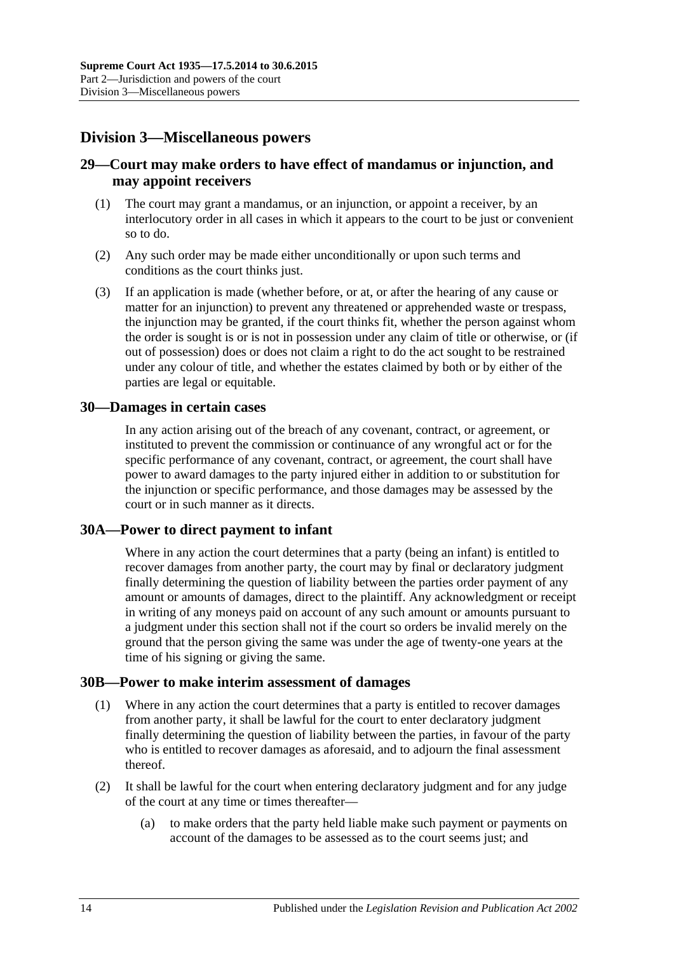# <span id="page-13-0"></span>**Division 3—Miscellaneous powers**

## <span id="page-13-1"></span>**29—Court may make orders to have effect of mandamus or injunction, and may appoint receivers**

- (1) The court may grant a mandamus, or an injunction, or appoint a receiver, by an interlocutory order in all cases in which it appears to the court to be just or convenient so to do.
- (2) Any such order may be made either unconditionally or upon such terms and conditions as the court thinks just.
- (3) If an application is made (whether before, or at, or after the hearing of any cause or matter for an injunction) to prevent any threatened or apprehended waste or trespass, the injunction may be granted, if the court thinks fit, whether the person against whom the order is sought is or is not in possession under any claim of title or otherwise, or (if out of possession) does or does not claim a right to do the act sought to be restrained under any colour of title, and whether the estates claimed by both or by either of the parties are legal or equitable.

### <span id="page-13-2"></span>**30—Damages in certain cases**

In any action arising out of the breach of any covenant, contract, or agreement, or instituted to prevent the commission or continuance of any wrongful act or for the specific performance of any covenant, contract, or agreement, the court shall have power to award damages to the party injured either in addition to or substitution for the injunction or specific performance, and those damages may be assessed by the court or in such manner as it directs.

### <span id="page-13-3"></span>**30A—Power to direct payment to infant**

Where in any action the court determines that a party (being an infant) is entitled to recover damages from another party, the court may by final or declaratory judgment finally determining the question of liability between the parties order payment of any amount or amounts of damages, direct to the plaintiff. Any acknowledgment or receipt in writing of any moneys paid on account of any such amount or amounts pursuant to a judgment under this section shall not if the court so orders be invalid merely on the ground that the person giving the same was under the age of twenty-one years at the time of his signing or giving the same.

### <span id="page-13-4"></span>**30B—Power to make interim assessment of damages**

- (1) Where in any action the court determines that a party is entitled to recover damages from another party, it shall be lawful for the court to enter declaratory judgment finally determining the question of liability between the parties, in favour of the party who is entitled to recover damages as aforesaid, and to adjourn the final assessment thereof.
- <span id="page-13-5"></span>(2) It shall be lawful for the court when entering declaratory judgment and for any judge of the court at any time or times thereafter—
	- (a) to make orders that the party held liable make such payment or payments on account of the damages to be assessed as to the court seems just; and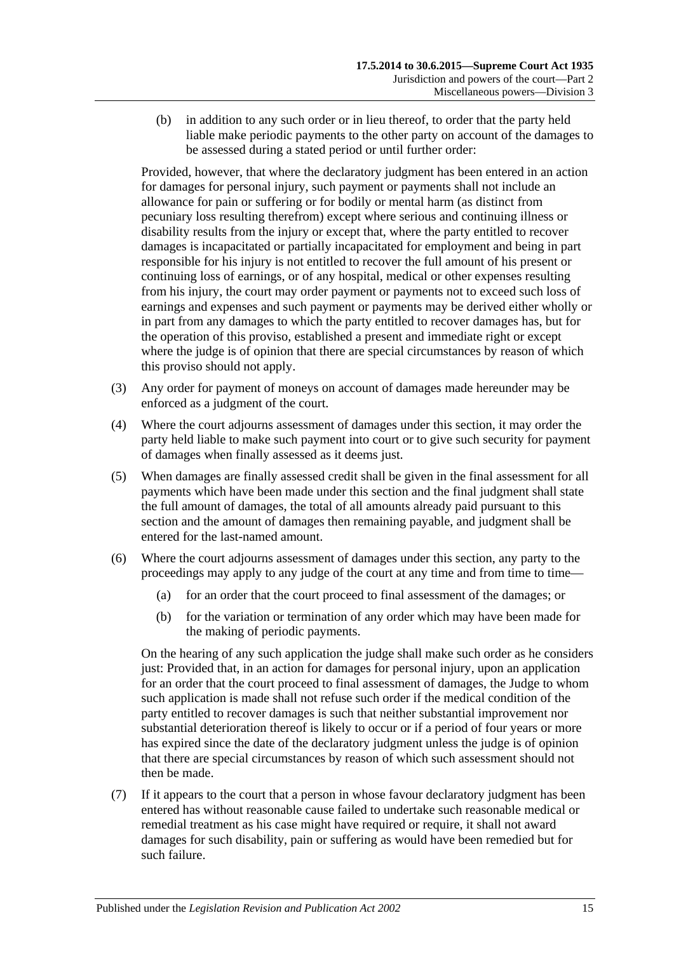(b) in addition to any such order or in lieu thereof, to order that the party held liable make periodic payments to the other party on account of the damages to be assessed during a stated period or until further order:

Provided, however, that where the declaratory judgment has been entered in an action for damages for personal injury, such payment or payments shall not include an allowance for pain or suffering or for bodily or mental harm (as distinct from pecuniary loss resulting therefrom) except where serious and continuing illness or disability results from the injury or except that, where the party entitled to recover damages is incapacitated or partially incapacitated for employment and being in part responsible for his injury is not entitled to recover the full amount of his present or continuing loss of earnings, or of any hospital, medical or other expenses resulting from his injury, the court may order payment or payments not to exceed such loss of earnings and expenses and such payment or payments may be derived either wholly or in part from any damages to which the party entitled to recover damages has, but for the operation of this proviso, established a present and immediate right or except where the judge is of opinion that there are special circumstances by reason of which this proviso should not apply.

- (3) Any order for payment of moneys on account of damages made hereunder may be enforced as a judgment of the court.
- (4) Where the court adjourns assessment of damages under this section, it may order the party held liable to make such payment into court or to give such security for payment of damages when finally assessed as it deems just.
- (5) When damages are finally assessed credit shall be given in the final assessment for all payments which have been made under this section and the final judgment shall state the full amount of damages, the total of all amounts already paid pursuant to this section and the amount of damages then remaining payable, and judgment shall be entered for the last-named amount.
- (6) Where the court adjourns assessment of damages under this section, any party to the proceedings may apply to any judge of the court at any time and from time to time—
	- (a) for an order that the court proceed to final assessment of the damages; or
	- (b) for the variation or termination of any order which may have been made for the making of periodic payments.

On the hearing of any such application the judge shall make such order as he considers just: Provided that, in an action for damages for personal injury, upon an application for an order that the court proceed to final assessment of damages, the Judge to whom such application is made shall not refuse such order if the medical condition of the party entitled to recover damages is such that neither substantial improvement nor substantial deterioration thereof is likely to occur or if a period of four years or more has expired since the date of the declaratory judgment unless the judge is of opinion that there are special circumstances by reason of which such assessment should not then be made.

(7) If it appears to the court that a person in whose favour declaratory judgment has been entered has without reasonable cause failed to undertake such reasonable medical or remedial treatment as his case might have required or require, it shall not award damages for such disability, pain or suffering as would have been remedied but for such failure.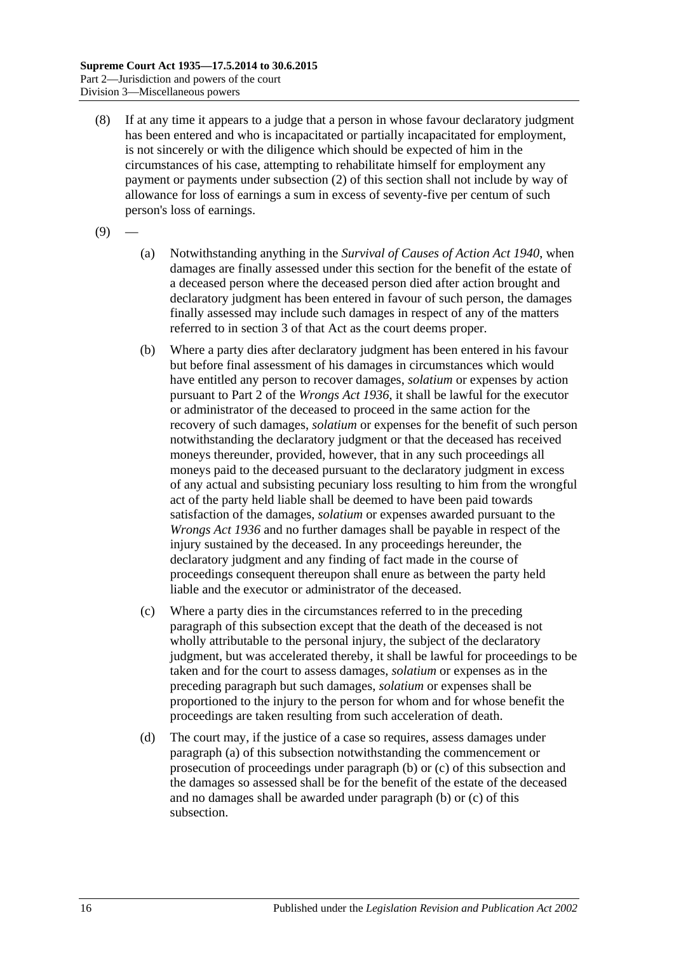- (8) If at any time it appears to a judge that a person in whose favour declaratory judgment has been entered and who is incapacitated or partially incapacitated for employment, is not sincerely or with the diligence which should be expected of him in the circumstances of his case, attempting to rehabilitate himself for employment any payment or payments under [subsection](#page-13-5) (2) of this section shall not include by way of allowance for loss of earnings a sum in excess of seventy-five per centum of such person's loss of earnings.
- <span id="page-15-0"></span> $(9)$
- (a) Notwithstanding anything in the *[Survival of Causes of Action Act](http://www.legislation.sa.gov.au/index.aspx?action=legref&type=act&legtitle=Survival%20of%20Causes%20of%20Action%20Act%201940) 1940*, when damages are finally assessed under this section for the benefit of the estate of a deceased person where the deceased person died after action brought and declaratory judgment has been entered in favour of such person, the damages finally assessed may include such damages in respect of any of the matters referred to in section 3 of that Act as the court deems proper.
- <span id="page-15-1"></span>(b) Where a party dies after declaratory judgment has been entered in his favour but before final assessment of his damages in circumstances which would have entitled any person to recover damages, *solatium* or expenses by action pursuant to Part 2 of the *[Wrongs Act](http://www.legislation.sa.gov.au/index.aspx?action=legref&type=act&legtitle=Wrongs%20Act%201936) 1936*, it shall be lawful for the executor or administrator of the deceased to proceed in the same action for the recovery of such damages, *solatium* or expenses for the benefit of such person notwithstanding the declaratory judgment or that the deceased has received moneys thereunder, provided, however, that in any such proceedings all moneys paid to the deceased pursuant to the declaratory judgment in excess of any actual and subsisting pecuniary loss resulting to him from the wrongful act of the party held liable shall be deemed to have been paid towards satisfaction of the damages, *solatium* or expenses awarded pursuant to the *[Wrongs Act](http://www.legislation.sa.gov.au/index.aspx?action=legref&type=act&legtitle=Wrongs%20Act%201936) 1936* and no further damages shall be payable in respect of the injury sustained by the deceased. In any proceedings hereunder, the declaratory judgment and any finding of fact made in the course of proceedings consequent thereupon shall enure as between the party held liable and the executor or administrator of the deceased.
- <span id="page-15-2"></span>(c) Where a party dies in the circumstances referred to in the preceding paragraph of this subsection except that the death of the deceased is not wholly attributable to the personal injury, the subject of the declaratory judgment, but was accelerated thereby, it shall be lawful for proceedings to be taken and for the court to assess damages, *solatium* or expenses as in the preceding paragraph but such damages, *solatium* or expenses shall be proportioned to the injury to the person for whom and for whose benefit the proceedings are taken resulting from such acceleration of death.
- (d) The court may, if the justice of a case so requires, assess damages under [paragraph](#page-15-0) (a) of this subsection notwithstanding the commencement or prosecution of proceedings under [paragraph](#page-15-1) (b) or [\(c\)](#page-15-2) of this subsection and the damages so assessed shall be for the benefit of the estate of the deceased and no damages shall be awarded under [paragraph](#page-15-1) (b) or [\(c\)](#page-15-2) of this subsection.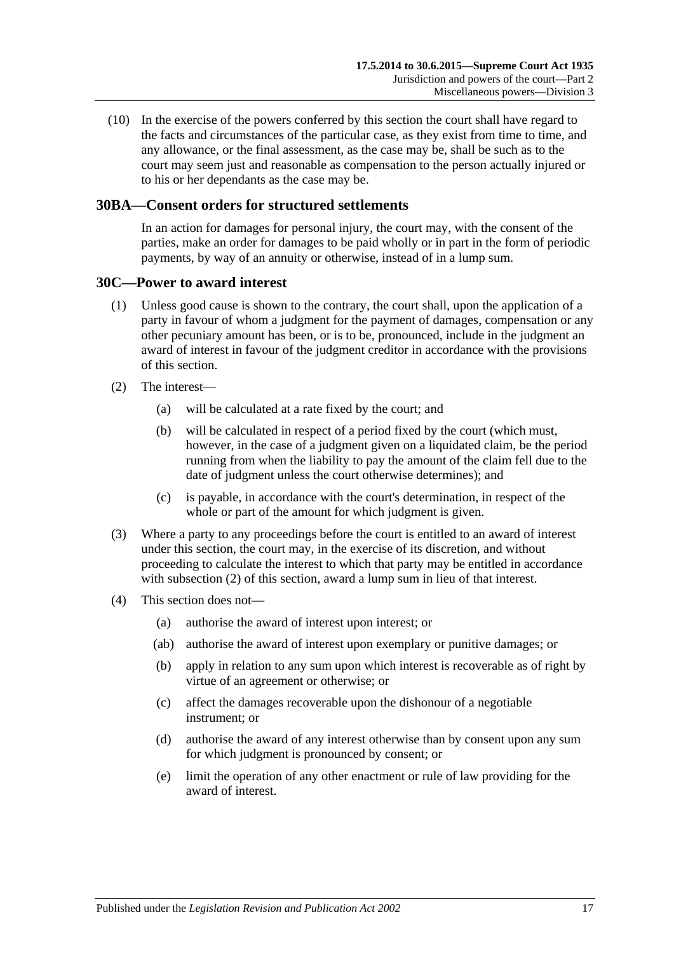(10) In the exercise of the powers conferred by this section the court shall have regard to the facts and circumstances of the particular case, as they exist from time to time, and any allowance, or the final assessment, as the case may be, shall be such as to the court may seem just and reasonable as compensation to the person actually injured or to his or her dependants as the case may be.

### <span id="page-16-0"></span>**30BA—Consent orders for structured settlements**

In an action for damages for personal injury, the court may, with the consent of the parties, make an order for damages to be paid wholly or in part in the form of periodic payments, by way of an annuity or otherwise, instead of in a lump sum.

### <span id="page-16-1"></span>**30C—Power to award interest**

- (1) Unless good cause is shown to the contrary, the court shall, upon the application of a party in favour of whom a judgment for the payment of damages, compensation or any other pecuniary amount has been, or is to be, pronounced, include in the judgment an award of interest in favour of the judgment creditor in accordance with the provisions of this section.
- <span id="page-16-2"></span>(2) The interest—
	- (a) will be calculated at a rate fixed by the court; and
	- (b) will be calculated in respect of a period fixed by the court (which must, however, in the case of a judgment given on a liquidated claim, be the period running from when the liability to pay the amount of the claim fell due to the date of judgment unless the court otherwise determines); and
	- (c) is payable, in accordance with the court's determination, in respect of the whole or part of the amount for which judgment is given.
- (3) Where a party to any proceedings before the court is entitled to an award of interest under this section, the court may, in the exercise of its discretion, and without proceeding to calculate the interest to which that party may be entitled in accordance with [subsection](#page-16-2) (2) of this section, award a lump sum in lieu of that interest.
- (4) This section does not—
	- (a) authorise the award of interest upon interest; or
	- (ab) authorise the award of interest upon exemplary or punitive damages; or
	- (b) apply in relation to any sum upon which interest is recoverable as of right by virtue of an agreement or otherwise; or
	- (c) affect the damages recoverable upon the dishonour of a negotiable instrument; or
	- (d) authorise the award of any interest otherwise than by consent upon any sum for which judgment is pronounced by consent; or
	- (e) limit the operation of any other enactment or rule of law providing for the award of interest.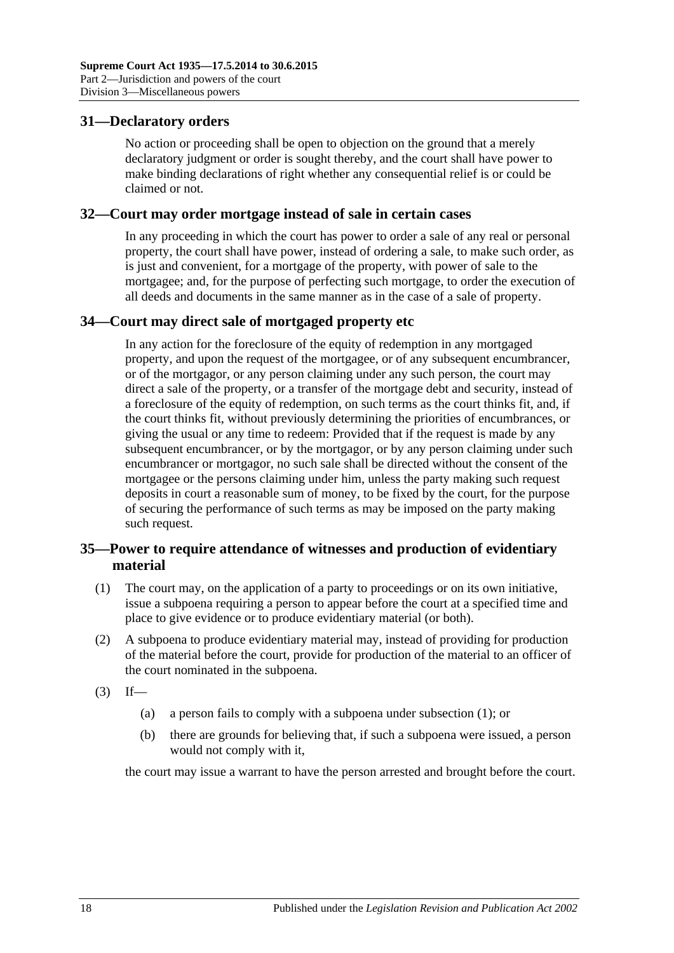### <span id="page-17-0"></span>**31—Declaratory orders**

No action or proceeding shall be open to objection on the ground that a merely declaratory judgment or order is sought thereby, and the court shall have power to make binding declarations of right whether any consequential relief is or could be claimed or not.

### <span id="page-17-1"></span>**32—Court may order mortgage instead of sale in certain cases**

In any proceeding in which the court has power to order a sale of any real or personal property, the court shall have power, instead of ordering a sale, to make such order, as is just and convenient, for a mortgage of the property, with power of sale to the mortgagee; and, for the purpose of perfecting such mortgage, to order the execution of all deeds and documents in the same manner as in the case of a sale of property.

### <span id="page-17-2"></span>**34—Court may direct sale of mortgaged property etc**

In any action for the foreclosure of the equity of redemption in any mortgaged property, and upon the request of the mortgagee, or of any subsequent encumbrancer, or of the mortgagor, or any person claiming under any such person, the court may direct a sale of the property, or a transfer of the mortgage debt and security, instead of a foreclosure of the equity of redemption, on such terms as the court thinks fit, and, if the court thinks fit, without previously determining the priorities of encumbrances, or giving the usual or any time to redeem: Provided that if the request is made by any subsequent encumbrancer, or by the mortgagor, or by any person claiming under such encumbrancer or mortgagor, no such sale shall be directed without the consent of the mortgagee or the persons claiming under him, unless the party making such request deposits in court a reasonable sum of money, to be fixed by the court, for the purpose of securing the performance of such terms as may be imposed on the party making such request.

### <span id="page-17-3"></span>**35—Power to require attendance of witnesses and production of evidentiary material**

- <span id="page-17-4"></span>(1) The court may, on the application of a party to proceedings or on its own initiative, issue a subpoena requiring a person to appear before the court at a specified time and place to give evidence or to produce evidentiary material (or both).
- (2) A subpoena to produce evidentiary material may, instead of providing for production of the material before the court, provide for production of the material to an officer of the court nominated in the subpoena.
- $(3)$  If—
	- (a) a person fails to comply with a subpoena under [subsection](#page-17-4) (1); or
	- (b) there are grounds for believing that, if such a subpoena were issued, a person would not comply with it,

the court may issue a warrant to have the person arrested and brought before the court.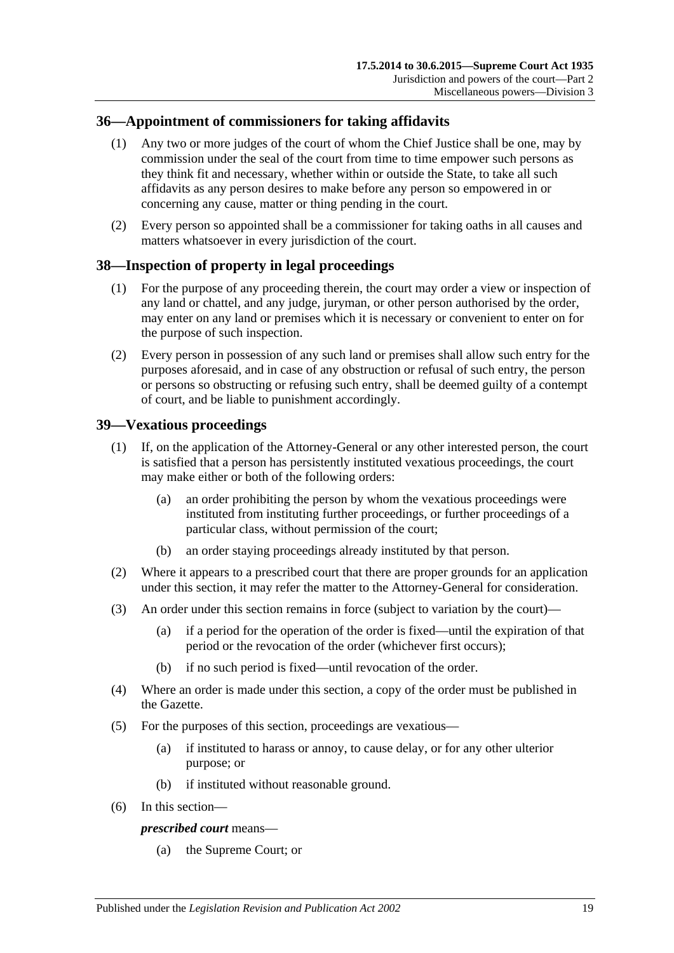## <span id="page-18-0"></span>**36—Appointment of commissioners for taking affidavits**

- (1) Any two or more judges of the court of whom the Chief Justice shall be one, may by commission under the seal of the court from time to time empower such persons as they think fit and necessary, whether within or outside the State, to take all such affidavits as any person desires to make before any person so empowered in or concerning any cause, matter or thing pending in the court.
- (2) Every person so appointed shall be a commissioner for taking oaths in all causes and matters whatsoever in every jurisdiction of the court.

### <span id="page-18-1"></span>**38—Inspection of property in legal proceedings**

- (1) For the purpose of any proceeding therein, the court may order a view or inspection of any land or chattel, and any judge, juryman, or other person authorised by the order, may enter on any land or premises which it is necessary or convenient to enter on for the purpose of such inspection.
- (2) Every person in possession of any such land or premises shall allow such entry for the purposes aforesaid, and in case of any obstruction or refusal of such entry, the person or persons so obstructing or refusing such entry, shall be deemed guilty of a contempt of court, and be liable to punishment accordingly.

## <span id="page-18-2"></span>**39—Vexatious proceedings**

- (1) If, on the application of the Attorney-General or any other interested person, the court is satisfied that a person has persistently instituted vexatious proceedings, the court may make either or both of the following orders:
	- (a) an order prohibiting the person by whom the vexatious proceedings were instituted from instituting further proceedings, or further proceedings of a particular class, without permission of the court;
	- (b) an order staying proceedings already instituted by that person.
- (2) Where it appears to a prescribed court that there are proper grounds for an application under this section, it may refer the matter to the Attorney-General for consideration.
- (3) An order under this section remains in force (subject to variation by the court)—
	- (a) if a period for the operation of the order is fixed—until the expiration of that period or the revocation of the order (whichever first occurs);
	- (b) if no such period is fixed—until revocation of the order.
- (4) Where an order is made under this section, a copy of the order must be published in the Gazette.
- (5) For the purposes of this section, proceedings are vexatious—
	- (a) if instituted to harass or annoy, to cause delay, or for any other ulterior purpose; or
	- (b) if instituted without reasonable ground.
- (6) In this section—

### *prescribed court* means—

(a) the Supreme Court; or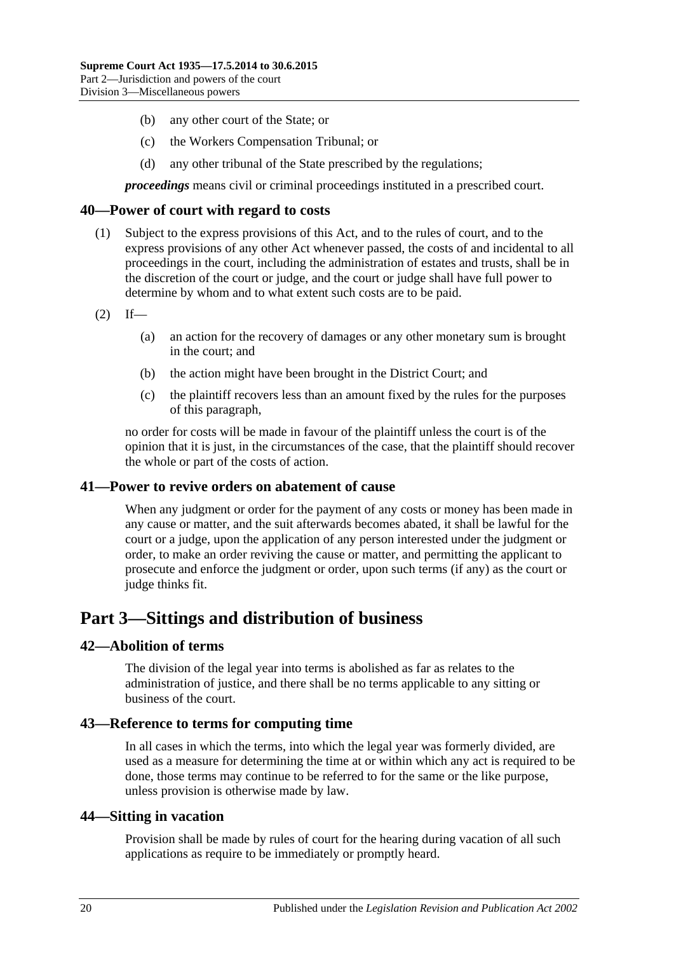- (b) any other court of the State; or
- (c) the Workers Compensation Tribunal; or
- (d) any other tribunal of the State prescribed by the regulations;

*proceedings* means civil or criminal proceedings instituted in a prescribed court.

### <span id="page-19-0"></span>**40—Power of court with regard to costs**

- (1) Subject to the express provisions of this Act, and to the rules of court, and to the express provisions of any other Act whenever passed, the costs of and incidental to all proceedings in the court, including the administration of estates and trusts, shall be in the discretion of the court or judge, and the court or judge shall have full power to determine by whom and to what extent such costs are to be paid.
- $(2)$  If—
	- (a) an action for the recovery of damages or any other monetary sum is brought in the court; and
	- (b) the action might have been brought in the District Court; and
	- (c) the plaintiff recovers less than an amount fixed by the rules for the purposes of this paragraph,

no order for costs will be made in favour of the plaintiff unless the court is of the opinion that it is just, in the circumstances of the case, that the plaintiff should recover the whole or part of the costs of action.

### <span id="page-19-1"></span>**41—Power to revive orders on abatement of cause**

When any judgment or order for the payment of any costs or money has been made in any cause or matter, and the suit afterwards becomes abated, it shall be lawful for the court or a judge, upon the application of any person interested under the judgment or order, to make an order reviving the cause or matter, and permitting the applicant to prosecute and enforce the judgment or order, upon such terms (if any) as the court or judge thinks fit.

# <span id="page-19-2"></span>**Part 3—Sittings and distribution of business**

### <span id="page-19-3"></span>**42—Abolition of terms**

The division of the legal year into terms is abolished as far as relates to the administration of justice, and there shall be no terms applicable to any sitting or business of the court.

### <span id="page-19-4"></span>**43—Reference to terms for computing time**

In all cases in which the terms, into which the legal year was formerly divided, are used as a measure for determining the time at or within which any act is required to be done, those terms may continue to be referred to for the same or the like purpose, unless provision is otherwise made by law.

### <span id="page-19-5"></span>**44—Sitting in vacation**

Provision shall be made by rules of court for the hearing during vacation of all such applications as require to be immediately or promptly heard.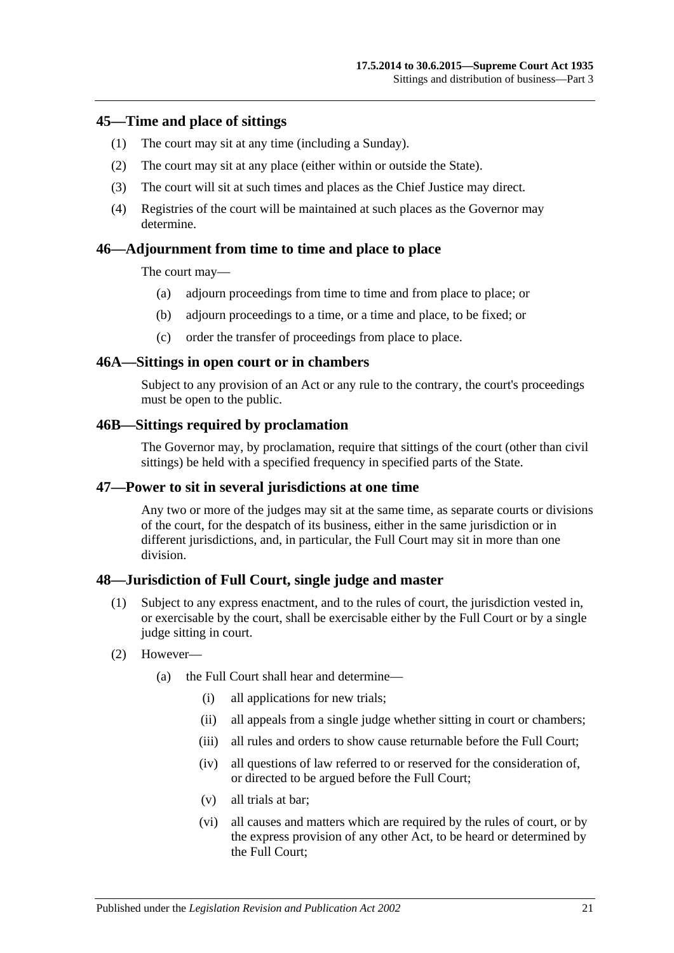### <span id="page-20-0"></span>**45—Time and place of sittings**

- (1) The court may sit at any time (including a Sunday).
- (2) The court may sit at any place (either within or outside the State).
- (3) The court will sit at such times and places as the Chief Justice may direct.
- (4) Registries of the court will be maintained at such places as the Governor may determine.

### <span id="page-20-1"></span>**46—Adjournment from time to time and place to place**

The court may—

- (a) adjourn proceedings from time to time and from place to place; or
- (b) adjourn proceedings to a time, or a time and place, to be fixed; or
- (c) order the transfer of proceedings from place to place.

### <span id="page-20-2"></span>**46A—Sittings in open court or in chambers**

Subject to any provision of an Act or any rule to the contrary, the court's proceedings must be open to the public.

### <span id="page-20-3"></span>**46B—Sittings required by proclamation**

The Governor may, by proclamation, require that sittings of the court (other than civil sittings) be held with a specified frequency in specified parts of the State.

### <span id="page-20-4"></span>**47—Power to sit in several jurisdictions at one time**

Any two or more of the judges may sit at the same time, as separate courts or divisions of the court, for the despatch of its business, either in the same jurisdiction or in different jurisdictions, and, in particular, the Full Court may sit in more than one division.

### <span id="page-20-5"></span>**48—Jurisdiction of Full Court, single judge and master**

- (1) Subject to any express enactment, and to the rules of court, the jurisdiction vested in, or exercisable by the court, shall be exercisable either by the Full Court or by a single judge sitting in court.
- (2) However—
	- (a) the Full Court shall hear and determine—
		- (i) all applications for new trials;
		- (ii) all appeals from a single judge whether sitting in court or chambers;
		- (iii) all rules and orders to show cause returnable before the Full Court:
		- (iv) all questions of law referred to or reserved for the consideration of, or directed to be argued before the Full Court;
		- (v) all trials at bar;
		- (vi) all causes and matters which are required by the rules of court, or by the express provision of any other Act, to be heard or determined by the Full Court;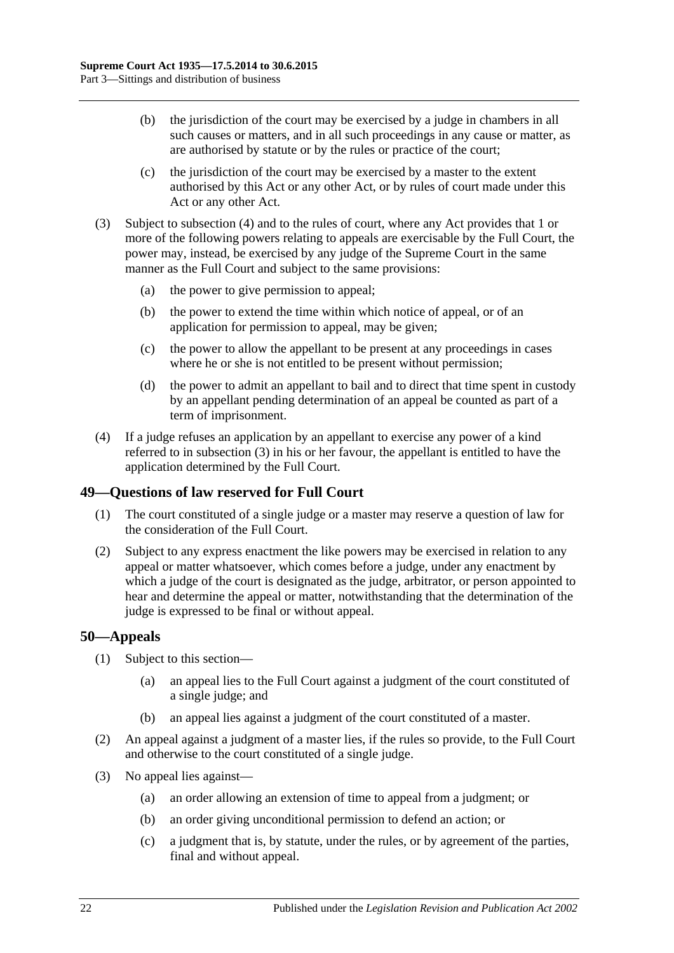- (b) the jurisdiction of the court may be exercised by a judge in chambers in all such causes or matters, and in all such proceedings in any cause or matter, as are authorised by statute or by the rules or practice of the court;
- (c) the jurisdiction of the court may be exercised by a master to the extent authorised by this Act or any other Act, or by rules of court made under this Act or any other Act.
- <span id="page-21-3"></span>(3) Subject to [subsection](#page-21-2) (4) and to the rules of court, where any Act provides that 1 or more of the following powers relating to appeals are exercisable by the Full Court, the power may, instead, be exercised by any judge of the Supreme Court in the same manner as the Full Court and subject to the same provisions:
	- (a) the power to give permission to appeal;
	- (b) the power to extend the time within which notice of appeal, or of an application for permission to appeal, may be given;
	- (c) the power to allow the appellant to be present at any proceedings in cases where he or she is not entitled to be present without permission;
	- (d) the power to admit an appellant to bail and to direct that time spent in custody by an appellant pending determination of an appeal be counted as part of a term of imprisonment.
- <span id="page-21-2"></span>(4) If a judge refuses an application by an appellant to exercise any power of a kind referred to in [subsection](#page-21-3) (3) in his or her favour, the appellant is entitled to have the application determined by the Full Court.

# <span id="page-21-0"></span>**49—Questions of law reserved for Full Court**

- (1) The court constituted of a single judge or a master may reserve a question of law for the consideration of the Full Court.
- (2) Subject to any express enactment the like powers may be exercised in relation to any appeal or matter whatsoever, which comes before a judge, under any enactment by which a judge of the court is designated as the judge, arbitrator, or person appointed to hear and determine the appeal or matter, notwithstanding that the determination of the judge is expressed to be final or without appeal.

### <span id="page-21-1"></span>**50—Appeals**

- (1) Subject to this section—
	- (a) an appeal lies to the Full Court against a judgment of the court constituted of a single judge; and
	- (b) an appeal lies against a judgment of the court constituted of a master.
- (2) An appeal against a judgment of a master lies, if the rules so provide, to the Full Court and otherwise to the court constituted of a single judge.
- (3) No appeal lies against—
	- (a) an order allowing an extension of time to appeal from a judgment; or
	- (b) an order giving unconditional permission to defend an action; or
	- (c) a judgment that is, by statute, under the rules, or by agreement of the parties, final and without appeal.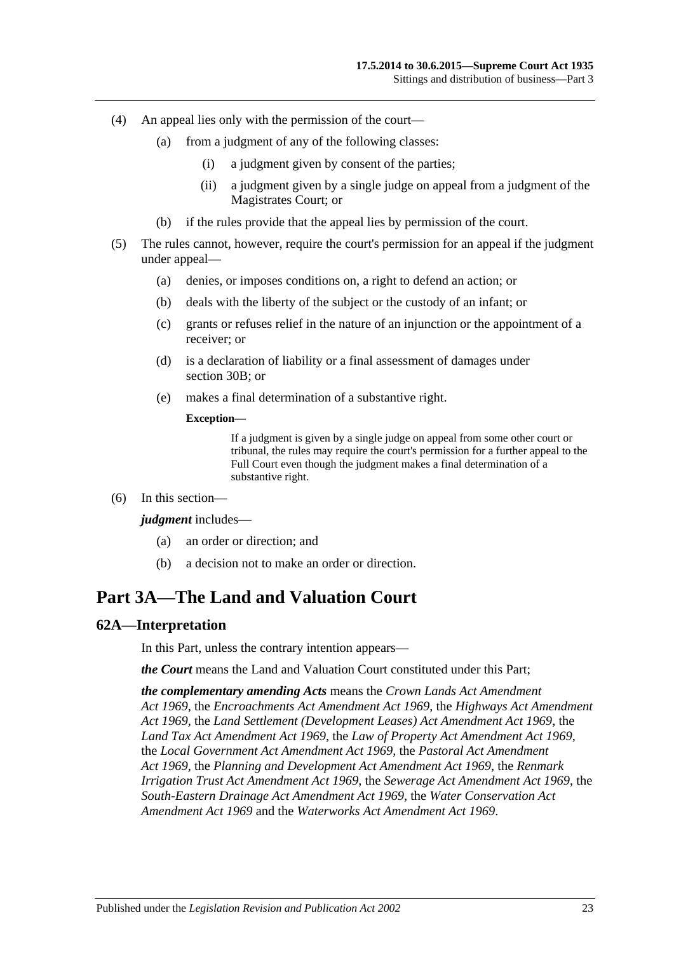- (4) An appeal lies only with the permission of the court—
	- (a) from a judgment of any of the following classes:
		- (i) a judgment given by consent of the parties;
		- (ii) a judgment given by a single judge on appeal from a judgment of the Magistrates Court; or
	- (b) if the rules provide that the appeal lies by permission of the court.
- (5) The rules cannot, however, require the court's permission for an appeal if the judgment under appeal—
	- (a) denies, or imposes conditions on, a right to defend an action; or
	- (b) deals with the liberty of the subject or the custody of an infant; or
	- (c) grants or refuses relief in the nature of an injunction or the appointment of a receiver; or
	- (d) is a declaration of liability or a final assessment of damages under [section](#page-13-4) 30B; or
	- (e) makes a final determination of a substantive right.

#### **Exception—**

If a judgment is given by a single judge on appeal from some other court or tribunal, the rules may require the court's permission for a further appeal to the Full Court even though the judgment makes a final determination of a substantive right.

(6) In this section—

#### *judgment* includes—

- (a) an order or direction; and
- (b) a decision not to make an order or direction.

# <span id="page-22-0"></span>**Part 3A—The Land and Valuation Court**

### <span id="page-22-1"></span>**62A—Interpretation**

In this Part, unless the contrary intention appears—

*the Court* means the Land and Valuation Court constituted under this Part;

*the complementary amending Acts* means the *[Crown Lands Act Amendment](http://www.legislation.sa.gov.au/index.aspx?action=legref&type=act&legtitle=Crown%20Lands%20Act%20Amendment%20Act%201969)  Act [1969](http://www.legislation.sa.gov.au/index.aspx?action=legref&type=act&legtitle=Crown%20Lands%20Act%20Amendment%20Act%201969)*, the *[Encroachments Act Amendment Act](http://www.legislation.sa.gov.au/index.aspx?action=legref&type=act&legtitle=Encroachments%20Act%20Amendment%20Act%201969) 1969*, the *[Highways Act Amendment](http://www.legislation.sa.gov.au/index.aspx?action=legref&type=act&legtitle=Highways%20Act%20Amendment%20Act%201969)  Act [1969](http://www.legislation.sa.gov.au/index.aspx?action=legref&type=act&legtitle=Highways%20Act%20Amendment%20Act%201969)*, the *[Land Settlement \(Development Leases\) Act Amendment Act](http://www.legislation.sa.gov.au/index.aspx?action=legref&type=act&legtitle=Land%20Settlement%20(Development%20Leases)%20Act%20Amendment%20Act%201969) 1969*, the *[Land Tax Act Amendment Act](http://www.legislation.sa.gov.au/index.aspx?action=legref&type=act&legtitle=Land%20Tax%20Act%20Amendment%20Act%201969) 1969*, the *[Law of Property Act Amendment Act](http://www.legislation.sa.gov.au/index.aspx?action=legref&type=act&legtitle=Law%20of%20Property%20Act%20Amendment%20Act%201969) 1969*, the *[Local Government Act Amendment Act](http://www.legislation.sa.gov.au/index.aspx?action=legref&type=act&legtitle=Local%20Government%20Act%20Amendment%20Act%201969) 1969*, the *Pastoral [Act Amendment](http://www.legislation.sa.gov.au/index.aspx?action=legref&type=act&legtitle=Pastoral%20Act%20Amendment%20Act%201969)  Act [1969](http://www.legislation.sa.gov.au/index.aspx?action=legref&type=act&legtitle=Pastoral%20Act%20Amendment%20Act%201969)*, the *[Planning and Development Act Amendment Act](http://www.legislation.sa.gov.au/index.aspx?action=legref&type=act&legtitle=Planning%20and%20Development%20Act%20Amendment%20Act%201969) 1969*, the *[Renmark](http://www.legislation.sa.gov.au/index.aspx?action=legref&type=act&legtitle=Renmark%20Irrigation%20Trust%20Act%20Amendment%20Act%201969)  [Irrigation Trust Act Amendment Act](http://www.legislation.sa.gov.au/index.aspx?action=legref&type=act&legtitle=Renmark%20Irrigation%20Trust%20Act%20Amendment%20Act%201969) 1969*, the *[Sewerage Act Amendment Act](http://www.legislation.sa.gov.au/index.aspx?action=legref&type=act&legtitle=Sewerage%20Act%20Amendment%20Act%201969) 1969*, the *[South-Eastern Drainage Act Amendment Act](http://www.legislation.sa.gov.au/index.aspx?action=legref&type=act&legtitle=South-Eastern%20Drainage%20Act%20Amendment%20Act%201969) 1969*, the *[Water Conservation Act](http://www.legislation.sa.gov.au/index.aspx?action=legref&type=act&legtitle=Water%20Conservation%20Act%20Amendment%20Act%201969)  [Amendment Act](http://www.legislation.sa.gov.au/index.aspx?action=legref&type=act&legtitle=Water%20Conservation%20Act%20Amendment%20Act%201969) 1969* and the *[Waterworks Act Amendment Act](http://www.legislation.sa.gov.au/index.aspx?action=legref&type=act&legtitle=Waterworks%20Act%20Amendment%20Act%201969) 1969*.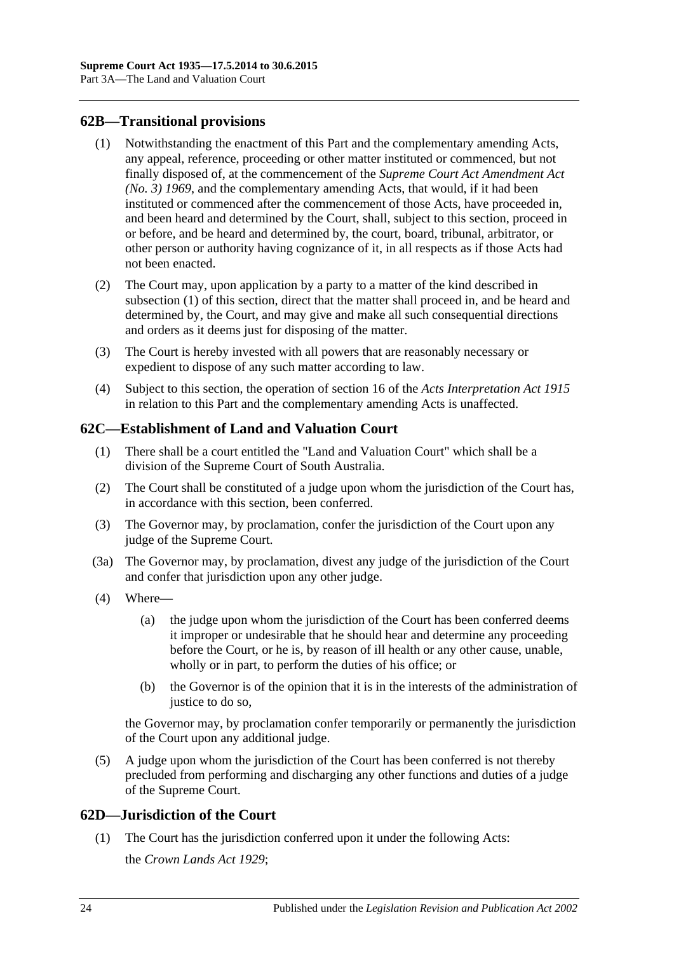## <span id="page-23-3"></span><span id="page-23-0"></span>**62B—Transitional provisions**

- (1) Notwithstanding the enactment of this Part and the complementary amending Acts, any appeal, reference, proceeding or other matter instituted or commenced, but not finally disposed of, at the commencement of the *[Supreme Court Act Amendment Act](http://www.legislation.sa.gov.au/index.aspx?action=legref&type=act&legtitle=Supreme%20Court%20Act%20Amendment%20Act%20(No.%203)%201969)  [\(No. 3\)](http://www.legislation.sa.gov.au/index.aspx?action=legref&type=act&legtitle=Supreme%20Court%20Act%20Amendment%20Act%20(No.%203)%201969) 1969*, and the complementary amending Acts, that would, if it had been instituted or commenced after the commencement of those Acts, have proceeded in, and been heard and determined by the Court, shall, subject to this section, proceed in or before, and be heard and determined by, the court, board, tribunal, arbitrator, or other person or authority having cognizance of it, in all respects as if those Acts had not been enacted.
- (2) The Court may, upon application by a party to a matter of the kind described in [subsection](#page-23-3) (1) of this section, direct that the matter shall proceed in, and be heard and determined by, the Court, and may give and make all such consequential directions and orders as it deems just for disposing of the matter.
- (3) The Court is hereby invested with all powers that are reasonably necessary or expedient to dispose of any such matter according to law.
- (4) Subject to this section, the operation of section 16 of the *[Acts Interpretation Act](http://www.legislation.sa.gov.au/index.aspx?action=legref&type=act&legtitle=Acts%20Interpretation%20Act%201915) 1915* in relation to this Part and the complementary amending Acts is unaffected.

## <span id="page-23-1"></span>**62C—Establishment of Land and Valuation Court**

- (1) There shall be a court entitled the "Land and Valuation Court" which shall be a division of the Supreme Court of South Australia.
- (2) The Court shall be constituted of a judge upon whom the jurisdiction of the Court has, in accordance with this section, been conferred.
- (3) The Governor may, by proclamation, confer the jurisdiction of the Court upon any judge of the Supreme Court.
- (3a) The Governor may, by proclamation, divest any judge of the jurisdiction of the Court and confer that jurisdiction upon any other judge.
- (4) Where—
	- (a) the judge upon whom the jurisdiction of the Court has been conferred deems it improper or undesirable that he should hear and determine any proceeding before the Court, or he is, by reason of ill health or any other cause, unable, wholly or in part, to perform the duties of his office; or
	- (b) the Governor is of the opinion that it is in the interests of the administration of justice to do so.

the Governor may, by proclamation confer temporarily or permanently the jurisdiction of the Court upon any additional judge.

(5) A judge upon whom the jurisdiction of the Court has been conferred is not thereby precluded from performing and discharging any other functions and duties of a judge of the Supreme Court.

### <span id="page-23-2"></span>**62D—Jurisdiction of the Court**

(1) The Court has the jurisdiction conferred upon it under the following Acts: the *[Crown Lands Act](http://www.legislation.sa.gov.au/index.aspx?action=legref&type=act&legtitle=Crown%20Lands%20Act%201929) 1929*;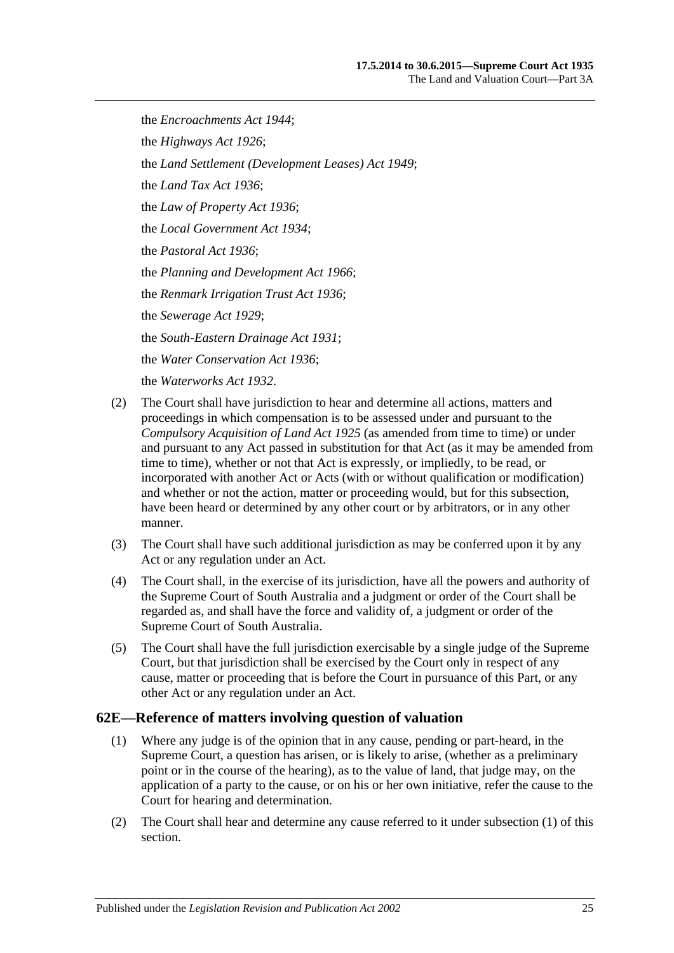the *[Encroachments Act](http://www.legislation.sa.gov.au/index.aspx?action=legref&type=act&legtitle=Encroachments%20Act%201944) 1944*; the *[Highways Act](http://www.legislation.sa.gov.au/index.aspx?action=legref&type=act&legtitle=Highways%20Act%201926) 1926*; the *[Land Settlement \(Development Leases\) Act](http://www.legislation.sa.gov.au/index.aspx?action=legref&type=act&legtitle=Land%20Settlement%20(Development%20Leases)%20Act%201949) 1949*; the *[Land Tax Act](http://www.legislation.sa.gov.au/index.aspx?action=legref&type=act&legtitle=Land%20Tax%20Act%201936) 1936*; the *[Law of Property Act](http://www.legislation.sa.gov.au/index.aspx?action=legref&type=act&legtitle=Law%20of%20Property%20Act%201936) 1936*; the *[Local Government Act](http://www.legislation.sa.gov.au/index.aspx?action=legref&type=act&legtitle=Local%20Government%20Act%201934) 1934*; the *[Pastoral Act](http://www.legislation.sa.gov.au/index.aspx?action=legref&type=act&legtitle=Pastoral%20Act%201936) 1936*; the *[Planning and Development Act](http://www.legislation.sa.gov.au/index.aspx?action=legref&type=act&legtitle=Planning%20and%20Development%20Act%201966) 1966*; the *[Renmark Irrigation Trust Act](http://www.legislation.sa.gov.au/index.aspx?action=legref&type=act&legtitle=Renmark%20Irrigation%20Trust%20Act%201936) 1936*; the *[Sewerage Act](http://www.legislation.sa.gov.au/index.aspx?action=legref&type=act&legtitle=Sewerage%20Act%201929) 1929*; the *[South-Eastern Drainage Act](http://www.legislation.sa.gov.au/index.aspx?action=legref&type=act&legtitle=South-Eastern%20Drainage%20Act%201931) 1931*; the *[Water Conservation Act](http://www.legislation.sa.gov.au/index.aspx?action=legref&type=act&legtitle=Water%20Conservation%20Act%201936) 1936*; the *[Waterworks Act](http://www.legislation.sa.gov.au/index.aspx?action=legref&type=act&legtitle=Waterworks%20Act%201932) 1932*.

- (2) The Court shall have jurisdiction to hear and determine all actions, matters and proceedings in which compensation is to be assessed under and pursuant to the *[Compulsory Acquisition of Land Act](http://www.legislation.sa.gov.au/index.aspx?action=legref&type=act&legtitle=Compulsory%20Acquisition%20of%20Land%20Act%201925) 1925* (as amended from time to time) or under and pursuant to any Act passed in substitution for that Act (as it may be amended from time to time), whether or not that Act is expressly, or impliedly, to be read, or incorporated with another Act or Acts (with or without qualification or modification) and whether or not the action, matter or proceeding would, but for this subsection, have been heard or determined by any other court or by arbitrators, or in any other manner.
- (3) The Court shall have such additional jurisdiction as may be conferred upon it by any Act or any regulation under an Act.
- (4) The Court shall, in the exercise of its jurisdiction, have all the powers and authority of the Supreme Court of South Australia and a judgment or order of the Court shall be regarded as, and shall have the force and validity of, a judgment or order of the Supreme Court of South Australia.
- (5) The Court shall have the full jurisdiction exercisable by a single judge of the Supreme Court, but that jurisdiction shall be exercised by the Court only in respect of any cause, matter or proceeding that is before the Court in pursuance of this Part, or any other Act or any regulation under an Act.

### <span id="page-24-1"></span><span id="page-24-0"></span>**62E—Reference of matters involving question of valuation**

- (1) Where any judge is of the opinion that in any cause, pending or part-heard, in the Supreme Court, a question has arisen, or is likely to arise, (whether as a preliminary point or in the course of the hearing), as to the value of land, that judge may, on the application of a party to the cause, or on his or her own initiative, refer the cause to the Court for hearing and determination.
- (2) The Court shall hear and determine any cause referred to it under [subsection](#page-24-1) (1) of this section.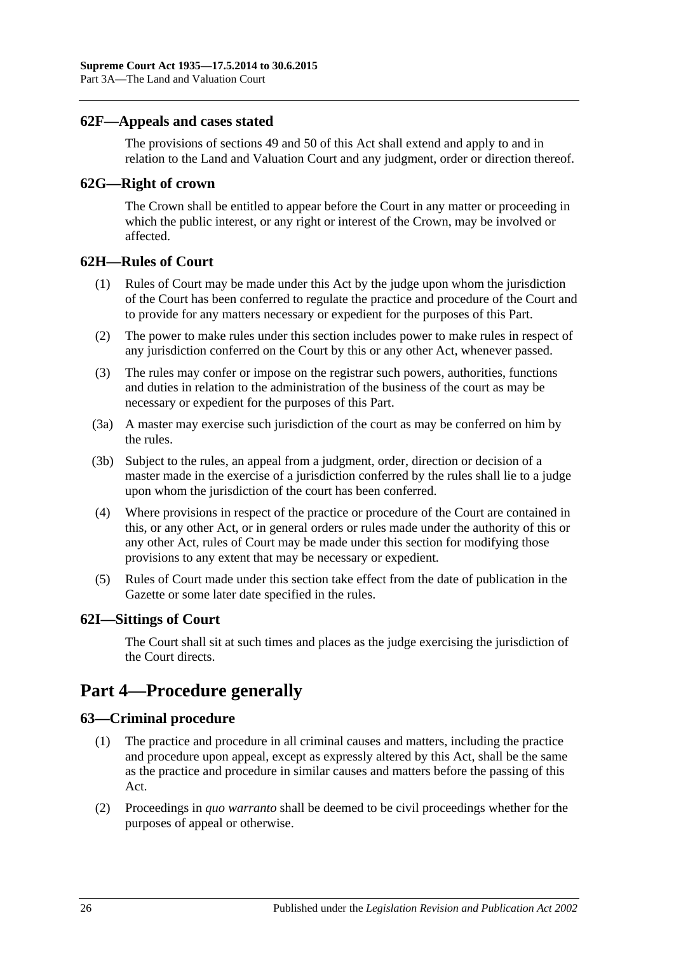### <span id="page-25-0"></span>**62F—Appeals and cases stated**

The provisions of [sections](#page-21-0) 49 and [50](#page-21-1) of this Act shall extend and apply to and in relation to the Land and Valuation Court and any judgment, order or direction thereof.

### <span id="page-25-1"></span>**62G—Right of crown**

The Crown shall be entitled to appear before the Court in any matter or proceeding in which the public interest, or any right or interest of the Crown, may be involved or affected.

### <span id="page-25-2"></span>**62H—Rules of Court**

- (1) Rules of Court may be made under this Act by the judge upon whom the jurisdiction of the Court has been conferred to regulate the practice and procedure of the Court and to provide for any matters necessary or expedient for the purposes of this Part.
- (2) The power to make rules under this section includes power to make rules in respect of any jurisdiction conferred on the Court by this or any other Act, whenever passed.
- (3) The rules may confer or impose on the registrar such powers, authorities, functions and duties in relation to the administration of the business of the court as may be necessary or expedient for the purposes of this Part.
- (3a) A master may exercise such jurisdiction of the court as may be conferred on him by the rules.
- (3b) Subject to the rules, an appeal from a judgment, order, direction or decision of a master made in the exercise of a jurisdiction conferred by the rules shall lie to a judge upon whom the jurisdiction of the court has been conferred.
- (4) Where provisions in respect of the practice or procedure of the Court are contained in this, or any other Act, or in general orders or rules made under the authority of this or any other Act, rules of Court may be made under this section for modifying those provisions to any extent that may be necessary or expedient.
- (5) Rules of Court made under this section take effect from the date of publication in the Gazette or some later date specified in the rules.

### <span id="page-25-3"></span>**62I—Sittings of Court**

The Court shall sit at such times and places as the judge exercising the jurisdiction of the Court directs.

# <span id="page-25-4"></span>**Part 4—Procedure generally**

### <span id="page-25-5"></span>**63—Criminal procedure**

- (1) The practice and procedure in all criminal causes and matters, including the practice and procedure upon appeal, except as expressly altered by this Act, shall be the same as the practice and procedure in similar causes and matters before the passing of this Act.
- (2) Proceedings in *quo warranto* shall be deemed to be civil proceedings whether for the purposes of appeal or otherwise.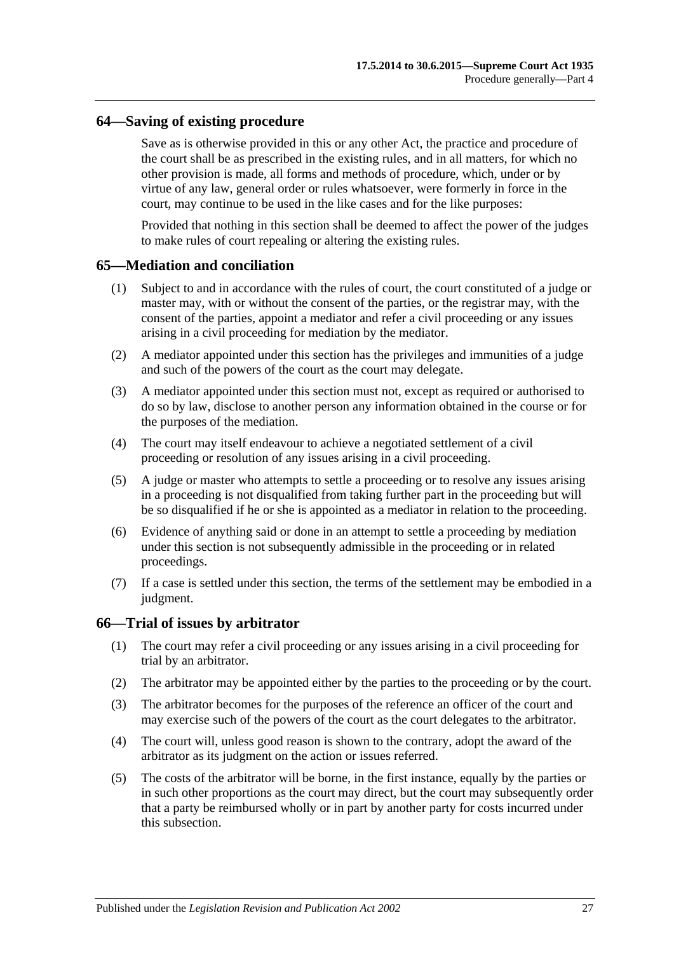### <span id="page-26-0"></span>**64—Saving of existing procedure**

Save as is otherwise provided in this or any other Act, the practice and procedure of the court shall be as prescribed in the existing rules, and in all matters, for which no other provision is made, all forms and methods of procedure, which, under or by virtue of any law, general order or rules whatsoever, were formerly in force in the court, may continue to be used in the like cases and for the like purposes:

Provided that nothing in this section shall be deemed to affect the power of the judges to make rules of court repealing or altering the existing rules.

### <span id="page-26-1"></span>**65—Mediation and conciliation**

- (1) Subject to and in accordance with the rules of court, the court constituted of a judge or master may, with or without the consent of the parties, or the registrar may, with the consent of the parties, appoint a mediator and refer a civil proceeding or any issues arising in a civil proceeding for mediation by the mediator.
- (2) A mediator appointed under this section has the privileges and immunities of a judge and such of the powers of the court as the court may delegate.
- (3) A mediator appointed under this section must not, except as required or authorised to do so by law, disclose to another person any information obtained in the course or for the purposes of the mediation.
- (4) The court may itself endeavour to achieve a negotiated settlement of a civil proceeding or resolution of any issues arising in a civil proceeding.
- (5) A judge or master who attempts to settle a proceeding or to resolve any issues arising in a proceeding is not disqualified from taking further part in the proceeding but will be so disqualified if he or she is appointed as a mediator in relation to the proceeding.
- (6) Evidence of anything said or done in an attempt to settle a proceeding by mediation under this section is not subsequently admissible in the proceeding or in related proceedings.
- (7) If a case is settled under this section, the terms of the settlement may be embodied in a judgment.

#### <span id="page-26-2"></span>**66—Trial of issues by arbitrator**

- (1) The court may refer a civil proceeding or any issues arising in a civil proceeding for trial by an arbitrator.
- (2) The arbitrator may be appointed either by the parties to the proceeding or by the court.
- (3) The arbitrator becomes for the purposes of the reference an officer of the court and may exercise such of the powers of the court as the court delegates to the arbitrator.
- (4) The court will, unless good reason is shown to the contrary, adopt the award of the arbitrator as its judgment on the action or issues referred.
- (5) The costs of the arbitrator will be borne, in the first instance, equally by the parties or in such other proportions as the court may direct, but the court may subsequently order that a party be reimbursed wholly or in part by another party for costs incurred under this subsection.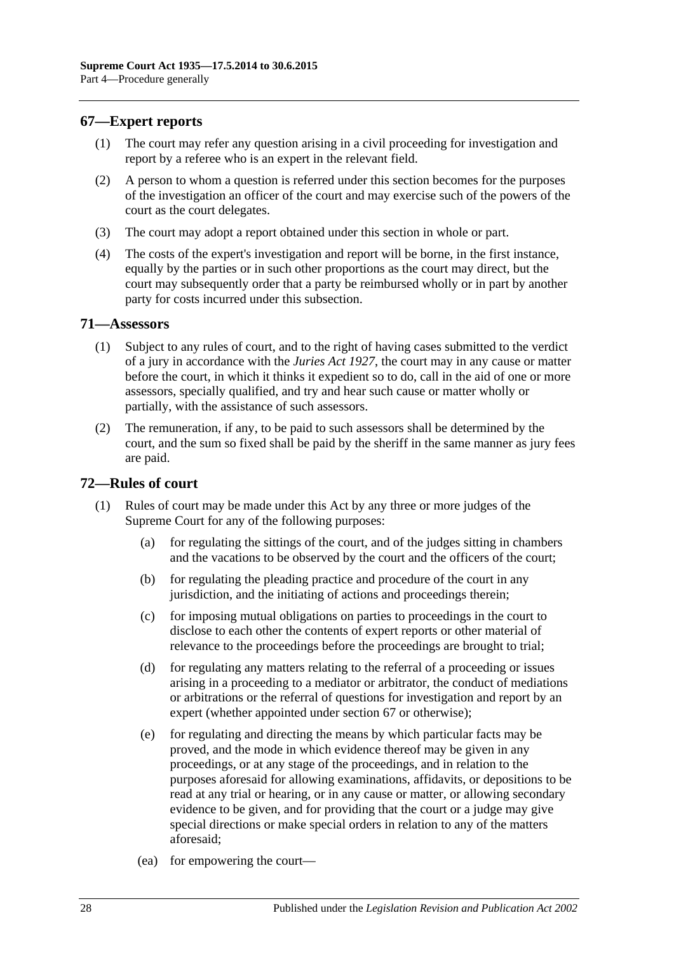### <span id="page-27-0"></span>**67—Expert reports**

- (1) The court may refer any question arising in a civil proceeding for investigation and report by a referee who is an expert in the relevant field.
- (2) A person to whom a question is referred under this section becomes for the purposes of the investigation an officer of the court and may exercise such of the powers of the court as the court delegates.
- (3) The court may adopt a report obtained under this section in whole or part.
- (4) The costs of the expert's investigation and report will be borne, in the first instance, equally by the parties or in such other proportions as the court may direct, but the court may subsequently order that a party be reimbursed wholly or in part by another party for costs incurred under this subsection.

### <span id="page-27-1"></span>**71—Assessors**

- (1) Subject to any rules of court, and to the right of having cases submitted to the verdict of a jury in accordance with the *[Juries Act](http://www.legislation.sa.gov.au/index.aspx?action=legref&type=act&legtitle=Juries%20Act%201927) 1927*, the court may in any cause or matter before the court, in which it thinks it expedient so to do, call in the aid of one or more assessors, specially qualified, and try and hear such cause or matter wholly or partially, with the assistance of such assessors.
- (2) The remuneration, if any, to be paid to such assessors shall be determined by the court, and the sum so fixed shall be paid by the sheriff in the same manner as jury fees are paid.

### <span id="page-27-2"></span>**72—Rules of court**

- (1) Rules of court may be made under this Act by any three or more judges of the Supreme Court for any of the following purposes:
	- (a) for regulating the sittings of the court, and of the judges sitting in chambers and the vacations to be observed by the court and the officers of the court;
	- (b) for regulating the pleading practice and procedure of the court in any jurisdiction, and the initiating of actions and proceedings therein;
	- (c) for imposing mutual obligations on parties to proceedings in the court to disclose to each other the contents of expert reports or other material of relevance to the proceedings before the proceedings are brought to trial;
	- (d) for regulating any matters relating to the referral of a proceeding or issues arising in a proceeding to a mediator or arbitrator, the conduct of mediations or arbitrations or the referral of questions for investigation and report by an expert (whether appointed under [section](#page-27-0) 67 or otherwise);
	- (e) for regulating and directing the means by which particular facts may be proved, and the mode in which evidence thereof may be given in any proceedings, or at any stage of the proceedings, and in relation to the purposes aforesaid for allowing examinations, affidavits, or depositions to be read at any trial or hearing, or in any cause or matter, or allowing secondary evidence to be given, and for providing that the court or a judge may give special directions or make special orders in relation to any of the matters aforesaid;
	- (ea) for empowering the court—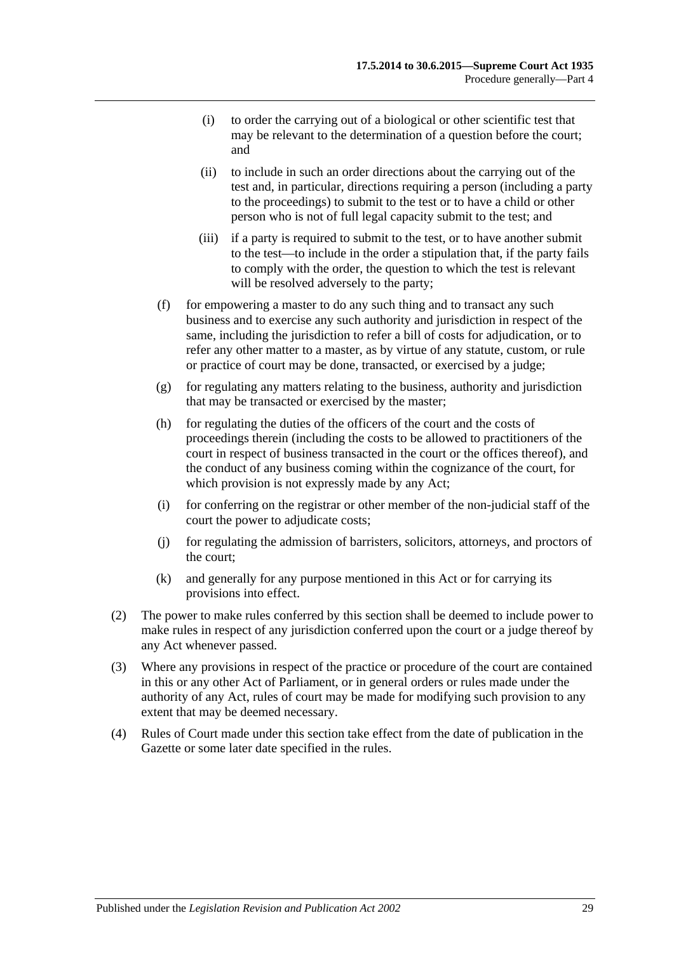- (i) to order the carrying out of a biological or other scientific test that may be relevant to the determination of a question before the court; and
- (ii) to include in such an order directions about the carrying out of the test and, in particular, directions requiring a person (including a party to the proceedings) to submit to the test or to have a child or other person who is not of full legal capacity submit to the test; and
- (iii) if a party is required to submit to the test, or to have another submit to the test—to include in the order a stipulation that, if the party fails to comply with the order, the question to which the test is relevant will be resolved adversely to the party;
- (f) for empowering a master to do any such thing and to transact any such business and to exercise any such authority and jurisdiction in respect of the same, including the jurisdiction to refer a bill of costs for adjudication, or to refer any other matter to a master, as by virtue of any statute, custom, or rule or practice of court may be done, transacted, or exercised by a judge;
- (g) for regulating any matters relating to the business, authority and jurisdiction that may be transacted or exercised by the master;
- (h) for regulating the duties of the officers of the court and the costs of proceedings therein (including the costs to be allowed to practitioners of the court in respect of business transacted in the court or the offices thereof), and the conduct of any business coming within the cognizance of the court, for which provision is not expressly made by any Act;
- (i) for conferring on the registrar or other member of the non-judicial staff of the court the power to adjudicate costs;
- (j) for regulating the admission of barristers, solicitors, attorneys, and proctors of the court;
- (k) and generally for any purpose mentioned in this Act or for carrying its provisions into effect.
- (2) The power to make rules conferred by this section shall be deemed to include power to make rules in respect of any jurisdiction conferred upon the court or a judge thereof by any Act whenever passed.
- (3) Where any provisions in respect of the practice or procedure of the court are contained in this or any other Act of Parliament, or in general orders or rules made under the authority of any Act, rules of court may be made for modifying such provision to any extent that may be deemed necessary.
- (4) Rules of Court made under this section take effect from the date of publication in the Gazette or some later date specified in the rules.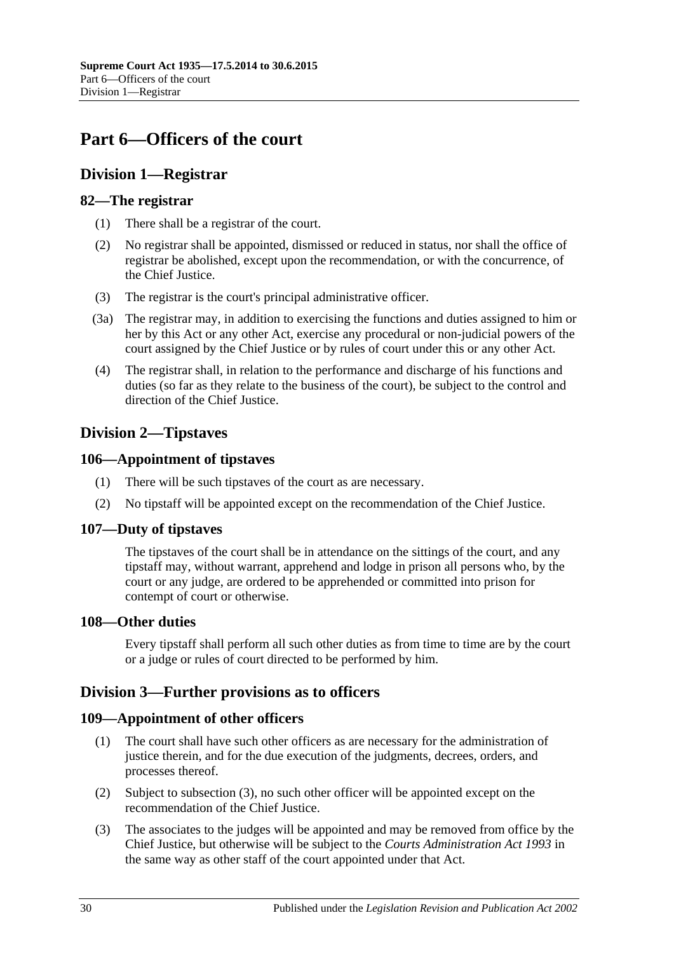# <span id="page-29-0"></span>**Part 6—Officers of the court**

# <span id="page-29-1"></span>**Division 1—Registrar**

## <span id="page-29-2"></span>**82—The registrar**

- (1) There shall be a registrar of the court.
- (2) No registrar shall be appointed, dismissed or reduced in status, nor shall the office of registrar be abolished, except upon the recommendation, or with the concurrence, of the Chief Justice.
- (3) The registrar is the court's principal administrative officer.
- (3a) The registrar may, in addition to exercising the functions and duties assigned to him or her by this Act or any other Act, exercise any procedural or non-judicial powers of the court assigned by the Chief Justice or by rules of court under this or any other Act.
- (4) The registrar shall, in relation to the performance and discharge of his functions and duties (so far as they relate to the business of the court), be subject to the control and direction of the Chief Justice.

# <span id="page-29-3"></span>**Division 2—Tipstaves**

### <span id="page-29-4"></span>**106—Appointment of tipstaves**

- (1) There will be such tipstaves of the court as are necessary.
- (2) No tipstaff will be appointed except on the recommendation of the Chief Justice.

### <span id="page-29-5"></span>**107—Duty of tipstaves**

The tipstaves of the court shall be in attendance on the sittings of the court, and any tipstaff may, without warrant, apprehend and lodge in prison all persons who, by the court or any judge, are ordered to be apprehended or committed into prison for contempt of court or otherwise.

### <span id="page-29-6"></span>**108—Other duties**

Every tipstaff shall perform all such other duties as from time to time are by the court or a judge or rules of court directed to be performed by him.

# <span id="page-29-7"></span>**Division 3—Further provisions as to officers**

# <span id="page-29-8"></span>**109—Appointment of other officers**

- (1) The court shall have such other officers as are necessary for the administration of justice therein, and for the due execution of the judgments, decrees, orders, and processes thereof.
- (2) Subject to [subsection](#page-29-9) (3), no such other officer will be appointed except on the recommendation of the Chief Justice.
- <span id="page-29-9"></span>(3) The associates to the judges will be appointed and may be removed from office by the Chief Justice, but otherwise will be subject to the *[Courts Administration Act](http://www.legislation.sa.gov.au/index.aspx?action=legref&type=act&legtitle=Courts%20Administration%20Act%201993) 1993* in the same way as other staff of the court appointed under that Act.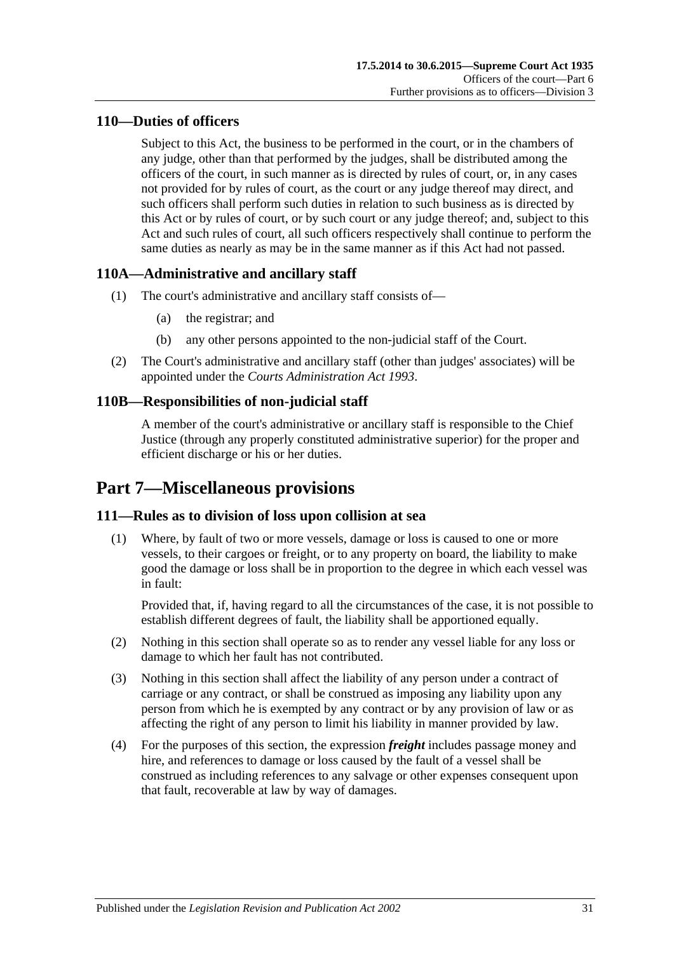# <span id="page-30-0"></span>**110—Duties of officers**

Subject to this Act, the business to be performed in the court, or in the chambers of any judge, other than that performed by the judges, shall be distributed among the officers of the court, in such manner as is directed by rules of court, or, in any cases not provided for by rules of court, as the court or any judge thereof may direct, and such officers shall perform such duties in relation to such business as is directed by this Act or by rules of court, or by such court or any judge thereof; and, subject to this Act and such rules of court, all such officers respectively shall continue to perform the same duties as nearly as may be in the same manner as if this Act had not passed.

# <span id="page-30-1"></span>**110A—Administrative and ancillary staff**

- (1) The court's administrative and ancillary staff consists of—
	- (a) the registrar; and
	- (b) any other persons appointed to the non-judicial staff of the Court.
- (2) The Court's administrative and ancillary staff (other than judges' associates) will be appointed under the *[Courts Administration Act](http://www.legislation.sa.gov.au/index.aspx?action=legref&type=act&legtitle=Courts%20Administration%20Act%201993) 1993*.

# <span id="page-30-2"></span>**110B—Responsibilities of non-judicial staff**

A member of the court's administrative or ancillary staff is responsible to the Chief Justice (through any properly constituted administrative superior) for the proper and efficient discharge or his or her duties.

# <span id="page-30-3"></span>**Part 7—Miscellaneous provisions**

# <span id="page-30-4"></span>**111—Rules as to division of loss upon collision at sea**

(1) Where, by fault of two or more vessels, damage or loss is caused to one or more vessels, to their cargoes or freight, or to any property on board, the liability to make good the damage or loss shall be in proportion to the degree in which each vessel was in fault:

Provided that, if, having regard to all the circumstances of the case, it is not possible to establish different degrees of fault, the liability shall be apportioned equally.

- (2) Nothing in this section shall operate so as to render any vessel liable for any loss or damage to which her fault has not contributed.
- (3) Nothing in this section shall affect the liability of any person under a contract of carriage or any contract, or shall be construed as imposing any liability upon any person from which he is exempted by any contract or by any provision of law or as affecting the right of any person to limit his liability in manner provided by law.
- (4) For the purposes of this section, the expression *freight* includes passage money and hire, and references to damage or loss caused by the fault of a vessel shall be construed as including references to any salvage or other expenses consequent upon that fault, recoverable at law by way of damages.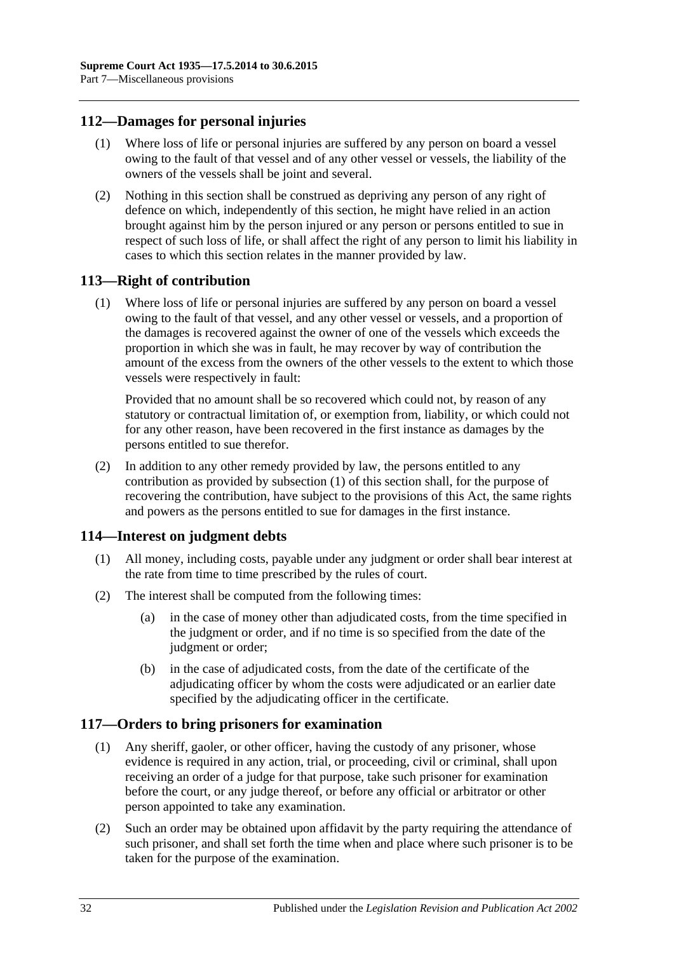## <span id="page-31-0"></span>**112—Damages for personal injuries**

- (1) Where loss of life or personal injuries are suffered by any person on board a vessel owing to the fault of that vessel and of any other vessel or vessels, the liability of the owners of the vessels shall be joint and several.
- (2) Nothing in this section shall be construed as depriving any person of any right of defence on which, independently of this section, he might have relied in an action brought against him by the person injured or any person or persons entitled to sue in respect of such loss of life, or shall affect the right of any person to limit his liability in cases to which this section relates in the manner provided by law.

### <span id="page-31-4"></span><span id="page-31-1"></span>**113—Right of contribution**

(1) Where loss of life or personal injuries are suffered by any person on board a vessel owing to the fault of that vessel, and any other vessel or vessels, and a proportion of the damages is recovered against the owner of one of the vessels which exceeds the proportion in which she was in fault, he may recover by way of contribution the amount of the excess from the owners of the other vessels to the extent to which those vessels were respectively in fault:

Provided that no amount shall be so recovered which could not, by reason of any statutory or contractual limitation of, or exemption from, liability, or which could not for any other reason, have been recovered in the first instance as damages by the persons entitled to sue therefor.

(2) In addition to any other remedy provided by law, the persons entitled to any contribution as provided by [subsection](#page-31-4) (1) of this section shall, for the purpose of recovering the contribution, have subject to the provisions of this Act, the same rights and powers as the persons entitled to sue for damages in the first instance.

### <span id="page-31-2"></span>**114—Interest on judgment debts**

- (1) All money, including costs, payable under any judgment or order shall bear interest at the rate from time to time prescribed by the rules of court.
- (2) The interest shall be computed from the following times:
	- (a) in the case of money other than adjudicated costs, from the time specified in the judgment or order, and if no time is so specified from the date of the judgment or order;
	- (b) in the case of adjudicated costs, from the date of the certificate of the adjudicating officer by whom the costs were adjudicated or an earlier date specified by the adjudicating officer in the certificate.

# <span id="page-31-3"></span>**117—Orders to bring prisoners for examination**

- (1) Any sheriff, gaoler, or other officer, having the custody of any prisoner, whose evidence is required in any action, trial, or proceeding, civil or criminal, shall upon receiving an order of a judge for that purpose, take such prisoner for examination before the court, or any judge thereof, or before any official or arbitrator or other person appointed to take any examination.
- (2) Such an order may be obtained upon affidavit by the party requiring the attendance of such prisoner, and shall set forth the time when and place where such prisoner is to be taken for the purpose of the examination.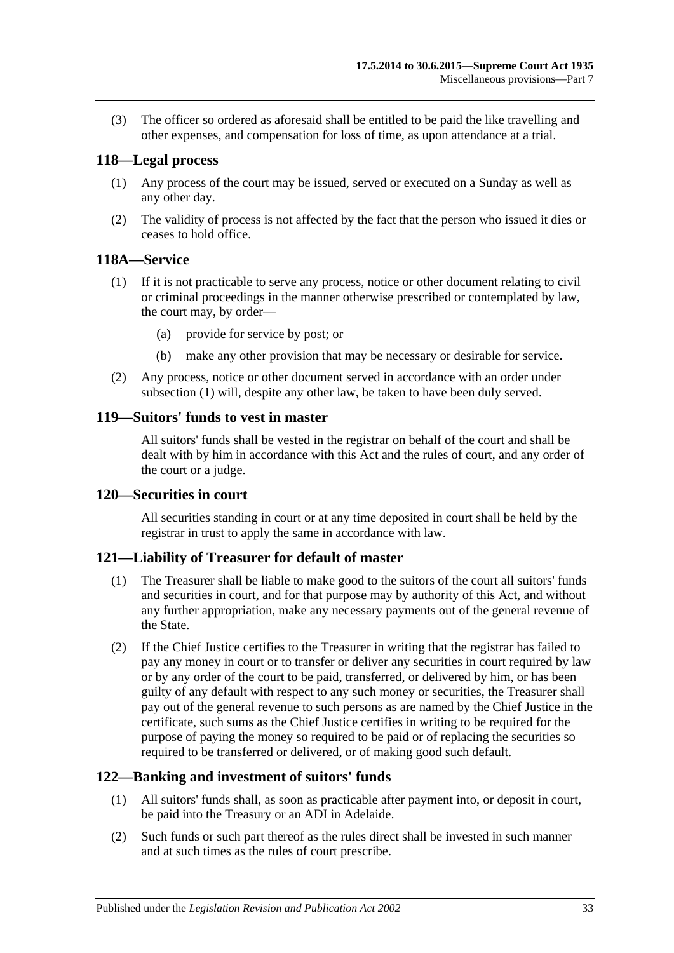(3) The officer so ordered as aforesaid shall be entitled to be paid the like travelling and other expenses, and compensation for loss of time, as upon attendance at a trial.

### <span id="page-32-0"></span>**118—Legal process**

- (1) Any process of the court may be issued, served or executed on a Sunday as well as any other day.
- (2) The validity of process is not affected by the fact that the person who issued it dies or ceases to hold office.

### <span id="page-32-6"></span><span id="page-32-1"></span>**118A—Service**

- (1) If it is not practicable to serve any process, notice or other document relating to civil or criminal proceedings in the manner otherwise prescribed or contemplated by law, the court may, by order—
	- (a) provide for service by post; or
	- (b) make any other provision that may be necessary or desirable for service.
- (2) Any process, notice or other document served in accordance with an order under [subsection](#page-32-6) (1) will, despite any other law, be taken to have been duly served.

### <span id="page-32-2"></span>**119—Suitors' funds to vest in master**

All suitors' funds shall be vested in the registrar on behalf of the court and shall be dealt with by him in accordance with this Act and the rules of court, and any order of the court or a judge.

### <span id="page-32-3"></span>**120—Securities in court**

All securities standing in court or at any time deposited in court shall be held by the registrar in trust to apply the same in accordance with law.

### <span id="page-32-4"></span>**121—Liability of Treasurer for default of master**

- (1) The Treasurer shall be liable to make good to the suitors of the court all suitors' funds and securities in court, and for that purpose may by authority of this Act, and without any further appropriation, make any necessary payments out of the general revenue of the State.
- (2) If the Chief Justice certifies to the Treasurer in writing that the registrar has failed to pay any money in court or to transfer or deliver any securities in court required by law or by any order of the court to be paid, transferred, or delivered by him, or has been guilty of any default with respect to any such money or securities, the Treasurer shall pay out of the general revenue to such persons as are named by the Chief Justice in the certificate, such sums as the Chief Justice certifies in writing to be required for the purpose of paying the money so required to be paid or of replacing the securities so required to be transferred or delivered, or of making good such default.

### <span id="page-32-5"></span>**122—Banking and investment of suitors' funds**

- (1) All suitors' funds shall, as soon as practicable after payment into, or deposit in court, be paid into the Treasury or an ADI in Adelaide.
- (2) Such funds or such part thereof as the rules direct shall be invested in such manner and at such times as the rules of court prescribe.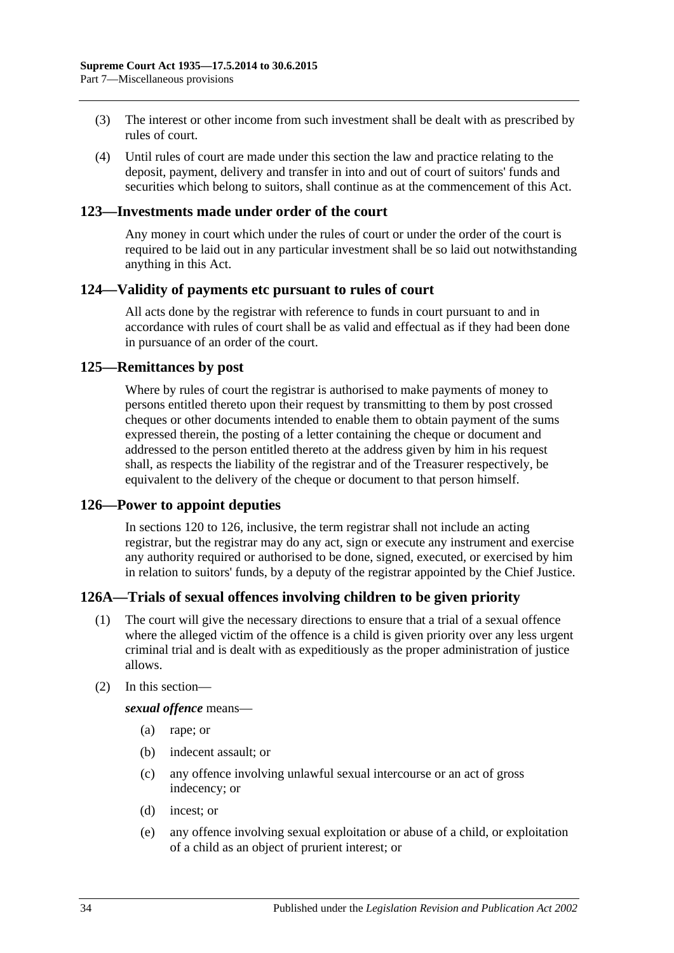- (3) The interest or other income from such investment shall be dealt with as prescribed by rules of court.
- (4) Until rules of court are made under this section the law and practice relating to the deposit, payment, delivery and transfer in into and out of court of suitors' funds and securities which belong to suitors, shall continue as at the commencement of this Act.

### <span id="page-33-0"></span>**123—Investments made under order of the court**

Any money in court which under the rules of court or under the order of the court is required to be laid out in any particular investment shall be so laid out notwithstanding anything in this Act.

### <span id="page-33-1"></span>**124—Validity of payments etc pursuant to rules of court**

All acts done by the registrar with reference to funds in court pursuant to and in accordance with rules of court shall be as valid and effectual as if they had been done in pursuance of an order of the court.

### <span id="page-33-2"></span>**125—Remittances by post**

Where by rules of court the registrar is authorised to make payments of money to persons entitled thereto upon their request by transmitting to them by post crossed cheques or other documents intended to enable them to obtain payment of the sums expressed therein, the posting of a letter containing the cheque or document and addressed to the person entitled thereto at the address given by him in his request shall, as respects the liability of the registrar and of the Treasurer respectively, be equivalent to the delivery of the cheque or document to that person himself.

### <span id="page-33-3"></span>**126—Power to appoint deputies**

In [sections](#page-32-3) 120 to 126, inclusive, the term registrar shall not include an acting registrar, but the registrar may do any act, sign or execute any instrument and exercise any authority required or authorised to be done, signed, executed, or exercised by him in relation to suitors' funds, by a deputy of the registrar appointed by the Chief Justice.

### <span id="page-33-4"></span>**126A—Trials of sexual offences involving children to be given priority**

- (1) The court will give the necessary directions to ensure that a trial of a sexual offence where the alleged victim of the offence is a child is given priority over any less urgent criminal trial and is dealt with as expeditiously as the proper administration of justice allows.
- (2) In this section—

*sexual offence* means—

- (a) rape; or
- (b) indecent assault; or
- (c) any offence involving unlawful sexual intercourse or an act of gross indecency; or
- (d) incest; or
- (e) any offence involving sexual exploitation or abuse of a child, or exploitation of a child as an object of prurient interest; or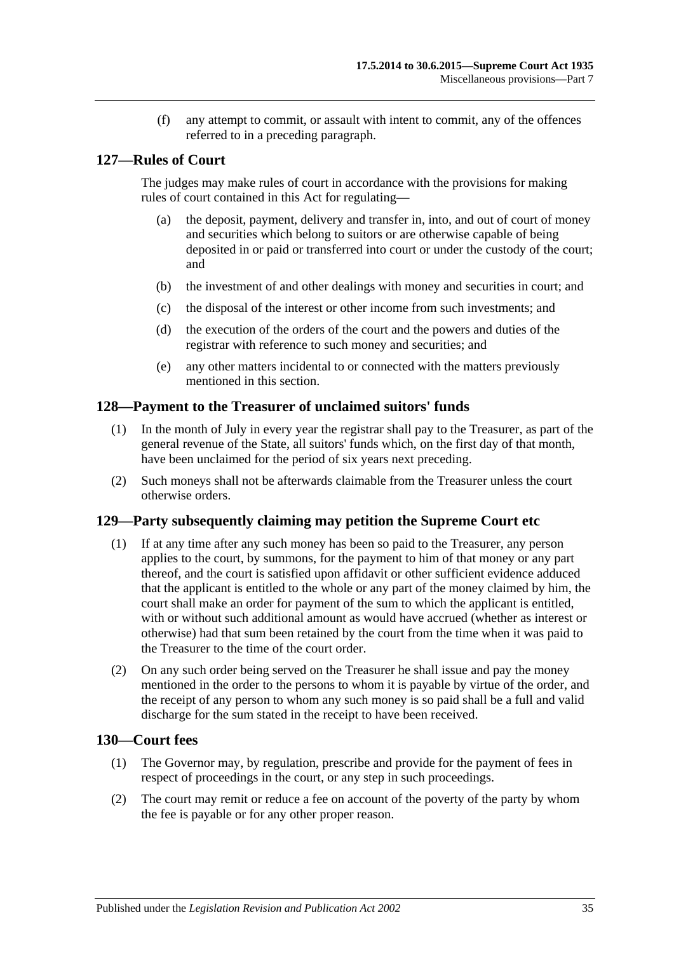(f) any attempt to commit, or assault with intent to commit, any of the offences referred to in a preceding paragraph.

## <span id="page-34-0"></span>**127—Rules of Court**

The judges may make rules of court in accordance with the provisions for making rules of court contained in this Act for regulating—

- (a) the deposit, payment, delivery and transfer in, into, and out of court of money and securities which belong to suitors or are otherwise capable of being deposited in or paid or transferred into court or under the custody of the court; and
- (b) the investment of and other dealings with money and securities in court; and
- (c) the disposal of the interest or other income from such investments; and
- (d) the execution of the orders of the court and the powers and duties of the registrar with reference to such money and securities; and
- (e) any other matters incidental to or connected with the matters previously mentioned in this section.

### <span id="page-34-1"></span>**128—Payment to the Treasurer of unclaimed suitors' funds**

- (1) In the month of July in every year the registrar shall pay to the Treasurer, as part of the general revenue of the State, all suitors' funds which, on the first day of that month, have been unclaimed for the period of six years next preceding.
- (2) Such moneys shall not be afterwards claimable from the Treasurer unless the court otherwise orders.

### <span id="page-34-2"></span>**129—Party subsequently claiming may petition the Supreme Court etc**

- (1) If at any time after any such money has been so paid to the Treasurer, any person applies to the court, by summons, for the payment to him of that money or any part thereof, and the court is satisfied upon affidavit or other sufficient evidence adduced that the applicant is entitled to the whole or any part of the money claimed by him, the court shall make an order for payment of the sum to which the applicant is entitled, with or without such additional amount as would have accrued (whether as interest or otherwise) had that sum been retained by the court from the time when it was paid to the Treasurer to the time of the court order.
- (2) On any such order being served on the Treasurer he shall issue and pay the money mentioned in the order to the persons to whom it is payable by virtue of the order, and the receipt of any person to whom any such money is so paid shall be a full and valid discharge for the sum stated in the receipt to have been received.

### <span id="page-34-3"></span>**130—Court fees**

- (1) The Governor may, by regulation, prescribe and provide for the payment of fees in respect of proceedings in the court, or any step in such proceedings.
- (2) The court may remit or reduce a fee on account of the poverty of the party by whom the fee is payable or for any other proper reason.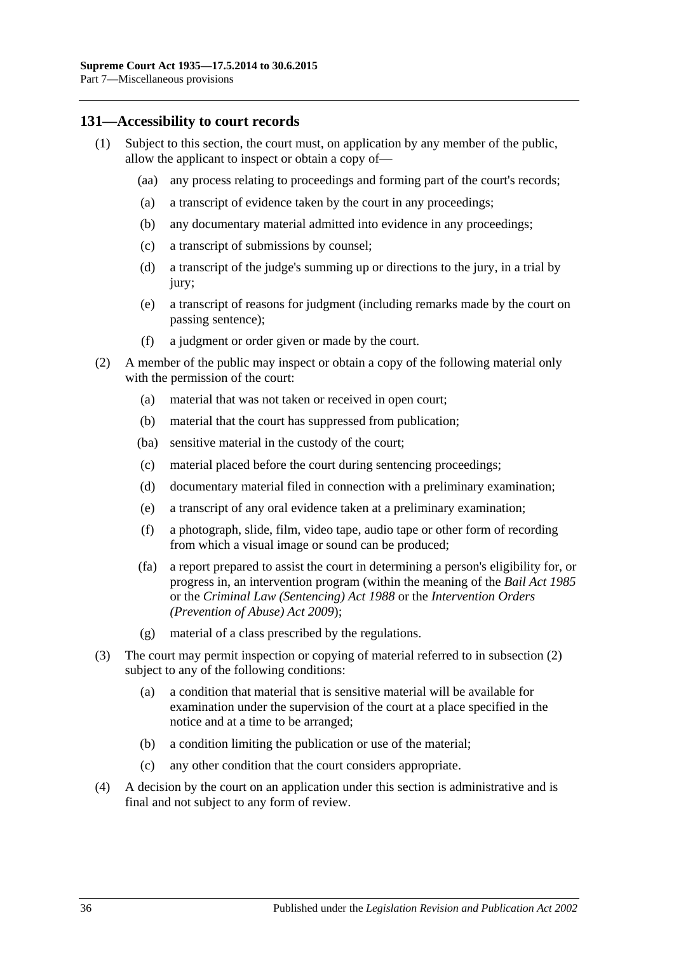### <span id="page-35-0"></span>**131—Accessibility to court records**

- (1) Subject to this section, the court must, on application by any member of the public, allow the applicant to inspect or obtain a copy of—
	- (aa) any process relating to proceedings and forming part of the court's records;
	- (a) a transcript of evidence taken by the court in any proceedings;
	- (b) any documentary material admitted into evidence in any proceedings;
	- (c) a transcript of submissions by counsel;
	- (d) a transcript of the judge's summing up or directions to the jury, in a trial by jury;
	- (e) a transcript of reasons for judgment (including remarks made by the court on passing sentence);
	- (f) a judgment or order given or made by the court.
- <span id="page-35-1"></span>(2) A member of the public may inspect or obtain a copy of the following material only with the permission of the court:
	- (a) material that was not taken or received in open court;
	- (b) material that the court has suppressed from publication;
	- (ba) sensitive material in the custody of the court;
	- (c) material placed before the court during sentencing proceedings;
	- (d) documentary material filed in connection with a preliminary examination;
	- (e) a transcript of any oral evidence taken at a preliminary examination;
	- (f) a photograph, slide, film, video tape, audio tape or other form of recording from which a visual image or sound can be produced;
	- (fa) a report prepared to assist the court in determining a person's eligibility for, or progress in, an intervention program (within the meaning of the *[Bail Act](http://www.legislation.sa.gov.au/index.aspx?action=legref&type=act&legtitle=Bail%20Act%201985) 1985* or the *[Criminal Law \(Sentencing\) Act](http://www.legislation.sa.gov.au/index.aspx?action=legref&type=act&legtitle=Criminal%20Law%20(Sentencing)%20Act%201988) 1988* or the *Intervention Orders (Prevention of Abuse) Act 2009*);
	- (g) material of a class prescribed by the regulations.
- (3) The court may permit inspection or copying of material referred to in [subsection](#page-35-1) (2) subject to any of the following conditions:
	- (a) a condition that material that is sensitive material will be available for examination under the supervision of the court at a place specified in the notice and at a time to be arranged;
	- (b) a condition limiting the publication or use of the material;
	- (c) any other condition that the court considers appropriate.
- (4) A decision by the court on an application under this section is administrative and is final and not subject to any form of review.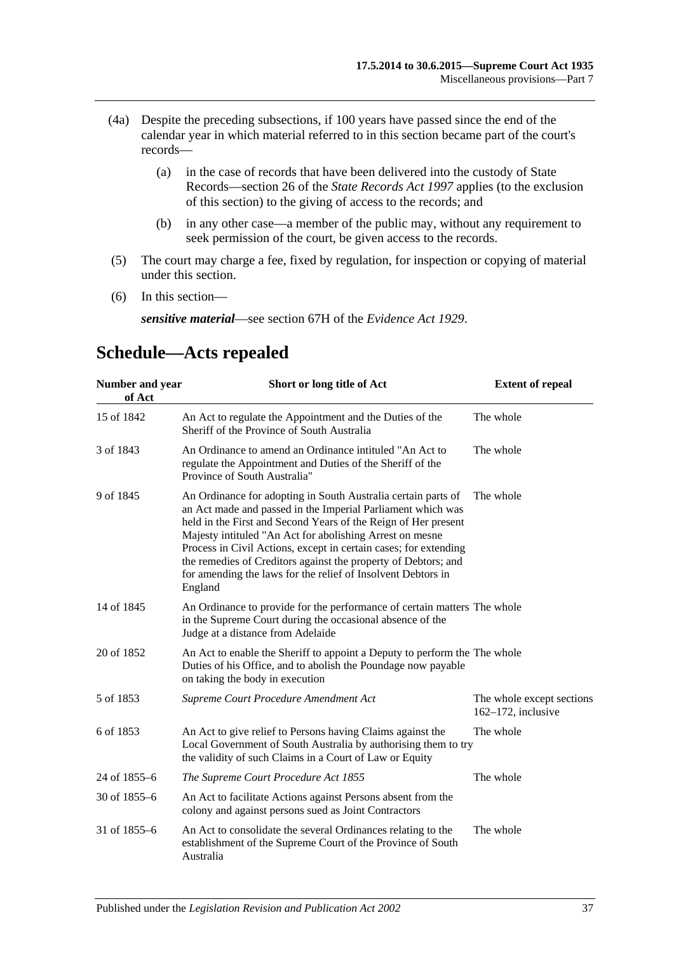- (4a) Despite the preceding subsections, if 100 years have passed since the end of the calendar year in which material referred to in this section became part of the court's records—
	- (a) in the case of records that have been delivered into the custody of State Records—section 26 of the *[State Records Act](http://www.legislation.sa.gov.au/index.aspx?action=legref&type=act&legtitle=State%20Records%20Act%201997) 1997* applies (to the exclusion of this section) to the giving of access to the records; and
	- (b) in any other case—a member of the public may, without any requirement to seek permission of the court, be given access to the records.
- (5) The court may charge a fee, fixed by regulation, for inspection or copying of material under this section.
- (6) In this section—

*sensitive material*—see section 67H of the *[Evidence Act](http://www.legislation.sa.gov.au/index.aspx?action=legref&type=act&legtitle=Evidence%20Act%201929) 1929*.

#### **Number and year of Act Short or long title of Act Extent of repeal** 15 of 1842 An Act to regulate the Appointment and the Duties of the Sheriff of the Province of South Australia The whole 3 of 1843 An Ordinance to amend an Ordinance intituled "An Act to regulate the Appointment and Duties of the Sheriff of the Province of South Australia" The whole 9 of 1845 An Ordinance for adopting in South Australia certain parts of an Act made and passed in the Imperial Parliament which was held in the First and Second Years of the Reign of Her present Majesty intituled "An Act for abolishing Arrest on mesne Process in Civil Actions, except in certain cases; for extending the remedies of Creditors against the property of Debtors; and for amending the laws for the relief of Insolvent Debtors in England The whole 14 of 1845 An Ordinance to provide for the performance of certain matters The whole in the Supreme Court during the occasional absence of the Judge at a distance from Adelaide 20 of 1852 An Act to enable the Sheriff to appoint a Deputy to perform the The whole Duties of his Office, and to abolish the Poundage now payable on taking the body in execution 5 of 1853 *[Supreme Court Procedure Amendment Act](http://www.legislation.sa.gov.au/index.aspx?action=legref&type=act&legtitle=Supreme%20Court%20Procedure%20Amendment%20Act)* The whole except sections 162–172, inclusive 6 of 1853 An Act to give relief to Persons having Claims against the Local Government of South Australia by authorising them to try the validity of such Claims in a Court of Law or Equity The whole 24 of 1855–6 *[The Supreme Court Procedure Act](http://www.legislation.sa.gov.au/index.aspx?action=legref&type=act&legtitle=The%20Supreme%20Court%20Procedure%20Act%201855) 1855* The whole 30 of 1855–6 An Act to facilitate Actions against Persons absent from the colony and against persons sued as Joint Contractors 31 of 1855–6 An Act to consolidate the several Ordinances relating to the establishment of the Supreme Court of the Province of South Australia The whole

# <span id="page-36-0"></span>**Schedule—Acts repealed**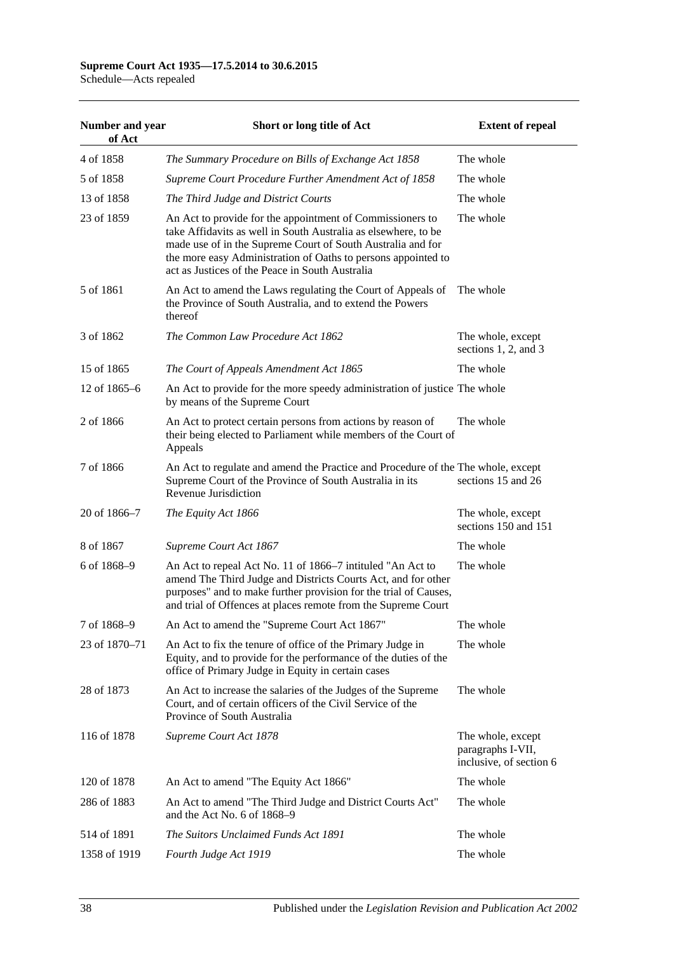# **Supreme Court Act 1935—17.5.2014 to 30.6.2015**

Schedule—Acts repealed

| Number and year<br>of Act | Short or long title of Act                                                                                                                                                                                                                                                                                     | <b>Extent of repeal</b>                                           |
|---------------------------|----------------------------------------------------------------------------------------------------------------------------------------------------------------------------------------------------------------------------------------------------------------------------------------------------------------|-------------------------------------------------------------------|
| 4 of 1858                 | The Summary Procedure on Bills of Exchange Act 1858                                                                                                                                                                                                                                                            | The whole                                                         |
| 5 of 1858                 | Supreme Court Procedure Further Amendment Act of 1858                                                                                                                                                                                                                                                          | The whole                                                         |
| 13 of 1858                | The Third Judge and District Courts                                                                                                                                                                                                                                                                            | The whole                                                         |
| 23 of 1859                | An Act to provide for the appointment of Commissioners to<br>take Affidavits as well in South Australia as elsewhere, to be<br>made use of in the Supreme Court of South Australia and for<br>the more easy Administration of Oaths to persons appointed to<br>act as Justices of the Peace in South Australia | The whole                                                         |
| 5 of 1861                 | An Act to amend the Laws regulating the Court of Appeals of<br>the Province of South Australia, and to extend the Powers<br>thereof                                                                                                                                                                            | The whole                                                         |
| 3 of 1862                 | The Common Law Procedure Act 1862                                                                                                                                                                                                                                                                              | The whole, except<br>sections $1, 2$ , and $3$                    |
| 15 of 1865                | The Court of Appeals Amendment Act 1865                                                                                                                                                                                                                                                                        | The whole                                                         |
| 12 of $1865-6$            | An Act to provide for the more speedy administration of justice The whole<br>by means of the Supreme Court                                                                                                                                                                                                     |                                                                   |
| 2 of 1866                 | An Act to protect certain persons from actions by reason of<br>their being elected to Parliament while members of the Court of<br>Appeals                                                                                                                                                                      | The whole                                                         |
| 7 of 1866                 | An Act to regulate and amend the Practice and Procedure of the The whole, except<br>Supreme Court of the Province of South Australia in its<br>Revenue Jurisdiction                                                                                                                                            | sections 15 and 26                                                |
| 20 of 1866-7              | The Equity Act 1866                                                                                                                                                                                                                                                                                            | The whole, except<br>sections 150 and 151                         |
| 8 of 1867                 | Supreme Court Act 1867                                                                                                                                                                                                                                                                                         | The whole                                                         |
| 6 of 1868-9               | An Act to repeal Act No. 11 of 1866–7 intituled "An Act to<br>amend The Third Judge and Districts Courts Act, and for other<br>purposes" and to make further provision for the trial of Causes,<br>and trial of Offences at places remote from the Supreme Court                                               | The whole                                                         |
| 7 of 1868-9               | An Act to amend the "Supreme Court Act 1867"                                                                                                                                                                                                                                                                   | The whole                                                         |
| 23 of 1870-71             | An Act to fix the tenure of office of the Primary Judge in<br>Equity, and to provide for the performance of the duties of the<br>office of Primary Judge in Equity in certain cases                                                                                                                            | The whole                                                         |
| 28 of 1873                | An Act to increase the salaries of the Judges of the Supreme<br>Court, and of certain officers of the Civil Service of the<br>Province of South Australia                                                                                                                                                      | The whole                                                         |
| 116 of 1878               | Supreme Court Act 1878                                                                                                                                                                                                                                                                                         | The whole, except<br>paragraphs I-VII,<br>inclusive, of section 6 |
| 120 of 1878               | An Act to amend "The Equity Act 1866"                                                                                                                                                                                                                                                                          | The whole                                                         |
| 286 of 1883               | An Act to amend "The Third Judge and District Courts Act"<br>and the Act No. 6 of 1868–9                                                                                                                                                                                                                       | The whole                                                         |
| 514 of 1891               | The Suitors Unclaimed Funds Act 1891                                                                                                                                                                                                                                                                           | The whole                                                         |
| 1358 of 1919              | Fourth Judge Act 1919                                                                                                                                                                                                                                                                                          | The whole                                                         |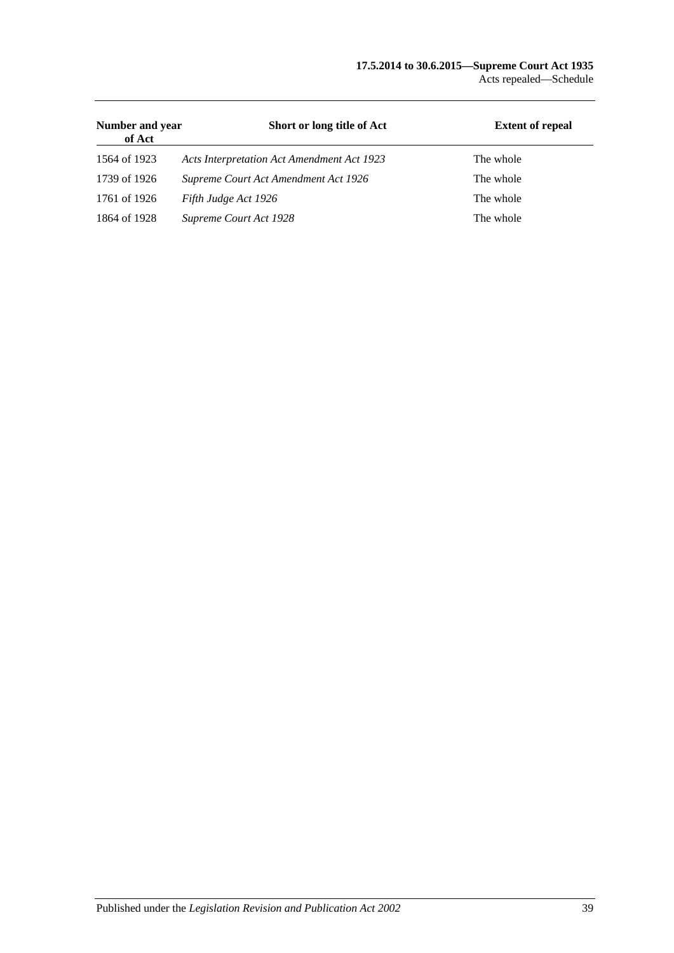#### **17.5.2014 to 30.6.2015—Supreme Court Act 1935** Acts repealed—Schedule

| Number and year<br>of Act | Short or long title of Act                 | <b>Extent of repeal</b> |
|---------------------------|--------------------------------------------|-------------------------|
| 1564 of 1923              | Acts Interpretation Act Amendment Act 1923 | The whole               |
| 1739 of 1926              | Supreme Court Act Amendment Act 1926       | The whole               |
| 1761 of 1926              | Fifth Judge Act 1926                       | The whole               |
| 1864 of 1928              | Supreme Court Act 1928                     | The whole               |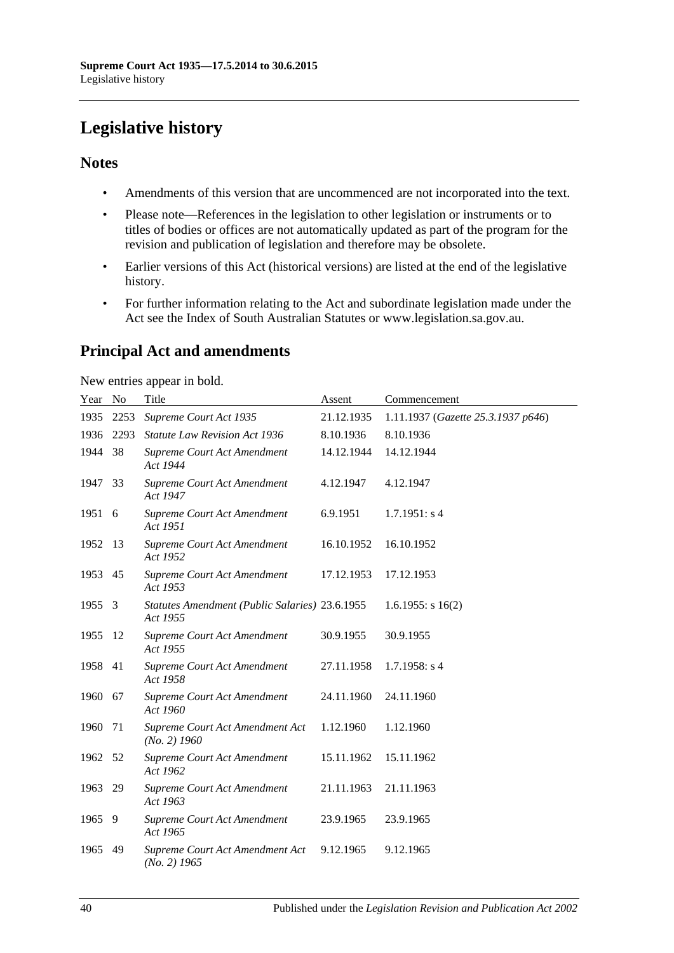# <span id="page-39-0"></span>**Legislative history**

## **Notes**

- Amendments of this version that are uncommenced are not incorporated into the text.
- Please note—References in the legislation to other legislation or instruments or to titles of bodies or offices are not automatically updated as part of the program for the revision and publication of legislation and therefore may be obsolete.
- Earlier versions of this Act (historical versions) are listed at the end of the legislative history.
- For further information relating to the Act and subordinate legislation made under the Act see the Index of South Australian Statutes or www.legislation.sa.gov.au.

# **Principal Act and amendments**

New entries appear in bold.

| Year No |      | Title                                                      | Assent     | Commencement                       |
|---------|------|------------------------------------------------------------|------------|------------------------------------|
| 1935    | 2253 | Supreme Court Act 1935                                     | 21.12.1935 | 1.11.1937 (Gazette 25.3.1937 p646) |
| 1936    | 2293 | <b>Statute Law Revision Act 1936</b>                       | 8.10.1936  | 8.10.1936                          |
| 1944    | 38   | Supreme Court Act Amendment<br>Act 1944                    | 14.12.1944 | 14.12.1944                         |
| 1947    | 33   | Supreme Court Act Amendment<br>Act 1947                    | 4.12.1947  | 4.12.1947                          |
| 1951 6  |      | Supreme Court Act Amendment<br>Act 1951                    | 6.9.1951   | 1.7.1951: s4                       |
| 1952    | 13   | Supreme Court Act Amendment<br>Act 1952                    | 16.10.1952 | 16.10.1952                         |
| 1953    | 45   | Supreme Court Act Amendment<br>Act 1953                    | 17.12.1953 | 17.12.1953                         |
| 1955    | 3    | Statutes Amendment (Public Salaries) 23.6.1955<br>Act 1955 |            | $1.6.1955$ : s $16(2)$             |
| 1955    | 12   | Supreme Court Act Amendment<br>Act 1955                    | 30.9.1955  | 30.9.1955                          |
| 1958    | 41   | Supreme Court Act Amendment<br>Act 1958                    | 27.11.1958 | $1.7.1958$ : s 4                   |
| 1960    | 67   | Supreme Court Act Amendment<br>Act 1960                    | 24.11.1960 | 24.11.1960                         |
| 1960    | 71   | Supreme Court Act Amendment Act<br>$(No. 2)$ 1960          | 1.12.1960  | 1.12.1960                          |
| 1962    | 52   | Supreme Court Act Amendment<br>Act 1962                    | 15.11.1962 | 15.11.1962                         |
| 1963    | 29   | Supreme Court Act Amendment<br>Act 1963                    | 21.11.1963 | 21.11.1963                         |
| 1965    | 9    | Supreme Court Act Amendment<br>Act 1965                    | 23.9.1965  | 23.9.1965                          |
| 1965    | 49   | Supreme Court Act Amendment Act<br>$(No. 2)$ 1965          | 9.12.1965  | 9.12.1965                          |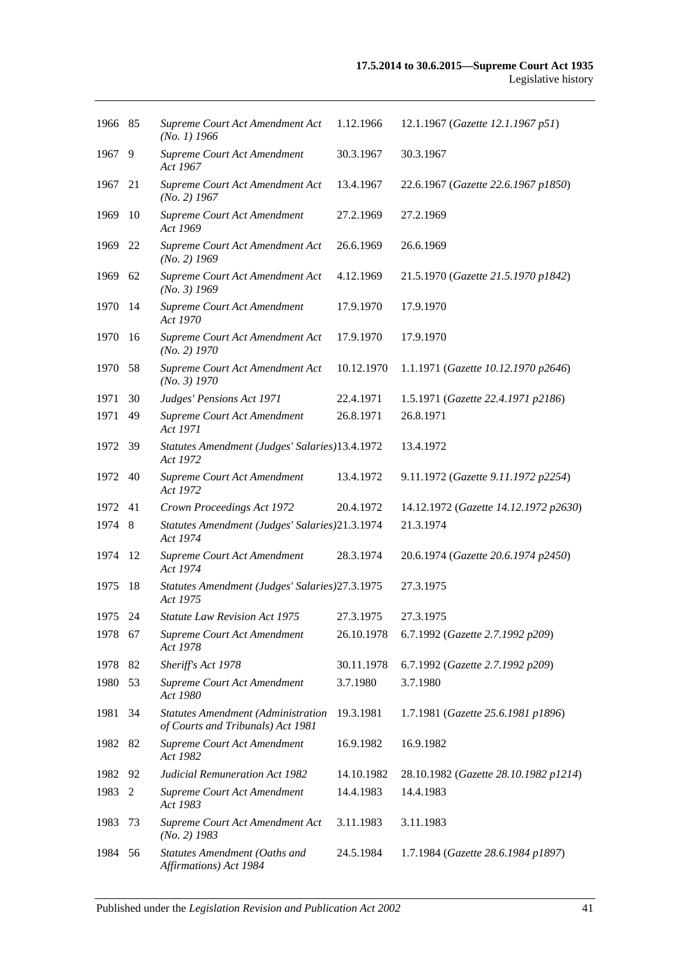| 1966 85 |     | Supreme Court Act Amendment Act<br>$(No. 1)$ 1966                              | 1.12.1966  | 12.1.1967 (Gazette 12.1.1967 p51)     |
|---------|-----|--------------------------------------------------------------------------------|------------|---------------------------------------|
| 1967    | 9   | Supreme Court Act Amendment<br>Act 1967                                        | 30.3.1967  | 30.3.1967                             |
| 1967    | 21  | Supreme Court Act Amendment Act<br>$(No. 2)$ 1967                              | 13.4.1967  | 22.6.1967 (Gazette 22.6.1967 p1850)   |
| 1969    | 10  | Supreme Court Act Amendment<br>Act 1969                                        | 27.2.1969  | 27.2.1969                             |
| 1969    | 22  | Supreme Court Act Amendment Act<br>$(No. 2)$ 1969                              | 26.6.1969  | 26.6.1969                             |
| 1969    | 62  | Supreme Court Act Amendment Act<br>$(No. 3)$ 1969                              | 4.12.1969  | 21.5.1970 (Gazette 21.5.1970 p1842)   |
| 1970    | 14  | Supreme Court Act Amendment<br>Act 1970                                        | 17.9.1970  | 17.9.1970                             |
| 1970    | -16 | Supreme Court Act Amendment Act<br>$(No. 2)$ 1970                              | 17.9.1970  | 17.9.1970                             |
| 1970    | 58  | Supreme Court Act Amendment Act<br>(No. 3) 1970                                | 10.12.1970 | 1.1.1971 (Gazette 10.12.1970 p2646)   |
| 1971    | 30  | Judges' Pensions Act 1971                                                      | 22.4.1971  | 1.5.1971 (Gazette 22.4.1971 p2186)    |
| 1971    | 49  | Supreme Court Act Amendment<br>Act 1971                                        | 26.8.1971  | 26.8.1971                             |
| 1972    | 39  | Statutes Amendment (Judges' Salaries)13.4.1972<br>Act 1972                     |            | 13.4.1972                             |
| 1972    | 40  | Supreme Court Act Amendment<br>Act 1972                                        | 13.4.1972  | 9.11.1972 (Gazette 9.11.1972 p2254)   |
| 1972    | 41  | Crown Proceedings Act 1972                                                     | 20.4.1972  | 14.12.1972 (Gazette 14.12.1972 p2630) |
| 1974    | 8   | Statutes Amendment (Judges' Salaries)21.3.1974<br>Act 1974                     |            | 21.3.1974                             |
| 1974    | 12  | Supreme Court Act Amendment<br>Act 1974                                        | 28.3.1974  | 20.6.1974 (Gazette 20.6.1974 p2450)   |
| 1975    | 18  | Statutes Amendment (Judges' Salaries) 27.3.1975<br>Act 1975                    |            | 27.3.1975                             |
| 1975 24 |     | <b>Statute Law Revision Act 1975</b>                                           | 27.3.1975  | 27.3.1975                             |
| 1978 67 |     | Supreme Court Act Amendment<br>Act 1978                                        | 26.10.1978 | 6.7.1992 (Gazette 2.7.1992 p209)      |
| 1978    | 82  | Sheriff's Act 1978                                                             | 30.11.1978 | 6.7.1992 (Gazette 2.7.1992 p209)      |
| 1980    | 53  | Supreme Court Act Amendment<br>Act 1980                                        | 3.7.1980   | 3.7.1980                              |
| 1981    | 34  | <b>Statutes Amendment (Administration</b><br>of Courts and Tribunals) Act 1981 | 19.3.1981  | 1.7.1981 (Gazette 25.6.1981 p1896)    |
| 1982    | 82  | Supreme Court Act Amendment<br>Act 1982                                        | 16.9.1982  | 16.9.1982                             |
| 1982    | 92  | <b>Judicial Remuneration Act 1982</b>                                          | 14.10.1982 | 28.10.1982 (Gazette 28.10.1982 p1214) |
| 1983    | 2   | Supreme Court Act Amendment<br>Act 1983                                        | 14.4.1983  | 14.4.1983                             |
| 1983    | 73  | Supreme Court Act Amendment Act<br>$(No. 2)$ 1983                              | 3.11.1983  | 3.11.1983                             |
| 1984    | 56  | Statutes Amendment (Oaths and<br>Affirmations) Act 1984                        | 24.5.1984  | 1.7.1984 (Gazette 28.6.1984 p1897)    |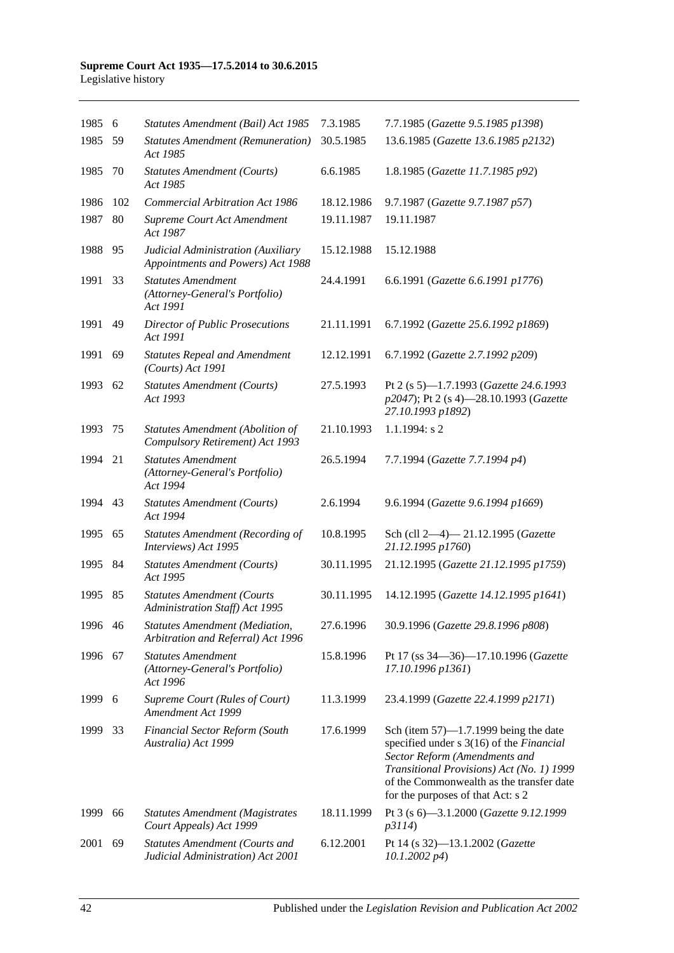#### **Supreme Court Act 1935—17.5.2014 to 30.6.2015** Legislative history

| 1985    | 6   | Statutes Amendment (Bail) Act 1985                                          | 7.3.1985   | 7.7.1985 (Gazette 9.5.1985 p1398)                                                                                                                                                                                                                   |
|---------|-----|-----------------------------------------------------------------------------|------------|-----------------------------------------------------------------------------------------------------------------------------------------------------------------------------------------------------------------------------------------------------|
| 1985    | 59  | <b>Statutes Amendment (Remuneration)</b><br>Act 1985                        | 30.5.1985  | 13.6.1985 (Gazette 13.6.1985 p2132)                                                                                                                                                                                                                 |
| 1985    | 70  | <b>Statutes Amendment (Courts)</b><br>Act 1985                              | 6.6.1985   | 1.8.1985 (Gazette 11.7.1985 p92)                                                                                                                                                                                                                    |
| 1986    | 102 | <b>Commercial Arbitration Act 1986</b>                                      | 18.12.1986 | 9.7.1987 (Gazette 9.7.1987 p57)                                                                                                                                                                                                                     |
| 1987    | 80  | Supreme Court Act Amendment<br>Act 1987                                     | 19.11.1987 | 19.11.1987                                                                                                                                                                                                                                          |
| 1988    | 95  | Judicial Administration (Auxiliary<br>Appointments and Powers) Act 1988     | 15.12.1988 | 15.12.1988                                                                                                                                                                                                                                          |
| 1991    | 33  | <b>Statutes Amendment</b><br>(Attorney-General's Portfolio)<br>Act 1991     | 24.4.1991  | 6.6.1991 (Gazette 6.6.1991 p1776)                                                                                                                                                                                                                   |
| 1991    | 49  | <b>Director of Public Prosecutions</b><br>Act 1991                          | 21.11.1991 | 6.7.1992 (Gazette 25.6.1992 p1869)                                                                                                                                                                                                                  |
| 1991    | 69  | <b>Statutes Repeal and Amendment</b><br>(Courts) Act 1991                   | 12.12.1991 | 6.7.1992 (Gazette 2.7.1992 p209)                                                                                                                                                                                                                    |
| 1993    | 62  | <b>Statutes Amendment (Courts)</b><br>Act 1993                              | 27.5.1993  | Pt 2 (s 5)-1.7.1993 (Gazette 24.6.1993<br>p2047); Pt 2 (s 4)-28.10.1993 (Gazette<br>27.10.1993 p1892)                                                                                                                                               |
| 1993    | 75  | Statutes Amendment (Abolition of<br>Compulsory Retirement) Act 1993         | 21.10.1993 | $1.1.1994$ : s 2                                                                                                                                                                                                                                    |
| 1994    | 21  | <b>Statutes Amendment</b><br>(Attorney-General's Portfolio)<br>Act 1994     | 26.5.1994  | 7.7.1994 (Gazette 7.7.1994 p4)                                                                                                                                                                                                                      |
| 1994    | 43  | <b>Statutes Amendment (Courts)</b><br>Act 1994                              | 2.6.1994   | 9.6.1994 (Gazette 9.6.1994 p1669)                                                                                                                                                                                                                   |
| 1995    | 65  | <b>Statutes Amendment (Recording of</b><br>Interviews) Act 1995             | 10.8.1995  | Sch (cll 2-4)-21.12.1995 (Gazette<br>21.12.1995 p1760)                                                                                                                                                                                              |
| 1995    | 84  | <b>Statutes Amendment (Courts)</b><br>Act 1995                              | 30.11.1995 | 21.12.1995 (Gazette 21.12.1995 p1759)                                                                                                                                                                                                               |
| 1995    | 85  | <b>Statutes Amendment (Courts</b><br>Administration Staff) Act 1995         | 30.11.1995 | 14.12.1995 (Gazette 14.12.1995 p1641)                                                                                                                                                                                                               |
| 1996 46 |     | <b>Statutes Amendment (Mediation,</b><br>Arbitration and Referral) Act 1996 | 27.6.1996  | 30.9.1996 (Gazette 29.8.1996 p808)                                                                                                                                                                                                                  |
| 1996    | 67  | <b>Statutes Amendment</b><br>(Attorney-General's Portfolio)<br>Act 1996     | 15.8.1996  | Pt 17 (ss 34–36)–17.10.1996 (Gazette<br>17.10.1996 p1361)                                                                                                                                                                                           |
| 1999    | 6   | Supreme Court (Rules of Court)<br>Amendment Act 1999                        | 11.3.1999  | 23.4.1999 (Gazette 22.4.1999 p2171)                                                                                                                                                                                                                 |
| 1999    | 33  | <b>Financial Sector Reform (South</b><br>Australia) Act 1999                | 17.6.1999  | Sch (item $57$ )—1.7.1999 being the date<br>specified under s 3(16) of the Financial<br>Sector Reform (Amendments and<br>Transitional Provisions) Act (No. 1) 1999<br>of the Commonwealth as the transfer date<br>for the purposes of that Act: s 2 |
| 1999    | 66  | <b>Statutes Amendment (Magistrates</b><br>Court Appeals) Act 1999           | 18.11.1999 | Pt 3 (s 6)-3.1.2000 (Gazette 9.12.1999<br>p3114)                                                                                                                                                                                                    |
| 2001    | 69  | <b>Statutes Amendment (Courts and</b><br>Judicial Administration) Act 2001  | 6.12.2001  | Pt 14 (s 32)-13.1.2002 (Gazette<br>$10.1.2002\ p4)$                                                                                                                                                                                                 |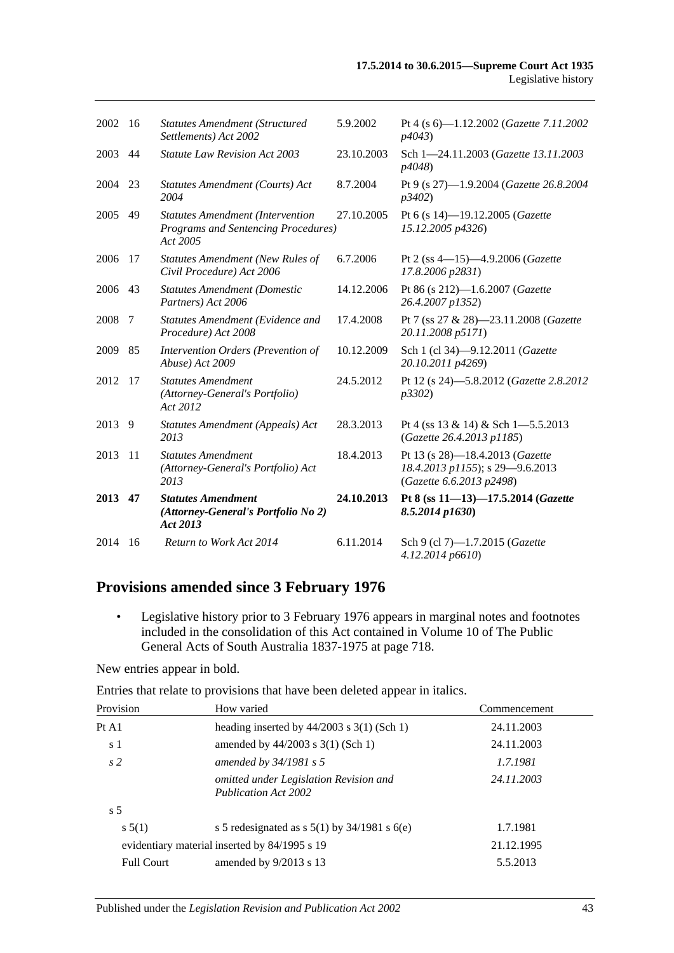| 2002    | -16 | <b>Statutes Amendment (Structured)</b><br>Settlements) Act 2002                                   | 5.9.2002   | Pt 4 (s 6)-1.12.2002 (Gazette 7.11.2002<br><i>p4043</i> )                                      |
|---------|-----|---------------------------------------------------------------------------------------------------|------------|------------------------------------------------------------------------------------------------|
| 2003    | 44  | <b>Statute Law Revision Act 2003</b>                                                              | 23.10.2003 | Sch 1-24.11.2003 (Gazette 13.11.2003)<br>p4048)                                                |
| 2004    | 23  | Statutes Amendment (Courts) Act<br>2004                                                           | 8.7.2004   | Pt 9 (s 27)-1.9.2004 (Gazette 26.8.2004<br>p3402)                                              |
| 2005 49 |     | <b>Statutes Amendment (Intervention</b><br><b>Programs and Sentencing Procedures)</b><br>Act 2005 | 27.10.2005 | Pt 6 (s 14)-19.12.2005 (Gazette<br>15.12.2005 p4326)                                           |
| 2006    | 17  | <b>Statutes Amendment (New Rules of</b><br>Civil Procedure) Act 2006                              | 6.7.2006   | Pt 2 (ss $4-15$ ) $-4.9.2006$ ( <i>Gazette</i><br>17.8.2006 p2831)                             |
| 2006 43 |     | <b>Statutes Amendment (Domestic</b><br>Partners) Act 2006                                         | 14.12.2006 | Pt 86 (s 212)-1.6.2007 (Gazette<br>26.4.2007 p1352)                                            |
| 2008    | 7   | Statutes Amendment (Evidence and<br>Procedure) Act 2008                                           | 17.4.2008  | Pt 7 (ss 27 & 28)-23.11.2008 (Gazette<br>20.11.2008 p5171)                                     |
| 2009    | 85  | Intervention Orders (Prevention of<br>Abuse) Act 2009                                             | 10.12.2009 | Sch 1 (cl 34)-9.12.2011 (Gazette<br>20.10.2011 p4269)                                          |
| 2012    | 17  | <b>Statutes Amendment</b><br>(Attorney-General's Portfolio)<br>Act 2012                           | 24.5.2012  | Pt 12 (s 24)-5.8.2012 (Gazette 2.8.2012<br>p3302)                                              |
| 2013    | 9   | Statutes Amendment (Appeals) Act<br>2013                                                          | 28.3.2013  | Pt 4 (ss $13 \& 14$ ) & Sch 1-5.5.2013<br>(Gazette 26.4.2013 p1185)                            |
| 2013    | -11 | <b>Statutes Amendment</b><br>(Attorney-General's Portfolio) Act<br>2013                           | 18.4.2013  | Pt 13 (s 28)-18.4.2013 (Gazette<br>18.4.2013 p1155); s 29-9.6.2013<br>(Gazette 6.6.2013 p2498) |
| 2013 47 |     | <b>Statutes Amendment</b><br>(Attorney-General's Portfolio No 2)<br>Act 2013                      | 24.10.2013 | Pt 8 (ss 11-13)-17.5.2014 (Gazette<br>$8.5.2014$ p $1630$ )                                    |
| 2014    | 16  | Return to Work Act 2014                                                                           | 6.11.2014  | Sch 9 (cl 7)-1.7.2015 (Gazette<br>4.12.2014 p6610)                                             |

# **Provisions amended since 3 February 1976**

• Legislative history prior to 3 February 1976 appears in marginal notes and footnotes included in the consolidation of this Act contained in Volume 10 of The Public General Acts of South Australia 1837-1975 at page 718.

New entries appear in bold.

Entries that relate to provisions that have been deleted appear in italics.

| Provision         | How varied                                                            | Commencement |
|-------------------|-----------------------------------------------------------------------|--------------|
| PtA1              | heading inserted by $44/2003$ s 3(1) (Sch 1)                          | 24.11.2003   |
| s 1               | amended by $44/2003$ s 3(1) (Sch 1)                                   | 24.11.2003   |
| s <sub>2</sub>    | amended by $34/1981$ s 5                                              | 1.7.1981     |
|                   | omitted under Legislation Revision and<br><b>Publication Act 2002</b> | 24.11.2003   |
| s <sub>5</sub>    |                                                                       |              |
| s 5(1)            | s 5 redesignated as s $5(1)$ by $34/1981$ s $6(e)$                    | 1.7.1981     |
|                   | evidentiary material inserted by 84/1995 s 19                         | 21.12.1995   |
| <b>Full Court</b> | amended by $9/2013$ s 13                                              | 5.5.2013     |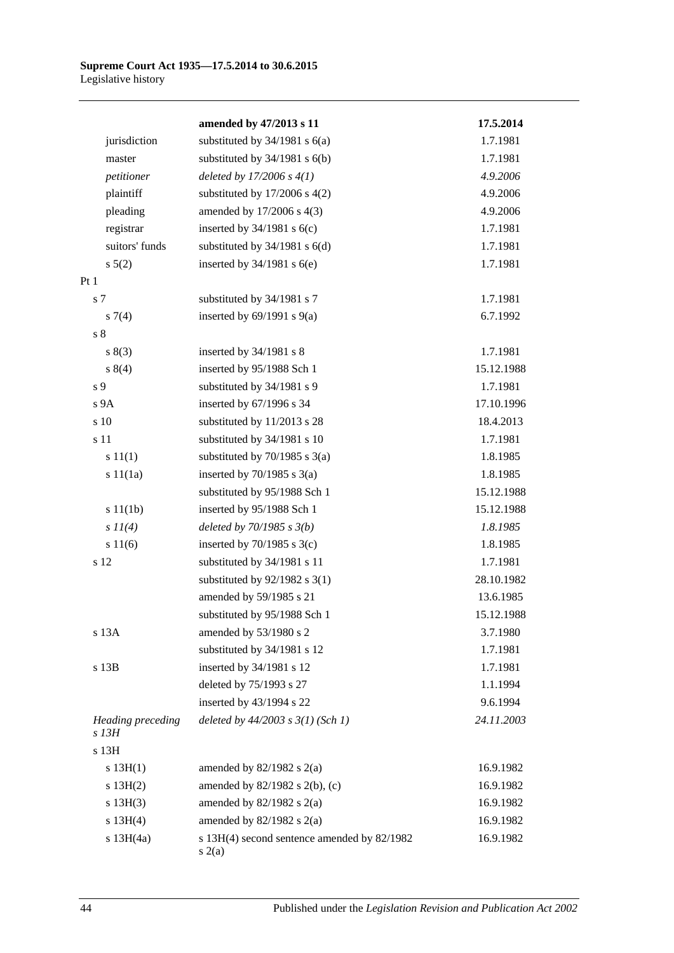|                            | amended by 47/2013 s 11                               | 17.5.2014  |
|----------------------------|-------------------------------------------------------|------------|
| jurisdiction               | substituted by $34/1981$ s $6(a)$                     | 1.7.1981   |
| master                     | substituted by $34/1981$ s $6(b)$                     | 1.7.1981   |
| petitioner                 | deleted by $17/2006 s 4(1)$                           | 4.9.2006   |
| plaintiff                  | substituted by $17/2006$ s $4(2)$                     | 4.9.2006   |
| pleading                   | amended by 17/2006 s 4(3)                             | 4.9.2006   |
| registrar                  | inserted by $34/1981$ s $6(c)$                        | 1.7.1981   |
| suitors' funds             | substituted by 34/1981 s 6(d)                         | 1.7.1981   |
| $s\ 5(2)$                  | inserted by $34/1981$ s $6(e)$                        | 1.7.1981   |
| Pt1                        |                                                       |            |
| s 7                        | substituted by 34/1981 s 7                            | 1.7.1981   |
| $s \, 7(4)$                | inserted by $69/1991$ s $9(a)$                        | 6.7.1992   |
| s <sub>8</sub>             |                                                       |            |
| s(3)                       | inserted by 34/1981 s 8                               | 1.7.1981   |
| s 8(4)                     | inserted by 95/1988 Sch 1                             | 15.12.1988 |
| s 9                        | substituted by 34/1981 s 9                            | 1.7.1981   |
| s <sub>9A</sub>            | inserted by 67/1996 s 34                              | 17.10.1996 |
| s 10                       | substituted by 11/2013 s 28                           | 18.4.2013  |
| s 11                       | substituted by 34/1981 s 10                           | 1.7.1981   |
| s 11(1)                    | substituted by $70/1985$ s $3(a)$                     | 1.8.1985   |
| s 11(1a)                   | inserted by $70/1985$ s $3(a)$                        | 1.8.1985   |
|                            | substituted by 95/1988 Sch 1                          | 15.12.1988 |
| s 11(1b)                   | inserted by 95/1988 Sch 1                             | 15.12.1988 |
| $s$ $11(4)$                | deleted by $70/1985 s 3(b)$                           | 1.8.1985   |
| s 11(6)                    | inserted by $70/1985$ s $3(c)$                        | 1.8.1985   |
| s 12                       | substituted by 34/1981 s 11                           | 1.7.1981   |
|                            | substituted by $92/1982$ s 3(1)                       | 28.10.1982 |
|                            | amended by 59/1985 s 21                               | 13.6.1985  |
|                            | substituted by 95/1988 Sch 1                          | 15.12.1988 |
| s 13A                      | amended by 53/1980 s 2                                | 3.7.1980   |
|                            | substituted by 34/1981 s 12                           | 1.7.1981   |
| s 13B                      | inserted by 34/1981 s 12                              | 1.7.1981   |
|                            | deleted by 75/1993 s 27                               | 1.1.1994   |
|                            | inserted by 43/1994 s 22                              | 9.6.1994   |
| Heading preceding<br>s 13H | deleted by $44/2003$ s $3(1)$ (Sch 1)                 | 24.11.2003 |
| s 13H                      |                                                       |            |
| s 13H(1)                   | amended by $82/1982$ s $2(a)$                         | 16.9.1982  |
| s 13H(2)                   | amended by 82/1982 s 2(b), (c)                        | 16.9.1982  |
| s 13H(3)                   | amended by $82/1982$ s $2(a)$                         | 16.9.1982  |
| s 13H(4)                   | amended by $82/1982$ s $2(a)$                         | 16.9.1982  |
| $s$ 13H $(4a)$             | s 13H(4) second sentence amended by 82/1982<br>s(2(a) | 16.9.1982  |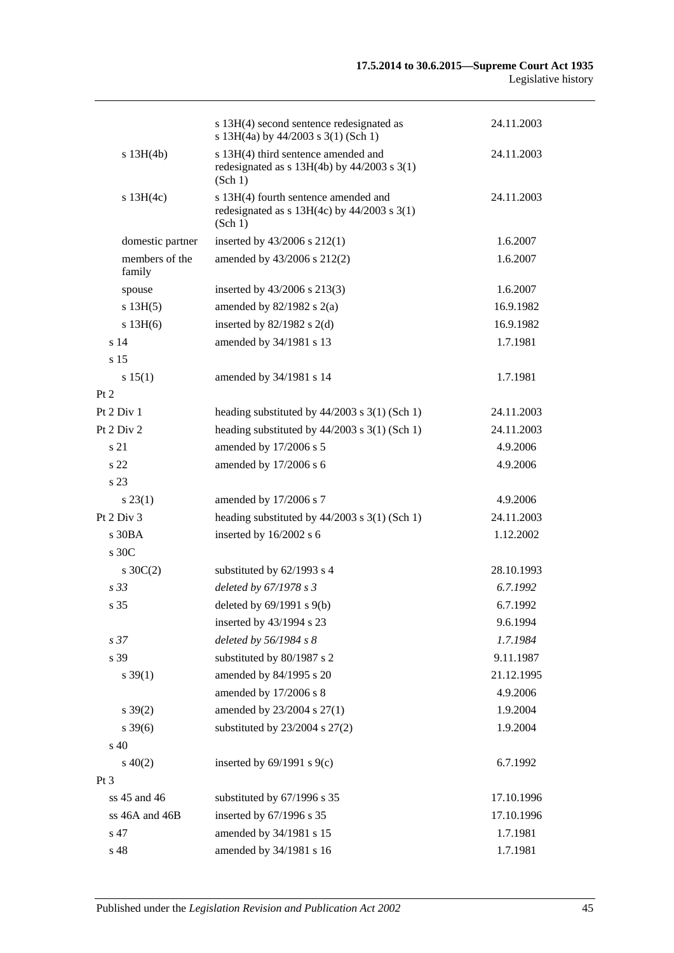|                                    | s 13H(4) second sentence redesignated as<br>s 13H(4a) by 44/2003 s 3(1) (Sch 1)                    | 24.11.2003 |
|------------------------------------|----------------------------------------------------------------------------------------------------|------------|
| s 13H(4b)                          | s 13H(4) third sentence amended and<br>redesignated as $s$ 13H(4b) by 44/2003 $s$ 3(1)<br>(Sch 1)  | 24.11.2003 |
| s 13H(4c)                          | s 13H(4) fourth sentence amended and<br>redesignated as $s$ 13H(4c) by 44/2003 $s$ 3(1)<br>(Sch 1) | 24.11.2003 |
| domestic partner                   | inserted by $43/2006$ s $212(1)$                                                                   | 1.6.2007   |
| members of the<br>family           | amended by 43/2006 s 212(2)                                                                        | 1.6.2007   |
| spouse                             | inserted by 43/2006 s 213(3)                                                                       | 1.6.2007   |
| s 13H(5)                           | amended by $82/1982$ s $2(a)$                                                                      | 16.9.1982  |
| $s$ 13H $(6)$                      | inserted by $82/1982$ s $2(d)$                                                                     | 16.9.1982  |
| s <sub>14</sub><br>s <sub>15</sub> | amended by 34/1981 s 13                                                                            | 1.7.1981   |
| s 15(1)                            | amended by 34/1981 s 14                                                                            | 1.7.1981   |
| Pt 2                               |                                                                                                    |            |
| Pt 2 Div 1                         | heading substituted by $44/2003$ s 3(1) (Sch 1)                                                    | 24.11.2003 |
| Pt $2$ Div $2$                     | heading substituted by $44/2003$ s $3(1)$ (Sch 1)                                                  | 24.11.2003 |
| s 21                               | amended by 17/2006 s 5                                                                             | 4.9.2006   |
| s <sub>22</sub>                    | amended by 17/2006 s 6                                                                             | 4.9.2006   |
| s <sub>23</sub>                    |                                                                                                    |            |
| s 23(1)                            | amended by 17/2006 s 7                                                                             | 4.9.2006   |
| Pt $2$ Div $3$                     | heading substituted by $44/2003$ s 3(1) (Sch 1)                                                    | 24.11.2003 |
| s30BA                              | inserted by 16/2002 s 6                                                                            | 1.12.2002  |
| $\rm s$ 30C                        |                                                                                                    |            |
| $s \, 30C(2)$                      | substituted by 62/1993 s 4                                                                         | 28.10.1993 |
| s <sub>33</sub>                    | deleted by 67/1978 s 3                                                                             | 6.7.1992   |
| s <sub>35</sub>                    | deleted by $69/1991$ s $9(b)$                                                                      | 6.7.1992   |
|                                    | inserted by 43/1994 s 23                                                                           | 9.6.1994   |
| s <sub>37</sub>                    | deleted by 56/1984 s 8                                                                             | 1.7.1984   |
| s 39                               | substituted by 80/1987 s 2                                                                         | 9.11.1987  |
| $s \, 39(1)$                       | amended by 84/1995 s 20                                                                            | 21.12.1995 |
|                                    | amended by 17/2006 s 8                                                                             | 4.9.2006   |
| $s \, 39(2)$                       | amended by 23/2004 s 27(1)                                                                         | 1.9.2004   |
| $s \, 39(6)$                       | substituted by 23/2004 s 27(2)                                                                     | 1.9.2004   |
| s 40                               |                                                                                                    |            |
| $s\ 40(2)$                         | inserted by $69/1991$ s $9(c)$                                                                     | 6.7.1992   |
| $Pt\,3$                            |                                                                                                    |            |
| ss 45 and 46                       | substituted by 67/1996 s 35                                                                        | 17.10.1996 |
| ss 46A and 46B                     | inserted by 67/1996 s 35                                                                           | 17.10.1996 |
| s 47                               | amended by 34/1981 s 15                                                                            | 1.7.1981   |
| s 48                               | amended by 34/1981 s 16                                                                            | 1.7.1981   |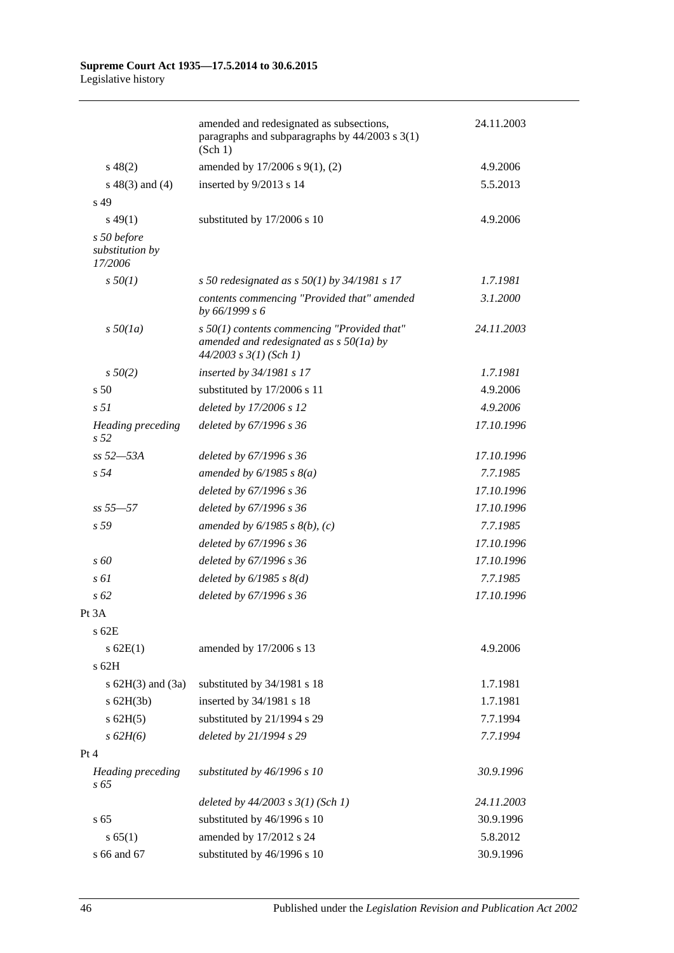#### **Supreme Court Act 1935—17.5.2014 to 30.6.2015** Legislative history

|                                           | amended and redesignated as subsections,<br>paragraphs and subparagraphs by $44/2003$ s $3(1)$<br>(Sch 1)                | 24.11.2003 |
|-------------------------------------------|--------------------------------------------------------------------------------------------------------------------------|------------|
| $s\,48(2)$                                | amended by 17/2006 s 9(1), (2)                                                                                           | 4.9.2006   |
| $s\ 48(3)$ and (4)                        | inserted by 9/2013 s 14                                                                                                  | 5.5.2013   |
| s 49                                      |                                                                                                                          |            |
| $s\,49(1)$                                | substituted by 17/2006 s 10                                                                                              | 4.9.2006   |
| s 50 before<br>substitution by<br>17/2006 |                                                                                                                          |            |
| $s\,50(1)$                                | s 50 redesignated as $s$ 50(1) by 34/1981 s 17                                                                           | 1.7.1981   |
|                                           | contents commencing "Provided that" amended<br>by 66/1999 s 6                                                            | 3.1.2000   |
| $s\,50(1a)$                               | $s$ 50(1) contents commencing "Provided that"<br>amended and redesignated as $s$ 50(1a) by<br>$44/2003$ s $3(1)$ (Sch 1) | 24.11.2003 |
| $s\,50(2)$                                | inserted by 34/1981 s 17                                                                                                 | 1.7.1981   |
| s <sub>50</sub>                           | substituted by 17/2006 s 11                                                                                              | 4.9.2006   |
| s <sub>51</sub>                           | deleted by 17/2006 s 12                                                                                                  | 4.9.2006   |
| Heading preceding<br>s <sub>52</sub>      | deleted by 67/1996 s 36                                                                                                  | 17.10.1996 |
| $ss 52 - 53A$                             | deleted by 67/1996 s 36                                                                                                  | 17.10.1996 |
| s <sub>54</sub>                           | amended by $6/1985$ s $8(a)$                                                                                             | 7.7.1985   |
|                                           | deleted by 67/1996 s 36                                                                                                  | 17.10.1996 |
| $ss 55 - 57$                              | deleted by 67/1996 s 36                                                                                                  | 17.10.1996 |
| s 59                                      | amended by $6/1985$ s $8(b)$ , (c)                                                                                       | 7.7.1985   |
|                                           | deleted by 67/1996 s 36                                                                                                  | 17.10.1996 |
| $\sqrt{s}$ 60                             | deleted by 67/1996 s 36                                                                                                  | 17.10.1996 |
| $s \, \delta l$                           | deleted by $6/1985$ s $8(d)$                                                                                             | 7.7.1985   |
| $s\,62$                                   | deleted by 67/1996 s 36                                                                                                  | 17.10.1996 |
| Pt 3A                                     |                                                                                                                          |            |
| s 62E                                     |                                                                                                                          |            |
| $s$ 62E(1)                                | amended by 17/2006 s 13                                                                                                  | 4.9.2006   |
| $s$ 62H                                   |                                                                                                                          |            |
| s $62H(3)$ and $(3a)$                     | substituted by 34/1981 s 18                                                                                              | 1.7.1981   |
| $s$ 62H(3b)                               | inserted by 34/1981 s 18                                                                                                 | 1.7.1981   |
| $s$ 62H $(5)$                             | substituted by 21/1994 s 29                                                                                              | 7.7.1994   |
| s 62H(6)                                  | deleted by 21/1994 s 29                                                                                                  | 7.7.1994   |
| Pt 4                                      |                                                                                                                          |            |
| <b>Heading</b> preceding<br>$s\,65$       | substituted by 46/1996 s 10                                                                                              | 30.9.1996  |
|                                           | deleted by $44/2003$ s $3(1)$ (Sch 1)                                                                                    | 24.11.2003 |
| s 65                                      | substituted by 46/1996 s 10                                                                                              | 30.9.1996  |
| s 65(1)                                   | amended by 17/2012 s 24                                                                                                  | 5.8.2012   |
| s 66 and 67                               | substituted by 46/1996 s 10                                                                                              | 30.9.1996  |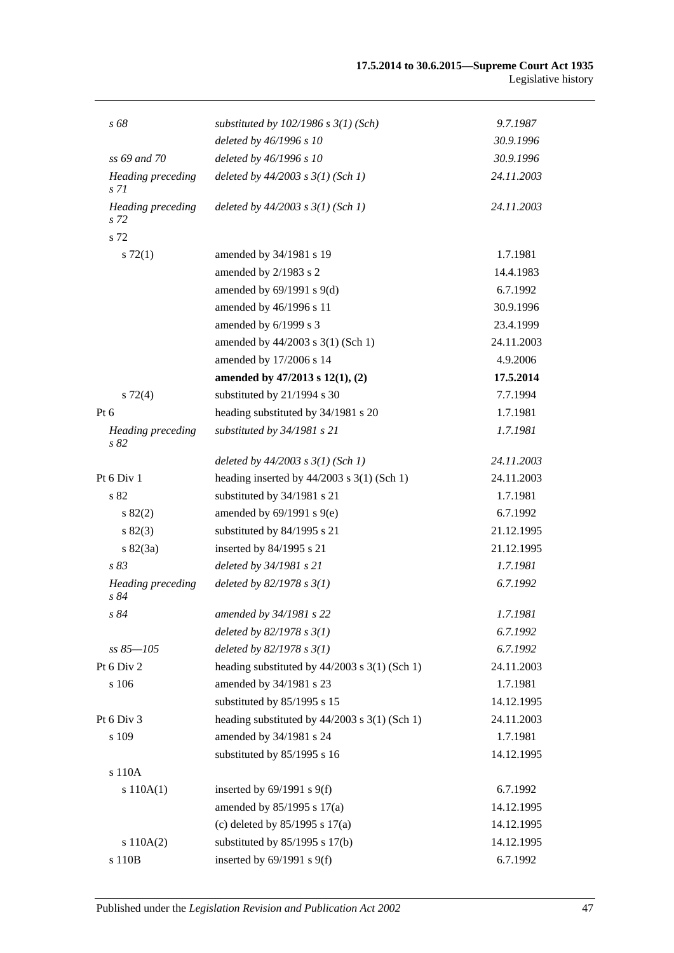| s 68                                        | substituted by $102/1986$ s $3(1)$ (Sch)        | 9.7.1987   |
|---------------------------------------------|-------------------------------------------------|------------|
|                                             | deleted by 46/1996 s 10                         | 30.9.1996  |
| ss 69 and 70                                | deleted by 46/1996 s 10                         | 30.9.1996  |
| <b>Heading</b> preceding<br>s <sub>71</sub> | deleted by $44/2003$ s $3(1)$ (Sch 1)           | 24.11.2003 |
| Heading preceding<br>s 72                   | deleted by $44/2003$ s $3(1)$ (Sch 1)           | 24.11.2003 |
| s 72                                        |                                                 |            |
| $s \, 72(1)$                                | amended by 34/1981 s 19                         | 1.7.1981   |
|                                             | amended by 2/1983 s 2                           | 14.4.1983  |
|                                             | amended by $69/1991$ s $9(d)$                   | 6.7.1992   |
|                                             | amended by 46/1996 s 11                         | 30.9.1996  |
|                                             | amended by 6/1999 s 3                           | 23.4.1999  |
|                                             | amended by 44/2003 s 3(1) (Sch 1)               | 24.11.2003 |
|                                             | amended by 17/2006 s 14                         | 4.9.2006   |
|                                             | amended by 47/2013 s 12(1), (2)                 | 17.5.2014  |
| $s\ 72(4)$                                  | substituted by 21/1994 s 30                     | 7.7.1994   |
| Pt 6                                        | heading substituted by 34/1981 s 20             | 1.7.1981   |
| <b>Heading</b> preceding<br>s 82            | substituted by 34/1981 s 21                     | 1.7.1981   |
|                                             | deleted by $44/2003$ s $3(1)$ (Sch 1)           | 24.11.2003 |
| Pt 6 Div 1                                  | heading inserted by $44/2003$ s 3(1) (Sch 1)    | 24.11.2003 |
| s 82                                        | substituted by 34/1981 s 21                     | 1.7.1981   |
| s 82(2)                                     | amended by $69/1991$ s $9(e)$                   | 6.7.1992   |
| s 82(3)                                     | substituted by 84/1995 s 21                     | 21.12.1995 |
| s 82(3a)                                    | inserted by 84/1995 s 21                        | 21.12.1995 |
| s83                                         | deleted by 34/1981 s 21                         | 1.7.1981   |
| <b>Heading</b> preceding<br>s84             | deleted by $82/1978 s 3(1)$                     | 6.7.1992   |
| s 84                                        | amended by 34/1981 s 22                         | 1.7.1981   |
|                                             | deleted by $82/1978 s 3(1)$                     | 6.7.1992   |
| $ss 85 - 105$                               | deleted by $82/1978 s 3(1)$                     | 6.7.1992   |
| Pt 6 Div 2                                  | heading substituted by 44/2003 s 3(1) (Sch 1)   | 24.11.2003 |
| s 106                                       | amended by 34/1981 s 23                         | 1.7.1981   |
|                                             | substituted by 85/1995 s 15                     | 14.12.1995 |
| Pt 6 Div 3                                  | heading substituted by $44/2003$ s 3(1) (Sch 1) | 24.11.2003 |
| s 109                                       | amended by 34/1981 s 24                         | 1.7.1981   |
|                                             | substituted by 85/1995 s 16                     | 14.12.1995 |
| s 110A                                      |                                                 |            |
| s 110A(1)                                   | inserted by $69/1991$ s $9(f)$                  | 6.7.1992   |
|                                             | amended by 85/1995 s 17(a)                      | 14.12.1995 |
|                                             | (c) deleted by $85/1995$ s $17(a)$              | 14.12.1995 |
| s 110A(2)                                   | substituted by $85/1995$ s 17(b)                | 14.12.1995 |
| s 110B                                      | inserted by $69/1991$ s $9(f)$                  | 6.7.1992   |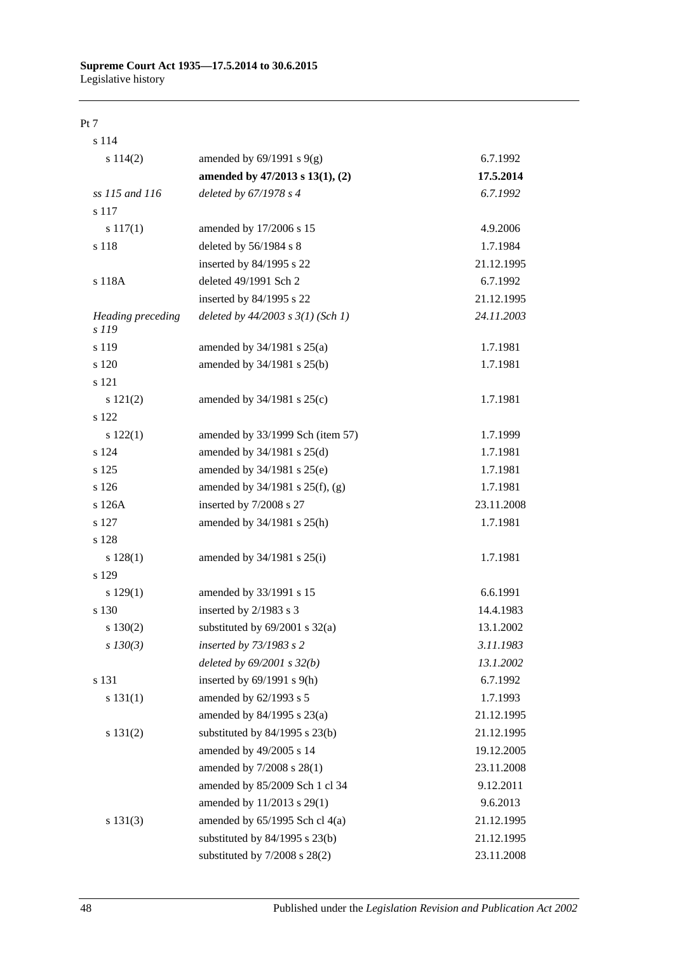#### **Supreme Court Act 1935—17.5.2014 to 30.6.2015** Legislative history

#### Pt 7

| s 114                      |                                       |            |
|----------------------------|---------------------------------------|------------|
| s 114(2)                   | amended by $69/1991$ s $9(g)$         | 6.7.1992   |
|                            | amended by 47/2013 s 13(1), (2)       | 17.5.2014  |
| ss 115 and 116             | deleted by 67/1978 s 4                | 6.7.1992   |
| s 117                      |                                       |            |
| s 117(1)                   | amended by 17/2006 s 15               | 4.9.2006   |
| s 118                      | deleted by 56/1984 s 8                | 1.7.1984   |
|                            | inserted by 84/1995 s 22              | 21.12.1995 |
| s 118A                     | deleted 49/1991 Sch 2                 | 6.7.1992   |
|                            | inserted by 84/1995 s 22              | 21.12.1995 |
| Heading preceding<br>s 119 | deleted by $44/2003$ s $3(1)$ (Sch 1) | 24.11.2003 |
| s 119                      | amended by $34/1981$ s $25(a)$        | 1.7.1981   |
| s 120                      | amended by 34/1981 s 25(b)            | 1.7.1981   |
| s 121                      |                                       |            |
| s 121(2)                   | amended by 34/1981 s 25(c)            | 1.7.1981   |
| s 122                      |                                       |            |
| s 122(1)                   | amended by 33/1999 Sch (item 57)      | 1.7.1999   |
| s 124                      | amended by 34/1981 s 25(d)            | 1.7.1981   |
| s 125                      | amended by 34/1981 s 25(e)            | 1.7.1981   |
| s 126                      | amended by $34/1981$ s $25(f)$ , (g)  | 1.7.1981   |
| s 126A                     | inserted by 7/2008 s 27               | 23.11.2008 |
| s 127                      | amended by 34/1981 s 25(h)            | 1.7.1981   |
| s 128                      |                                       |            |
| $s\ 128(1)$                | amended by $34/1981$ s $25(i)$        | 1.7.1981   |
| s 129                      |                                       |            |
| s 129(1)                   | amended by 33/1991 s 15               | 6.6.1991   |
| s 130                      | inserted by 2/1983 s 3                | 14.4.1983  |
| $s\ 130(2)$                | substituted by $69/2001$ s $32(a)$    | 13.1.2002  |
| $s\,130(3)$                | inserted by 73/1983 s 2               | 3.11.1983  |
|                            | deleted by $69/2001 s 32(b)$          | 13.1.2002  |
| s 131                      | inserted by $69/1991$ s $9(h)$        | 6.7.1992   |
| s 131(1)                   | amended by 62/1993 s 5                | 1.7.1993   |
|                            | amended by 84/1995 s 23(a)            | 21.12.1995 |
| s 131(2)                   | substituted by $84/1995$ s $23(b)$    | 21.12.1995 |
|                            | amended by 49/2005 s 14               | 19.12.2005 |
|                            | amended by 7/2008 s 28(1)             | 23.11.2008 |
|                            | amended by 85/2009 Sch 1 cl 34        | 9.12.2011  |
|                            | amended by 11/2013 s 29(1)            | 9.6.2013   |
| s 131(3)                   | amended by $65/1995$ Sch cl $4(a)$    | 21.12.1995 |
|                            | substituted by $84/1995$ s $23(b)$    | 21.12.1995 |
|                            | substituted by $7/2008$ s $28(2)$     | 23.11.2008 |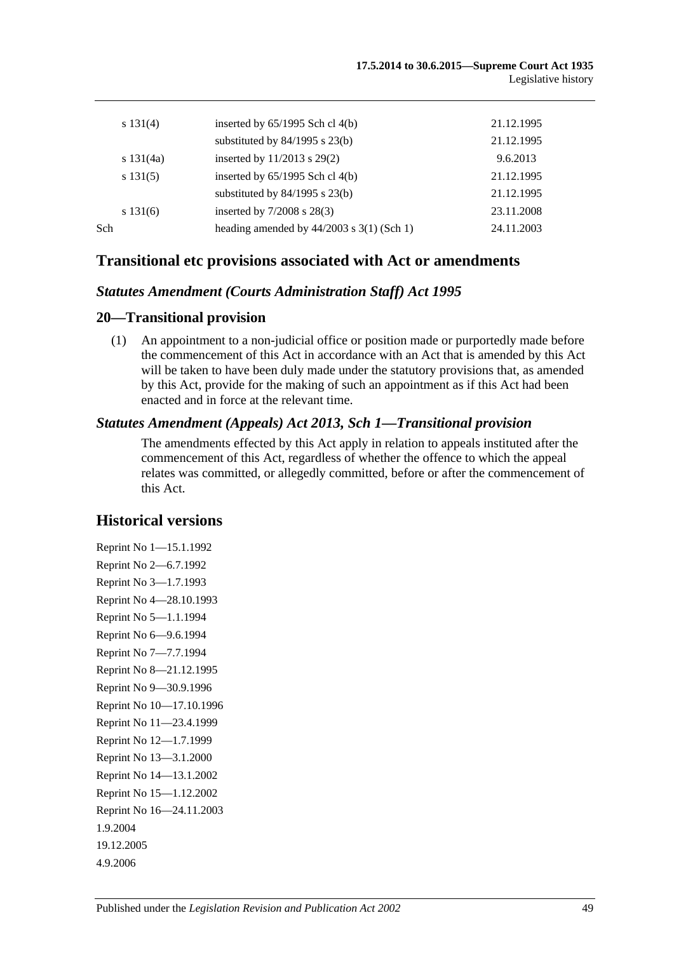|     | s $131(4)$  | inserted by $65/1995$ Sch cl $4(b)$         | 21.12.1995 |
|-----|-------------|---------------------------------------------|------------|
|     |             | substituted by $84/1995$ s $23(b)$          | 21.12.1995 |
|     | s $131(4a)$ | inserted by $11/2013$ s $29(2)$             | 9.6.2013   |
|     | s 131(5)    | inserted by $65/1995$ Sch cl $4(b)$         | 21.12.1995 |
|     |             | substituted by $84/1995$ s $23(b)$          | 21.12.1995 |
|     | s 131(6)    | inserted by $7/2008$ s $28(3)$              | 23.11.2008 |
| Sch |             | heading amended by $44/2003$ s 3(1) (Sch 1) | 24.11.2003 |
|     |             |                                             |            |

### **Transitional etc provisions associated with Act or amendments**

### *Statutes Amendment (Courts Administration Staff) Act 1995*

### **20—Transitional provision**

(1) An appointment to a non-judicial office or position made or purportedly made before the commencement of this Act in accordance with an Act that is amended by this Act will be taken to have been duly made under the statutory provisions that, as amended by this Act, provide for the making of such an appointment as if this Act had been enacted and in force at the relevant time.

### *Statutes Amendment (Appeals) Act 2013, Sch 1—Transitional provision*

The amendments effected by this Act apply in relation to appeals instituted after the commencement of this Act, regardless of whether the offence to which the appeal relates was committed, or allegedly committed, before or after the commencement of this Act.

### **Historical versions**

Reprint No 1—15.1.1992 Reprint No 2—6.7.1992 Reprint No 3—1.7.1993 Reprint No 4—28.10.1993 Reprint No 5—1.1.1994 Reprint No 6—9.6.1994 Reprint No 7—7.7.1994 Reprint No 8—21.12.1995 Reprint No 9—30.9.1996 Reprint No 10—17.10.1996 Reprint No 11—23.4.1999 Reprint No 12—1.7.1999 Reprint No 13—3.1.2000 Reprint No 14—13.1.2002 Reprint No 15—1.12.2002 Reprint No 16—24.11.2003 1.9.2004 19.12.2005 4.9.2006